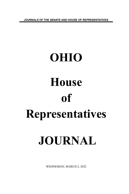**JOURNALS OF THE SENATE AND HOUSE OF REPRESENTATIVES**

# **OHIO House of Representatives JOURNAL**

WEDNESDAY, MARCH 2, 2022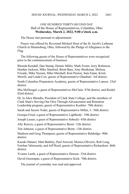# ONE HUNDRED THIRTY-SECOND DAY Hall of the House of Representatives, Columbus, Ohio **Wednesday, March 2, 2022, 9:00 o'clock a.m.**

The House met pursuant to adjournment.

Prayer was offered by Reverend Michael Hout of the St. Jacob's Lutheran Church in Miamisburg, Ohio, followed by the Pledge of Allegiance to the Flag.

The following guests of the House of Representatives were recognized prior to the commencement of business:

Rhonda Kendall, Dan Stump, Dennis Miller, Mark Foster, Jerry Robinson, Heather Jackson, Mike Stanford, Brent Baer, Amy Brinkman, Melissa Frizado, Mike Nuzum, Mike Marshall, Kim Paxton, Sam Eatan, Kristi Merrill, and Linda Cox; guests of Representative Ghanbari- 3rd district.

South Columbus Preparatory Academy, guests of Representative Lanese- 23rd district.

Mia McDougal, a guest of Representatives McClain- 87th district, and Riedel-82nd district.

Dr. Jo Alice Blondin, President of Clark State College, and the members of Clark State's Serving Our Own Through Advancement and Retention Leadership program; guests of Representative Koehler- 70th district.

Sarah and Jaxson Yoder, guests of Representative Miller, J.- 56th district.

Georgia Fried, a guest of Representative Lightbody- 19th district.

Joseph Lesser, a guest of Representative Sobecki- 45th district.

Ally Reaves, a guest of Representative Brent- 12th district.

Tim Johnson, a guest of Representative Brent- 12th district.

Madison and Greg Thompson, guests of Representative Baldridge- 90th district.

Kazuki Hatarei, Matt Burkley, Paul Atwood, Monica Oliverio, Rob Long, Esteban Valenzuela, and Jeff Reed; guests of Representative Richardson- 86th district.

Yvonne Lamb, a guest of Representative Denson- 33rd district.

David Greenspan, a guest of Representative Kick- 70th district.

The journal of yesterday was read and approved.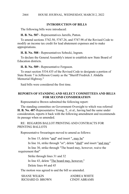# **INTRODUCTION OF BILLS**

The following bills were introduced:

**H. B. No. 587 -** Representatives Jarrells, Patton.

To amend sections 3742.50, 5747.26, and 5747.98 of the Revised Code to modify an income tax credit for lead abatement expenses and to make appropriations.

**H. B. No. 588 -** Representatives Sobecki, Ingram.

To declare the General Assembly's intent to establish new State Board of Education districts.

**H. B. No. 589 -** Representative Ferguson.

To enact section 5534.435 of the Revised Code to designate a portion of State Route 7 in Jefferson County as the "Sheriff Fredrick J. Abdalla Memorial Highway."

Said bills were considered the first time.

# **REPORTS OF STANDING AND SELECT COMMITTEES AND BILLS FOR SECOND CONSIDERATION**

Representative Brown submitted the following report:

The standing committee on Government Oversight to which was referred **H. B. No. 487**-Representative Young, T., et al., having had the same under consideration, reports it back with the following amendment and recommends its passage when so amended.

# RE: REGARDS BALLOT PRINTING AND CONTRACTS FOR PRINTING BALLOTS

Representative Swearingen moved to amend as follows:

In line 15, delete "and" and insert ", may be"

In line 16, strike through "or"; delete "shall" and insert "and may"

In line 30, strike through "The board may, however, waive the requirement that"

Strike through lines 31 and 32

In line 43, delete "The board may, however,"

Delete lines 44 and 45

The motion was agreed to and the bill so amended.

SHANE WILKIN ANDREA WHITE RICHARD D. BROWN CINDY ABRAMS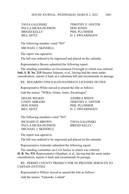TAVIA GALONSKI TIMOTHY E. GINTER PAULA HICKS-HUDSON DON JONES BRIGID KELLY PHIL PLUMMER BILL SEITZ D. J. SWEARINGEN

The following member voted "NO"

MICHAEL J. SKINDELL

The report was agreed to.

The bill was ordered to be engrossed and placed on the calendar.

Representative Brown submitted the following report:

The standing committee on Government Oversight to which was referred **Sub. S. B. No. 215**-Senator Johnson, et al., having had the same under consideration, reports it back as a substitute bill and recommends its passage.

RE: REGARDS CONCEALED HANDGUN LICENSEE DUTIES

Representative White moved to amend the title as follows:

Add the names: "Wilkin, Ginter, Jones, Swearingen"

SHANE WILKIN ANDREA WHITE CINDY ABRAMS TIMOTHY E. GINTER DON JONES PHIL PLUMMER BILL SEITZ D. J. SWEARINGEN

The following members voted "NO"

RICHARD D. BROWN TAVIA GALONSKI PAULA HICKS-HUDSON BRIGID KELLY MICHAEL J. SKINDELL

The report was agreed to.

The bill was ordered to be engrossed and placed on the calendar.

Representative Galonski submitted the following report:

The standing committee on Civil Justice to which was referred **H. B. No. 531**-Representative Ghanbari, et al., having had the same under consideration, reports it back and recommends its passage.

RE: PERMIT COUNTY PROSECUTOR TO PROVIDE SERVICES TO CERTAIN ENTITIES

Representative Hillyer moved to amend the title as follows:

Add the names: "Galonski, Leland"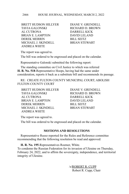BRETT HUDSON HILLYER DIANE V. GRENDELL TAVIA GALONSKI RICHARD D. BROWN AL CUTRONA DARRELL KICK BRIAN E. LAMPTON DAVID LELAND DEREK MERRIN BILL SEITZ MICHAEL J. SKINDELL BRIAN STEWART ANDREA WHITE

The report was agreed to.

The bill was ordered to be engrossed and placed on the calendar.

Representative Galonski submitted the following report:

The standing committee on Civil Justice to which was referred **H. B. No. 518**-Representative Hoops, having had the same under consideration, reports it back as a substitute bill and recommends its passage.

RE: CREATE FULTON COUNTY MUNICIPAL COURT; ABOLISH FULTON COUNTY COURT

BRETT HUDSON HILLYER DIANE V. GRENDELL TAVIA GALONSKI RICHARD D. BROWN AL CUTRONA DARRELL KICK BRIAN E. LAMPTON DAVID LELAND DEREK MERRIN BILL SEITZ<br>MICHAEL J. SKINDELL BRIAN STEWART MICHAEL J. SKINDELL ANDREA WHITE

The report was agreed to.

The bill was ordered to be engrossed and placed on the calendar.

## **MOTIONS AND RESOLUTIONS**

Representative Russo reported for the Rules and Reference committee recommending that the following resolution be read and approved:

**H. R. No. 195**-Representatives Roemer, White.

To condemn the Russian Federation for its invasion of Ukraine on Thursday, February 24, 2022, and to affirm the sovereignty, independence, and territorial integrity of Ukraine.

> /s/ROBERT R. CUPP Robert R. Cupp, Chair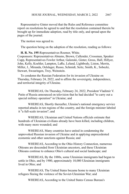Representative Ginter moved that the Rules and Reference committee report on resolutions be agreed to and that the resolution contained therein be brought up for immediate adoption, read by title only, and spread upon the pages of the journal.

The motion was agreed to.

The question being on the adoption of the resolution, reading as follows:

**H. R. No. 195**-Representatives Roemer, White.

Cosponsors: Representatives Abrams, Brown, Callender, Crossman, Speaker Cupp, Representatives Fowler Arthur, Galonski, Ginter, Gross, Hall, Hillyer, John, Kelly, Koehler, Lampton, LaRe, Leland, Lightbody, Liston, Merrin, Miller, J., Miranda, Oelslager, Russo, Schmidt, Seitz, Smith, K., Sobecki, Stewart, Swearingen, Troy, Weinstein.

To condemn the Russian Federation for its invasion of Ukraine on Thursday, February 24, 2022, and to affirm the sovereignty, independence, and territorial integrity of Ukraine.

WHEREAS, On Thursday, February 24, 2022, President Vladimir V. Putin of Russia announced on television that he had decided "to carry out a special military operation" in Ukraine; and

WHEREAS, Shortly thereafter, Ukraine's national emergency service reported attacks in ten regions of the country, and the foreign minister labeled it "a full-scale invasion"; and

WHEREAS, Ukrainian and United Nations officials estimate that hundreds of Ukrainian civilians already have been killed, including children, with many more wounded; and

WHEREAS, Many countries have united in condemning the unprovoked Russian invasion of Ukraine and in applying unprecedented economic and other sanctions against Russia; and

WHEREAS, According to the Ohio History Connection, numerous Ohioans are descended from Ukrainian ancestors, and these Ukrainian Ohioans continue to enhance Ohio's cultural and social landscape; and

WHEREAS, By the 1880s, some Ukrainian immigrants had begun to settle in Ohio, and by 1900, approximately 10,000 Ukrainian immigrants lived in Ohio; and

WHEREAS, The United States became home to many Ukrainian refugees fleeing the violence of the Soviet-Ukrainian War; and

WHEREAS, According to the United States Census Bureau's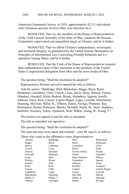American Community Survey, in 2019, approximately 42,111 individuals with Ukrainian ancestry lived in Ohio; now therefore be it

RESOLVED, That we, the members of the House of Representatives of the 134th General Assembly of the State of Ohio, condemn the Russian Federation's unprovoked and unjustified attack on Ukraine; and be it further

RESOLVED, That we affirm Ukraine's independence, sovereignty, and territorial integrity, as guaranteed by the United Nations Declaration on Principles of International Law Concerning Friendly Relations and Cooperation Among States; and be it further

RESOLVED, That the Clerk of the House of Representatives transmit duly authenticated copies of this resolution to the members of the United States Congressional delegation from Ohio and the news media of Ohio.

The question being, "Shall the resolution be adopted?"

Representative Roemer moved to amend the title as follows:

Add the names: "Baldridge, Bird, Blackshear, Boggs, Boyd, Brent, Brinkman, Carruthers, Click, Creech, Cross, Davis, Dean, Denson, Fraizer, Ghanbari, Grendell, Hicks-Hudson, Hoops, Humphrey, Ingram, Jarrells, Johnson, Jones, Kick, Lanese, Lepore-Hagan, Lipps, Loychik, Manchester, Manning, McClain, Miller, K., O'Brien, Patton, Pavliga, Plummer, Ray, Richardson, Riedel, Robinson, Sheehy, Skindell, Smith, M., Stein, Stephens, Stoltzfus, Sweeney, Sykes, Upchurch, West, Wilkin, Young, B., Young, T."

The motion was agreed to and the title so amended.

The title as amended was agreed to.

The question being, "Shall the resolution be adopted?"

The yeas and nays were taken and resulted – yeas 90, nays 0, as follows:

Those who voted in the affirmative were: Representatives

| Abrams       | Baldridge  | Bird                 | Blackshear      |
|--------------|------------|----------------------|-----------------|
| <b>Boggs</b> | Boyd       | <b>Brent</b>         | <b>Brinkman</b> |
| <b>Brown</b> | Callender  | Carruthers           | Click           |
| Creech       | Cross      | Davis                | Dean            |
| Denson       | Edwards    | <b>Fowler Arthur</b> | Fraizer         |
| Galonski     | Ghanbari   | Ginter               | Grendell        |
| Gross        | Hall       | Hicks-Hudson         | Hillyer         |
| Holmes       | Hoops      | Humphrey             | Ingram          |
| Jarrells     | John       | Johnson              | Jones           |
| Kelly        | Kick       | Koehler              | Lampton         |
| Lanese       | LaRe       | Leland               | Lepore-Hagan    |
| Lightbody    | Lipps      | Liston               | Loychik         |
| Manchester   | Manning    | McClain              | Merrin          |
| Miller, A.   | Miller, J. | Miller, K.           | Miranda         |
| O'Brien      | Oelslager  | Patton               | Pavliga         |
|              |            |                      |                 |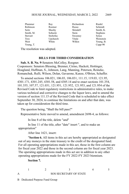| Plummer     | Ray       | Richardson   | Riedel          |
|-------------|-----------|--------------|-----------------|
| Robinson    | Roemer    | Russo        | Schmidt         |
| Seitz       | Sheehy    | Skindell     | Smith, K.       |
| Smith, M.   | Sobecki   | <b>Stein</b> | <b>Stephens</b> |
| Stewart     | Stoltzfus | Sweeney      | <b>Sykes</b>    |
| <b>Troy</b> | Upchurch  | Vitale       | Weinstein       |
| West        | White     | Wilkin       | Young, B.       |
| Young, T.   |           |              | $Cupp-90$       |

The resolution was adopted.

## **BILLS FOR THIRD CONSIDERATION**

**Sub. S. B. No. 9**-Senators McColley, Roegner. Cosponsors: Senators Blessing, Brenner, Cirino, Hackett, Hottinger, Hoagland, Huffman, S., Johnson, Lang, Manning, Peterson, Reineke, Romanchuk, Rulli, Wilson, Dolan, Gavarone, Kunze, O'Brien, Schaffer.

To amend sections 106.021, 106.03, 106.031, 111.15, 119.03, 121.95, 4301.171, 4301.245, 4301.58, and 4305.14 and to enact sections 101.354, 101.355, 107.57, 121.031, 121.951, 121.952, 121.953, and 121.954 of the Revised Code to limit regulatory restrictions in administrative rules, to make various technical and corrective changes to the liquor laws, and to amend the version of section 111.15 of the Revised Code that is scheduled to take effect September 30, 2024, to continue the limitations on and after that date, was taken up for consideration the third time.

The question being, "Shall the bill pass?"

Representative Seitz moved to amend, amendment 2698-4, as follows:

In line 8 of the title, delete "and"

In line 11 of the title, after "date" insert ", and to make an appropriation"

After line 1621, insert:

"**Section 6.** All items in this act are hereby appropriated as designated out of any moneys in the state treasury to the credit of the designated fund. For all operating appropriations made in this act, those in the first column are for fiscal year 2022 and those in the second column are for fiscal year 2023. The operating appropriations made in this act are in addition to any other operating appropriations made for the FY 2022-FY 2023 biennium.

## **Section 7.**

B Dedicated Purpose Fund Group

2469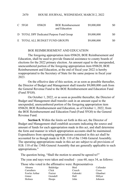#### HOUSE JOURNAL, WEDNESDAY, MARCH 2, 2022 2470

| $C$ 5FG0 | 050620                         | <b>BOE Reimbursement</b><br>and Education | \$9,000,000 | \$0 |
|----------|--------------------------------|-------------------------------------------|-------------|-----|
|          |                                | D TOTAL DPF Dedicated Purpose Fund Group  | \$9,000,000 | \$0 |
|          | E TOTAL ALL BUDGET FUND GROUPS |                                           | \$9,000,000 | \$0 |

#### BOE REIMBURSEMENT AND EDUCATION

The foregoing appropriation item 050620, BOE Reimbursement and Education, shall be used to provide financial assistance to county boards of elections for the 2022 primary election. An amount equal to the unexpended, unencumbered portion of the foregoing appropriation item 050620, BOE Reimbursement and Education, at the end of fiscal year 2022 is hereby reappropriated to the Secretary of State for the same purpose in fiscal year 2023.

On the effective date of this section, or as soon as possible thereafter, the Director of Budget and Management shall transfer \$9,000,000 cash from the General Revenue Fund to the BOE Reimbursement and Education Fund (Fund 5FG0).

On October 1, 2022, or as soon as possible thereafter, the Director of Budget and Management shall transfer cash in an amount equal to the unexpended, unencumbered portion of the foregoing appropriation item 050620, BOE Reimbursement and Education, as of October 1, 2022, from the BOE Reimbursement and Education Fund (Fund 5FG0) to the General Revenue Fund.

**Section 8.** Within the limits set forth in this act, the Director of Budget and Management shall establish accounts indicating the source and amount of funds for each appropriation made in this act, and shall determine the form and manner in which appropriation accounts shall be maintained. Expenditures from operating appropriations contained in this act shall be accounted for as though made in H.B. 110 of the 134th General Assembly. The operating appropriations made in this act are subject to all provisions of H.B. 110 of the 134th General Assembly that are generally applicable to such appropriations."

The question being, "Shall the motion to amend be agreed to?"

The yeas and nays were taken and resulted – yeas 60, nays 34, as follows:

Those who voted in the affirmative were: Representatives

| Abrams        | Baldridge | Bird     | Callender |
|---------------|-----------|----------|-----------|
| Carruthers    | Click     | Creech   | Cross     |
| Fowler Arthur | Fraizer   | Galonski | Ghanbari  |
| Ginter        | Grendell  | Hall     | Hillyer   |
| Holmes        | Hoops     | John     | Johnson   |
|               |           |          |           |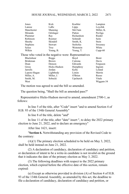| Jones                                                 | Kick         | Koehler    | Lampton    |
|-------------------------------------------------------|--------------|------------|------------|
| Lanese                                                | LaRe         | Lipps      | Loychik    |
| Manchester                                            | Manning      | McClain    | Miller, K. |
| Miranda                                               | Oelslager    | Patton     | Pavliga    |
| Plummer                                               | Ray          | Richardson | Riedel     |
| Robinson                                              | Roemer       | Schmidt    | Seitz      |
| Sheehy                                                | Skindell     | Smith, K.  | Stein      |
| <b>Stephens</b>                                       | Stewart      | Stoltzfus  | Sweeney    |
| Sykes                                                 | Troy         | Weinstein  | White      |
| Wilkin                                                | Young, B.    | Young, T.  | $Cupp-60$  |
| Those who voted in the negative were: Representatives |              |            |            |
| Blackshear                                            | <b>Boggs</b> | Boyd       | Brent      |
| <b>Brinkman</b>                                       | <b>Brown</b> | Cutrona    | Davis      |
| Dean                                                  | Denson       | Edwards    | Ferguson   |
| Gross                                                 | Hicks-Hudson | Humphrey   | Ingram     |
| Jarrells                                              | Jordan       | Kelly      | Leland     |
| Lepore-Hagan                                          | Lightbody    | Liston     | Merrin     |
| Miller, A.                                            | Miller, J.   | O'Brien    | Russo      |
| Smith, M.                                             | Sobecki      | Upchurch   | Vitale     |
| West                                                  |              |            | Wiggam-34  |
|                                                       |              |            |            |

The motion was agreed to and the bill so amended.

The question being, "Shall the bill as amended pass?"

Representative Hicks-Hudson moved to amend, amendment 2700-1, as follows:

In line 5 of the title, after "Code" insert "and to amend Section 4 of H.B. 93 of the 134th General Assembly"

In line 8 of the title, delete "and"

In line 11 of the title, after "date" insert ", to delay the 2022 primary election to June 21, 2022, and to declare an emergency"

After line 1621, insert:

"**Section 6.** Notwithstanding any provision of the Revised Code to the contrary:

(A)(1) The primary election scheduled to be held on May 3, 2022, shall be held instead on June 21, 2022.

(2) A declaration of candidacy, declaration of candidacy and petition, or declaration of intent to be a write-in candidate is not invalid on the ground that it indicates the date of the primary election as May 3, 2022.

(3) The following deadlines with respect to the 2022 primary election, which expired before the effective date of this section, remain expired:

(a) Except as otherwise provided in division (A) of Section 4 of H.B. 93 of the 134th General Assembly, as amended by this act, the deadline to file a declaration of candidacy, declaration of candidacy and petition, or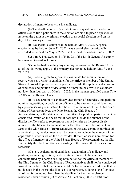declaration of intent to be a write-in candidate;

(b) The deadline to certify a ballot issue or question to the election officials or to file a petition with the election officials to place a question or issue on the ballot at the primary election or a special election held on the day of the primary election.

(B) No special election shall be held on May 3, 2022. A special election may be held on June 21, 2022. Any special election originally scheduled to be held on May 3, 2022, shall be held instead on June 21, 2022.

**Section 7.** That Section 4 of H.B. 93 of the 134th General Assembly be amended to read as follows:

**Sec. 4.** Notwithstanding any contrary provision of the Revised Code, all of the following apply to the primary election to be held on  $\frac{\text{May } 3 \text{ June}}{2}$ 21, 2022:

(A) To be eligible to appear as a candidate for nomination, or to receive votes as a write-in candidate, for the office of member of the United States House of Representatives, a person shall file the applicable declaration of candidacy and petition or declaration of intent to be a write-in candidate not later than four p.m. on March 4, 2022, in the manner specified under Title XXXV of the Revised Code.

(B) A declaration of candidacy, declaration of candidacy and petition, nominating petition, or declaration of intent to be a write-in candidate filed by a person seeking nomination for the office of member of the United States House of Representatives, the Ohio Senate, the Ohio House of Representatives, or the state central committee of a political party shall not be considered invalid on the basis that it does not include the number of the district the filer seeks to represent or that it includes an incorrect district number. If the filer seeks nomination for the office of member of the Ohio Senate, the Ohio House of Representatives, or the state central committee of a political party, the document shall be deemed to include the number of the applicable district in which the filer resides. If the filer seeks nomination for the office of member of the United States House of Representatives, the filer shall notify the election officials in writing of the district the filer seeks to represent.

(C)(1) A declaration of candidacy, declaration of candidacy and petition, nominating petition, or declaration of intent to be a write-in candidate filed by a person seeking nomination for the office of member of the Ohio Senate or the Ohio House of Representatives shall not be considered invalid on the basis that it contains the filer's former residence address that is not located in the district the filer seeks to represent, so long as the filer does all of the following not later than the deadline for the filer to change residence under division (C) of Article XI, Section 9, Ohio Constitution: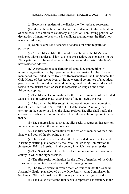(a) Becomes a resident of the district the filer seeks to represent;

(b) Files with the board of elections an addendum to the declaration of candidacy, declaration of candidacy and petition, nominating petition, or declaration of intent to be a write-in candidate that indicates the filer's new residence address;

(c) Submits a notice of change of address for voter registration purposes.

(2) After a filer notifies the board of elections of the filer's new residence address under division  $(C)(1)$  of this section, the signatures on the filer's petition shall be verified under this section on the basis of the filer's new residence address.

(D) A signature on a declaration of candidacy and petition or nominating petition filed by a person seeking nomination for the office of member of the United States House of Representatives, the Ohio Senate, the Ohio House of Representatives, or the state central committee of a political party shall not be considered invalid on the ground that the signer does not reside in the district the filer seeks to represent, so long as one of the following applies:

(1) The filer seeks nomination for the office of member of the United States House of Representatives and both of the following are true:

(a) The district the filer sought to represent under the congressional district plan described in S.B. 258 of the 134th General Assembly had territory in the county in which the signer resides. The filer shall notify the election officials in writing of the district the filer sought to represent under that act.

(b) The congressional district the filer seeks to represent has territory in the county in which the signer resides.

(2) The filer seeks nomination for the office of member of the Ohio Senate and both of the following are true:

(a) The Senate district in which the filer resided under the General Assembly district plan adopted by the Ohio Redistricting Commission in September 2021 had territory in the county in which the signer resides.

(b) The Senate district the filer seeks to represent has territory in the county in which the signer resides.

(3) The filer seeks nomination for the office of member of the Ohio House of Representatives and both of the following are true:

(a) The House district in which the filer resided under the General Assembly district plan adopted by the Ohio Redistricting Commission in September 2021 had territory in the county in which the signer resides.

(b) The House district the filer seeks to represent has territory in the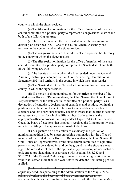county in which the signer resides.

(4) The filer seeks nomination for the office of member of the state central committee of a political party to represent a congressional district and both of the following are true:

(a) The district in which the filer resided under the congressional district plan described in S.B. 258 of the 134th General Assembly had territory in the county in which the signer resides.

(b) The congressional district the filer seeks to represent has territory in the county in which the signer resides.

(5) The filer seeks nomination for the office of member of the state central committee of a political party to represent a Senate district and both of the following are true:

(a) The Senate district in which the filer resided under the General Assembly district plan adopted by the Ohio Redistricting Commission in September 2021 had territory in the county in which the signer resides.

(b) The Senate district the filer seeks to represent has territory in the county in which the signer resides.

(E) If a person seeking nomination for the office of member of the United States House of Representatives, the Ohio Senate, the Ohio House of Representatives, or the state central committee of a political party files a declaration of candidacy, declaration of candidacy and petition, nominating petition, or declaration of intent to be a write-in candidate with a board of elections and that board subsequently becomes aware that the filer is seeking to represent a district for which a different board of elections is the appropriate office to process the filing under Chapter 3513. of the Revised Code, the board of elections that originally received the filing promptly shall transfer that filing to the appropriate board of elections.

(F) A signature on a declaration of candidacy and petition or nominating petition filed by a person seeking nomination for the office of member of the United States House of Representatives, the Ohio Senate, the Ohio House of Representatives, or the state central committee of a political party shall not be considered invalid on the ground that the signature was signed before a district plan of the applicable type was adopted or enacted or took effect, provided that, in accordance with sections 3513.262 and 3513.263 of the Revised Code, a signature on a nominating petition is not valid if it is dated more than one year before the date the nominating petition is filed.

(G) Except for the following deadlines, the Secretary of State may adjust any deadlines pertaining to the administration of the May 3, 2022, primary election as the Secretary of State determines necessary to accommodate the shorter timeframe to prepare to hold the election on May 3,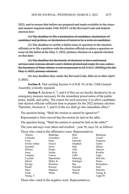2022, and to ensure that ballots are prepared and made available in the times and manner required under Title XXXV of the Revised Code and federal election law-

(1) The deadline to file a declaration of candidacy, declaration of candidacy and petition, or declaration of intent to be a write-in candidate;

(2) The deadline to certify a ballot issue or question to the election officials or to file a petition with the election officials to place a question or issue on the ballot at the May 3, 2022, primary election or a special election on that date;

(3) The deadline for the boards of elections to have uniformed services and overseas absent voter's ballots printed and ready for use, unlessthe Secretary of State obtains a waiver pursuant to  $52 \text{ U.S.C. } 20302(g)$  for the May 3, 2022, primary election;

(4) Any deadline that, under the Revised Code, falls on or after April 3, 2022.

**Section 8.** That existing Section 4 of H.B. 93 of the 134th General Assembly is hereby repealed.

**Section 9.** Sections 6, 7, and 8 of this act are hereby declared to be an emergency measure necessary for the immediate preservation of the public peace, health, and safety. The reason for such necessity is to allow candidates and election officials sufficient time to prepare for the 2022 primary election. Therefore, Sections 6, 7, and 8 of this act shall go into immediate effect."

The question being, "Shall the motion to amend be agreed to?"

Representative Seitz moved that the motion be laid on the table.

The question being, "Shall the motion to amend be laid on the table?"

The yeas and nays were taken and resulted – yeas 58, nays 34, as follows:

Those who voted in the affirmative were: Representatives

|                      | $\ddotsc$ of $\ddotsc$ and $\ddotsc$ $\ddotsc$ and $\ddotsc$ $\ddotsc$ $\ddotsc$ $\ddotsc$ $\ddotsc$ $\ddotsc$ |           |                  |
|----------------------|----------------------------------------------------------------------------------------------------------------|-----------|------------------|
| Abrams               | Baldridge                                                                                                      | Bird      | <b>Brinkman</b>  |
| Callender            | Carruthers                                                                                                     | Click     | Creech           |
| Cross                | Dean                                                                                                           | Edwards   | Ferguson         |
| <b>Fowler Arthur</b> | Fraizer                                                                                                        | Ghanbari  | Ginter           |
| Grendell             | Gross                                                                                                          | Hall      | Hillyer          |
| Holmes               | Hoops                                                                                                          | John      | Johnson          |
| Jones                | Jordan                                                                                                         | Kick      | Koehler          |
| Lampton              | Lanese                                                                                                         | LaRe      | Lipps            |
| Loychik              | Manchester                                                                                                     | Manning   | McClain          |
| Merrin               | Miller, K.                                                                                                     | Oelslager | Patton           |
| Pavliga              | Plummer                                                                                                        | Ray       | Richardson       |
| Riedel               | Roemer                                                                                                         | Schmidt   | Seitz            |
| Stein                | <b>Stephens</b>                                                                                                | Stewart   | <b>Stoltzfus</b> |
| Vitale               | White                                                                                                          | Wilkin    | Young, B.        |
| Young, T.            |                                                                                                                |           | $Cupp-58$        |
|                      |                                                                                                                |           |                  |

Those who voted in the negative were: Representatives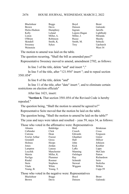| Blackshear   | <b>Boggs</b> | Boyd         | <b>Brent</b> |
|--------------|--------------|--------------|--------------|
| Brown        | Davis        | Denson       | Galonski     |
| Hicks-Hudson | Humphrey     | Ingram       | Jarrells     |
| Kelly        | Leland       | Lepore-Hagan | Lightbody    |
| Liston       | Miller, A.   | Miller, J.   | Miranda      |
| O'Brien      | Robinson     | Russo        | Sheehy       |
| Skindell     | Smith, K.    | Smith, M.    | Sobecki      |
| Sweeney      | <b>Sykes</b> | <b>Troy</b>  | Upchurch     |
| Weinstein    |              |              | West-34      |

The motion to amend was laid on the table.

The question recurring, "Shall the bill as amended pass?"

Representative Sweeney moved to amend, amendment 2702, as follows:

In line 3 of the title, delete "and" and insert ";"

In line 5 of the title, after "121.954" insert "; and to repeal section 3501.054"

In line 8 of the title, delete "and"

In line 11 of the title, after "date" insert ", and to eliminate certain restrictions on election officials"

After line 1621, insert:

"**Section 6.** That section 3501.054 of the Revised Code is hereby repealed."

The question being, "Shall the motion to amend be agreed to?"

Representative Seitz moved that the motion be laid on the table.

The question being, "Shall the motion to amend be laid on the table?"

The yeas and nays were taken and resulted – yeas 59, nays 34, as follows:

Those who voted in the affirmative were: Representatives

| Abrams                                                | Baldridge       | Bird      | <b>Brinkman</b> |
|-------------------------------------------------------|-----------------|-----------|-----------------|
| Callender                                             | Click           | Creech    | Cross           |
| Cutrona                                               | Dean            | Edwards   | Ferguson        |
| Fowler Arthur                                         | Fraizer         | Ghanbari  | Ginter          |
| Grendell                                              | Gross           | Hall      | Hillyer         |
| Holmes                                                | Hoops           | John      | Johnson         |
| Jones                                                 | Jordan          | Kick      | Koehler         |
| Lampton                                               | Lanese          | LaRe      | Lipps           |
| Loychik                                               | Manchester      | Manning   | McClain         |
| Merrin                                                | Miller, K.      | Oelslager | Patton          |
| Pavliga                                               | Plummer         | Ray       | Richardson      |
| Riedel                                                | Roemer          | Schmidt   | Seitz           |
| Stein                                                 | <b>Stephens</b> | Stewart   | Stoltzfus       |
| Vitale                                                | White           | Wiggam    | Wilkin          |
| Young, B.                                             | Young, T.       |           | $Cupp-59$       |
| Those who voted in the negative were: Representatives |                 |           |                 |
| Blackshear                                            | <b>Boggs</b>    | Boyd      | <b>Brent</b>    |
| Brown                                                 | Davis           | Denson    | Galonski        |
|                                                       |                 |           |                 |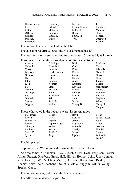| Hicks-Hudson | Humphrey     | Ingram       | Jarrells  |
|--------------|--------------|--------------|-----------|
| Kelly        | Leland       | Lepore-Hagan | Lightbody |
| Liston       | Miller, A.   | Miller, J.   | Miranda   |
| O'Brien      | Robinson     | Russo        | Sheehy    |
| Skindell     | Smith, K.    | Smith, M.    | Sobecki   |
| Sweeney      | <b>Sykes</b> | <b>Troy</b>  | Upchurch  |
| Weinstein    |              |              | West-34   |

The motion to amend was laid on the table.

The question recurring, "Shall the bill as amended pass?"

The yeas and nays were taken and resulted – yeas 61, nays 33, as follows:

Those who voted in the affirmative were: Representatives

| Abrams    | Baldridge     | Bird         | <b>Brinkman</b> |
|-----------|---------------|--------------|-----------------|
| Callender | Carruthers    | Click        | Creech          |
| Cross     | Cutrona       | Dean         | Edwards         |
| Ferguson  | Fowler Arthur | Fraizer      | Galonski        |
| Ghanbari  | Ginter        | Grendell     | Gross           |
| Hall      | Hillyer       | Holmes       | Hoops           |
| John      | Johnson       | Jones        | Jordan          |
| Kick      | Koehler       | Lampton      | Lanese          |
| LaRe      | Lipps         | Lovchik      | Manchester      |
| Manning   | McClain       | Merrin       | Miller, K.      |
| Oelslager | Patton        | Pavliga      | Plummer         |
| Ray       | Richardson    | Riedel       | Roemer          |
| Schmidt   | Seitz         | <b>Stein</b> | <b>Stephens</b> |
| Stewart   | Stoltzfus     | Vitale       | White           |
| Wiggam    | Wilkin        | Young, B.    | Young, T.       |
|           |               |              | $Cupp-61$       |
|           |               |              |                 |

#### Those who voted in the negative were: Representatives

| Blackshear   | <b>Boggs</b> | Boyd      | <b>Brent</b> |
|--------------|--------------|-----------|--------------|
| <b>Brown</b> | Davis        | Denson    | Hicks-Hudson |
| Humphrey     | Ingram       | Jarrells  | Kelly        |
| Leland       | Lepore-Hagan | Lightbody | Liston       |
| Miller, A.   | Miller, J.   | Miranda   | O'Brien      |
| Robinson     | Russo        | Sheehy    | Skindell     |
| Smith, K.    | Smith, M.    | Sobecki   | Sweeney      |
| <b>Sykes</b> | Troy         | Upchurch  | Weinstein    |
|              |              |           | West-33      |

The bill passed.

Representative Wilkin moved to amend the title as follows:

Add the names: "Brinkman, Click, Creech, Cross, Dean, Ferguson, Fowler Arthur, Fraizer, Ghanbari, Gross, Hall, Hillyer, Holmes, John, Jones, Jordan, Kick, Lanese, LaRe, McClain, Merrin, Oelslager, Richardson, Riedel, Roemer, Seitz, Stein, Stephens, Stoltzfus, Vitale, Wiggam, Wilkin, Young, T., Speaker Cupp."

The motion was agreed to and the title so amended.

The title as amended was agreed to.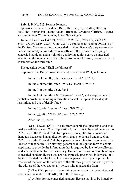**Sub. S. B. No. 215**-Senator Johnson.

Cosponsors: Senators Hoagland, Rulli, Huffman, S., Schaffer, Blessing, McColley, Romanchuk, Lang, Antani, Brenner, Gavarone, O'Brien, Roegner Representatives Wilkin, Ginter, Jones, Swearingen.

To amend sections 1547.69, 2923.12, 2923.121, 2923.122, 2923.123, 2923.126, 2923.128, 2923.16, and 2953.37 and to enact section 2923.111 of the Revised Code regarding a concealed handgun licensee's duty to carry the license and notify a law enforcement officer if the licensee is carrying a concealed handgun, and a right of a qualifying adult to carry a concealed handgun in the same manner as if the person was a licensee, was taken up for consideration the third time.

The question being, "Shall the bill pass?"

Representative Kelly moved to amend, amendment 2708, as follows:

In line 1 of the title, after "sections" insert "109.731,"

In line 2 of the title, after "2923.16" insert ", 2923.25"

In line 7 of the title, delete "and"

In line 9 of the title, after "licensee" insert ", and a requirement to publish a brochure including information on state weapons laws, dispute resolution, and use of deadly force"

> In line 10, after "sections" insert "109.731," In line 11, after "2923.16" insert ", 2923.25"

After line 13, insert:

"**Sec. 109.731.** (A)(1) The attorney general shall prescribe, and shall make available to sheriffs an application form that is to be used under section 2923.125 of the Revised Code by a person who applies for a concealed handgun license and an application form that is to be used under section 2923.125 of the Revised Code by a person who applies for the renewal of a license of that nature. The attorney general shall design the form to enable applicants to provide the information that is required by law to be collected, and shall update the form as necessary. Burdens or restrictions to obtaining a concealed handgun license that are not expressly prescribed in law shall not be incorporated into the form. The attorney general shall post a printable version of the form on the web site of the attorney general and shall provide the address of the web site to any person who requests the form.

(2) The Ohio peace officer training commission shall prescribe, and shall make available to sheriffs, all of the following:

(a) A form for the concealed handgun license that is to be issued by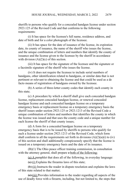sheriffs to persons who qualify for a concealed handgun license under section 2923.125 of the Revised Code and that conforms to the following requirements:

(i) It has space for the licensee's full name, residence address, and date of birth and for a color photograph of the licensee.

(ii) It has space for the date of issuance of the license, its expiration date, its county of issuance, the name of the sheriff who issues the license, and the unique combination of letters and numbers that identify the county of issuance and the license given to the licensee by the sheriff in accordance with division  $(A)(2)(c)$  of this section.

(iii) It has space for the signature of the licensee and the signature or a facsimile signature of the sheriff who issues the license.

(iv) It does not require the licensee to include serial numbers of handguns, other identification related to handguns, or similar data that is not pertinent or relevant to obtaining the license and that could be used as a de facto means of registration of handguns owned by the licensee.

(b) A series of three-letter county codes that identify each county in this state;

(c) A procedure by which a sheriff shall give each concealed handgun license, replacement concealed handgun license, or renewal concealed handgun license and each concealed handgun license on a temporary emergency basis or replacement license on a temporary emergency basis the sheriff issues under section 2923.125 or 2923.1213 of the Revised Code a unique combination of letters and numbers that identifies the county in which the license was issued and that uses the county code and a unique number for each license the sheriff of that county issues;

(d) A form for a concealed handgun license on a temporary emergency basis that is to be issued by sheriffs to persons who qualify for such a license under section 2923.1213 of the Revised Code, which form shall conform to all the requirements set forth in divisions  $(A)(2)(a)(i)$  to  $(iv)$ of this section and shall additionally conspicuously specify that the license is issued on a temporary emergency basis and the date of its issuance.

(B)(1) The Ohio peace officer training commission, in consultation with the attorney general, shall prepare  $a$ -both of the following:

(a) A pamphlet that does all of the following, in everyday language:

 $(a)$  (i) Explains the firearms laws of this state;

 $(b)$ -(ii) Instructs the reader in dispute resolution and explains the laws of this state related to that matter;

 $(e)$  (iii) Provides information to the reader regarding all aspects of the use of deadly force with a firearm, including, but not limited to, the steps that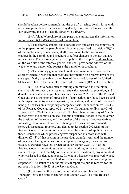should be taken before contemplating the use of, or using, deadly force with a firearm, possible alternatives to using deadly force with a firearm, and the law governing the use of deadly force with a firearm.

(b) A foldable brochure of one page that summarizes the information in divisions  $(B)(1)(a)(ii)$  and  $(iii)$  of this section.

(2) The attorney general shall consult with and assist the commission in the preparation of the pamphlet and brochure described in division  $(B)(1)$ of this section and, as necessary, shall recommend to the commission changes in the pamphlet and brochure to reflect changes in the law that are relevant to it. The attorney general shall publish the pamphlet and brochure on the web site of the attorney general and shall provide the address of the web site to any person who requests the pamphlet or brochure.

(3) The attorney general shall create and maintain a section on the attorney general's web site that provides information on firearms laws of this state specifically applicable to members of the armed forces of the United States and a link to the pamphlet described in division (B)(1) of this section.

(C) The Ohio peace officer training commission shall maintain statistics with respect to the issuance, renewal, suspension, revocation, and denial of concealed handgun licenses under section 2923.125 of the Revised Code and the suspension of processing of applications for those licenses, and with respect to the issuance, suspension, revocation, and denial of concealed handgun licenses on a temporary emergency basis under section 2923.1213 of the Revised Code, as reported by the sheriffs pursuant to division (C) of section 2923.129 of the Revised Code. Not later than the first day of March in each year, the commission shall submit a statistical report to the governor, the president of the senate, and the speaker of the house of representatives indicating the number of concealed handgun licenses that were issued, renewed, suspended, revoked, and denied under section 2923.125 of the Revised Code in the previous calendar year, the number of applications for those licenses for which processing was suspended in accordance with division (D)(3) of that section in the previous calendar year, and the number of concealed handgun licenses on a temporary emergency basis that were issued, suspended, revoked, or denied under section 2923.1213 of the Revised Code in the previous calendar year. Nothing in the statistics or the statistical report shall identify, or enable the identification of, any individual who was issued or denied a license, for whom a license was renewed, whose license was suspended or revoked, or for whom application processing was suspended. The statistics and the statistical report are public records for the purpose of section 149.43 of the Revised Code.

(D) As used in this section, "concealed handgun license" and "handgun" have the same meanings as in section 2923.11 of the Revised Code."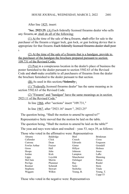After line 1825, insert:

"**Sec. 2923.25.** (A) Each federally licensed firearms dealer who sells any firearm, at shall do all of the following:

(1) At the time of the sale of the a firearm, shall offer for sale to the purchaser of the firearm a trigger lock, gun lock, or gun locking device that is appropriate for that firearm. Each federally licensed firearms dealer shall post :<br>.

(2) At the time of the sale of a firearm that is a handgun, provide to the purchaser of the handgun the brochure prepared pursuant to section 109.731 of the Revised Code;

(3) Post in a conspicuous location in the dealer's place of business the poster furnished to the dealer pursuant to section 5502.63 of the Revised Code and shall make available to all purchasers of firearms from the dealer the brochure furnished to the dealer pursuant to that section.

 $(B)$  As used in this section, "federally:

(1) "Federally licensed firearms dealer" has the same meaning as in section 5502.63 of the Revised Code.

(2) "Firearm" and "handgun" have the same meanings as in section 2923.11 of the Revised Code."

In line 1966, after "sections" insert "109.731,"

In line 1967, after "2923.16" insert ", 2923.25"

The question being, "Shall the motion to amend be agreed to?"

Representative Seitz moved that the motion be laid on the table.

The question being, "Shall the motion to amend be laid on the table?"

The yeas and nays were taken and resulted – yeas 53, nays 39, as follows:

Those who voted in the affirmative were: Representatives

| <b>Abrams</b>        | Baldridge | Bird       | <b>Brinkman</b> |
|----------------------|-----------|------------|-----------------|
| Callender            | Click     | Creech     | <b>Cross</b>    |
| Cutrona              | Dean      | Edwards    | Ferguson        |
| <b>Fowler Arthur</b> | Fraizer   | Ginter     | Grendell        |
| Gross                | Hall      | Hillyer    | Holmes          |
| Hoops                | John      | Johnson    | Jones           |
| Jordan               | Kick      | Lampton    | LaRe            |
| Lipps                | Loychik   | Manchester | Manning         |
| McClain              | Merrin    | Oelslager  | Patton          |
| Pavliga              | Plummer   | Ray        | Riedel          |
| Roemer               | Schmidt   | Seitz      | <b>Stein</b>    |
| <b>Stephens</b>      | Stewart   | Stoltzfus  | Vitale          |
| Wiggam               | Wilkin    | Young, B.  | Young, T.       |
|                      |           |            | $Cupp-53$       |

Those who voted in the negative were: Representatives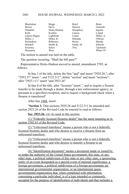| Blackshear   | <b>Boggs</b> | Boyd      | <b>Brent</b> |
|--------------|--------------|-----------|--------------|
| Brown        | Davis        | Denson    | Galonski     |
| Ghanbari     | Hicks-Hudson | Humphrey  | Ingram       |
| Kelly        | Koehler      | Lanese    | Leland       |
| Lepore-Hagan | Lightbody    | Liston    | Miller, A.   |
| Miller, J.   | Miller, K.   | Miranda   | O'Brien      |
| Richardson   | Robinson     | Russo     | Sheehy       |
| Skindell     | Smith, K.    | Smith, M. | Sobecki      |
| Sweeney      | <b>Sykes</b> | Troy      | Upchurch     |
| Weinstein    | West         |           | White-39     |

The motion to amend was laid on the table.

The question recurring, "Shall the bill pass?"

Representative Hicks-Hudson moved to amend, amendment 2705, as follows:

In line 3 of the title, delete the first "and" and insert "2929.28,"; after "2953.37" insert ", and 5122.311"; delete "section" and insert "sections"; after "2923.111" insert "and 2923.26"

In line 9 of the title, after "licensee" insert ", and to require a firearm transfer to be made through a dealer, through a law enforcement agency, or pursuant to a specified exception, and to require a background check when a firearm is transferred"

After line 1968, insert:

"**Section 3.** That sections 2929.28 and 5122.311 be amended and section 2923.26 of the Revised Code be enacted to read as follows:

**Sec. 2923.26.** (A) As used in this section:

(1) "Federally licensed firearms dealer" has the same meaning as in section 5502.63 of the Revised Code.

(2) "Unlicensed transferee" means a person who is not a federally licensed firearms dealer and who desires to receive a firearm from an unlicensed transferor.

(3) "Unlicensed transferor" means a person who is not a federally licensed firearms dealer and who desires to transfer a firearm to an unlicensed transferee.

(4) "Identification document" means a document made or issued by or under the authority of the United States government, this state, or any other state, a political subdivision of this state or any other state, a sponsoring entity of an event designated as a special event of national significance, a foreign government, a political subdivision of a foreign government, an international governmental organization, or an international quasigovernmental organization that, when completed with information concerning a particular individual, is of a type intended or commonly accepted for the purpose of identification of individuals and that includes a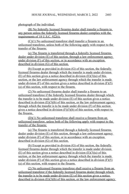photograph of the individual.

(B) No federally licensed firearms dealer shall transfer a firearm to any person unless the federally licensed firearms dealer complies with the requirements of 18 U.S.C. 922(t).

(C)(1) No unlicensed transferor shall transfer a firearm to an unlicensed transferee, unless both of the following apply with respect to the transfer of the firearm:

(a) The firearm is transferred through a federally licensed firearms dealer under division (E) of this section, through a law enforcement agency under division (F) of this section, or in accordance with an exception described in division (G) of this section.

(b) Except as provided in division (G) of this section, the federally licensed firearms dealer through which the transfer is made under division  $(E)$  of this section gives a notice described in division  $(E)(3)(a)$  of this section, or the law enforcement agency through which the transfer is made under division  $(F)$  of this section gives a notice described in division  $(F)(5)$ (a) of this section, with respect to the firearm.

(2) No unlicensed firearms dealer shall transfer a firearm to an unlicensed transferee if the federally licensed firearms dealer through which the transfer is to be made under division (E) of this section gives a notice described in division  $(E)(3)(b)$  of this section, or the law enforcement agency through which the transfer is to be made under division (F) of this section gives a notice described in division  $(F)(5)(b)$  of this section, with respect to the firearm.

(D)(1) No unlicensed transferee shall receive a firearm from an unlicensed transferor, unless both of the following apply with respect to the transfer of the firearm:

(a) The firearm is transferred through a federally licensed firearms dealer under division (E) of this section, through a law enforcement agency under division (F) of this section, or in accordance with an exception described in division (G) of this section.

(b) Except as provided in division (G) of this section, the federally licensed firearms dealer through which the transfer is made under division (E) of this section gives a notice described in division  $(E)(3)(a)$  of this section, or the law enforcement agency through which the transfer is made under division  $(F)$  of this section gives a notice described in division  $(F)(5)$ (a) of this section, with respect to the firearm.

(2) No unlicensed firearms transferee shall receive a firearm from an unlicensed transferor if the federally licensed firearms dealer through which the transfer is to be made under division (E) of this section gives a notice described in division (E)(3)(b) of this section, or the law enforcement agency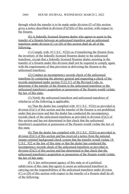through which the transfer is to be made under division (F) of this section gives a notice described in division  $(F)(5)(b)$  of this section, with respect to the firearm.

(E) A federally licensed firearms dealer who agrees to assist in the transfer of a firearm between an unlicensed transferor and an unlicensed transferee under division (C) or (D) of this section shall do all of the following:

(1) Comply with 18 U.S.C. 922(t) as if transferring the firearm from the inventory of the federally licensed firearms dealer to the unlicensed transferee, except that a federally licensed firearms dealer assisting in the transfer of a firearm under this division shall not be required to comply again with the requirements of that provision in delivering the firearm to the unlicensed transferee;

(2) Conduct an incompetency records check of the unlicensed transferee by contacting the attorney general and requesting a check of the records maintained under section 5122.311 of the Revised Code, to determine if the transfer of the firearm to the unlicensed transferee or the unlicensed transferee's acquisition or possession of the firearm would violate the law of this state;

(3) Notify the unlicensed transferor and unlicensed transferee of whichever of the following is applicable:

(a) That the dealer has complied with 18 U.S.C. 922(t) as provided in division  $(E)(1)$  of this section and the transfer of the firearm is not prohibited under that provision and that the dealer has conducted the incompetency records check of the unlicensed transferee as provided in division (E)(2) of this section and has not determined in that check that the unlicensed transferee's acquisition or possession of the firearm would violate the law of this state;

(b) That the dealer has complied with 18 U.S.C. 922(t) as provided in division (E)(1) of this section and has received a notice from the national instant criminal background check system that the transfer would violate 18 U.S.C. 922 or the law of this state or that the dealer has conducted the incompetency records check of the unlicensed transferee as provided in division (E)(2) of this section and has determined in that check that the unlicensed transferee's acquisition or possession of the firearm would violate the law of this state.

(F) A law enforcement agency of this state or of a political subdivision of this state that agrees to assist an unlicensed transferor in carrying out the responsibilities of the unlicensed transferor under division (C) or (D) of this section with respect to the transfer of a firearm shall do all of the following: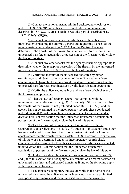(1) Contact the national instant criminal background check system under 18 U.S.C. 922(t) and either receive an identification number as described in 18 U.S.C.  $922(t)(1)(B)(i)$  or wait the period described in 18 U.S.C.  $922(t)(1)(B)(ii)$ ;

(2) Conduct an incompetency records check of the unlicensed transferee by contacting the attorney general and requesting a check of the records maintained under section 5122.311 of the Revised Code, to determine if the transfer of the firearm to the unlicensed transferee or the unlicensed transferee's acquisition or possession of the firearm would violate the law of this state;

(3) Conduct any other checks that the agency considers appropriate to determine whether the receipt or possession of the firearm by the unlicensed transferee would violate 18 U.S.C. 922 or the law of this state;

(4) Verify the identity of the unlicensed transferee by either examining a valid identification document of the unlicensed transferee containing a photograph of the unlicensed transferee or confirming that the unlicensed transferor has examined such a valid identification document;

(5) Notify the unlicensed transferor and transferee of whichever of the following is applicable:

(a) That the law enforcement agency has complied with the requirements under divisions  $(F)(1)$ ,  $(2)$ ,  $(3)$ , and  $(4)$  of this section and that the transfer of the firearm is not prohibited under 18 U.S.C 922(t) and the agency has not determined in the incompetency records check conducted under division  $(F)(2)$  of this section or a records check conducted under division (F)(3) of this section that the unlicensed transferee's acquisition or possession of the firearm would violate the law of this state;

(b) That the law enforcement agency has complied with the requirements under divisions  $(F)(1)$ ,  $(2)$ ,  $(3)$ , and  $(4)$  of this section and either has received a notification from the national instant criminal background check system that the transfer would violate 18 U.S.C. section 922 or the law of this state or has determined under the incompetency records check conducted under division (F)(2) of this section or a records check conducted under division  $(F)(3)$  of this section that the unlicensed transferee's acquisition or possession of the firearm would violate the law of this state.

(G) Unless prohibited by any other provision of law, divisions (C) and (D) of this section shall not apply to any transfer of a firearm between an unlicensed transferor and unlicensed transferee if any of the following apply with respect to the transfer:

(1) The transfer is temporary and occurs while in the home of the unlicensed transferee, the unlicensed transferee is not otherwise prohibited from possessing firearms, and the unlicensed transferee believes that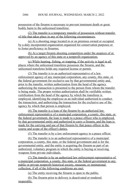possession of the firearm is necessary to prevent imminent death or great bodily harm to the unlicensed transferee.

(2) The transfer is a temporary transfer of possession without transfer of title that takes place in any of the following circumstances:

(a) At a shooting range located in or on premises owned or occupied by a duly incorporated organization organized for conservation purposes or to foster proficiency in firearms;

(b) At a target firearm shooting competition under the auspices of or approved by an agency of this state or a nonprofit organization;

(c) While hunting, fishing, or trapping, if the activity is legal in all places where the unlicensed transferee possesses the firearm, and the unlicensed transferee holds any required license or permit.

(3) The transfer is to an authorized representative of a law enforcement agency of any municipal corporation, any county, this state, or the federal government for exclusive use by that governmental entity and, prior to the transfer, written authorization from the head of the agency authorizing the transaction is presented to the person from whom the transfer is being made. The proper written authorization shall be verifiable written certification from the head of the agency by which the transferee is employed, identifying the employee as an individual authorized to conduct the transaction, and authorizing the transaction for the exclusive use of the agency by which that person is employed.

(4) The transfer is a loan of the firearm by an authorized law enforcement representative of a municipal corporation, a county, this state, or the federal government, the loan is made to a peace officer who is employed by that governmental entity and authorized to carry a firearm, and the loan is made for the carrying and use of that firearm by that peace officer in the course and scope of the officer's duties.

(5) The transfer is by a law enforcement agency to a peace officer.

(6) The transfer is to an authorized representative of a municipal corporation, a county, this state, or the federal government and is for the governmental entity, and the entity is acquiring the firearm as part of an authorized, voluntary program in which the entity is buying or receiving weapons from private individuals.

(7) The transfer is by an authorized law enforcement representative of a municipal corporation, a county, this state, or the federal government to any public or private nonprofit historical society, museum, or institutional collection, if all of the following conditions are met:

(a) The entity receiving the firearm is open to the public.

(b) The firearm prior to delivery is deactivated or rendered inoperable.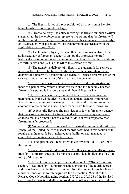(c) The firearm is not of a type prohibited by provision of law from being transferred to the public at large.

(d) Prior to delivery, the entity receiving the firearm submits a written statement to the law enforcement representative stating that the firearm will not be restored to operating condition and will either remain with that entity, or if subsequently disposed of, will be transferred in accordance with the applicable provisions of law.

(8) The transfer is by any person other than a representative of an authorized law enforcement agency to any public or private nonprofit historical society, museum, or institutional collection, if all of the conditions set forth in divisions (G)(7)(a) to (d) of this section are met.

(9) The transfer is delivery of a firearm to a gunsmith for service or repair, is the return of the firearm to its owner by the gunsmith, or is the delivery of a firearm by a gunsmith to a federally licensed firearms dealer for service or repair or the return of the firearm to the gunsmith.

(10) The transfer is made by a person who resides in this state, is made to a person who resides outside this state and is a federally licensed firearms dealer, and is in accordance with federal firearms law.

(11) The transfer is of any unloaded firearm to a wholesaler as merchandise in the wholesaler's business by a manufacturer or importer licensed to engage in that business pursuant to federal firearms law or by another wholesaler and is made in accordance with federal firearms law.

(H) A federally licensed firearms dealer or law enforcement agency that processes the transfer of a firearm under this section may assess and collect a fee, in an amount not to exceed ten dollars, with respect to each firearm transfer processed.

(I) Nothing in this section shall be construed to authorize the attorney general of the United States to inspect records described in this section or to require that the records be transferred to a facility owned, managed, or controlled by this state or the United States.

 $(J)(1)$  No person shall recklessly violate division  $(B)$ ,  $(C)$ , or  $(D)$  of this section.

(2) Whoever violates division  $(J)(1)$  of this section is guilty of illegal transfer of a firearm, and shall be punished as provided in divisions  $(J)(2)(a)$ to (c) of this section.

(a) Except as otherwise provided in division  $(J)(2)(b)$  or (c) of this section, illegal transfer of a firearm is a misdemeanor of the fourth degree and the offender shall be fined an amount from the range of possible fines for a misdemeanor of the fourth degree set forth in section 2929.28 of the Revised Code. Notwithstanding sections 2929.21 to 2929.28 of the Revised Code, no other sanction shall be imposed on the offender under any of those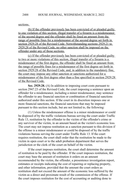#### sections.

(b) If the offender previously has been convicted of or pleaded guilty to one violation of this section, illegal transfer of a firearm is a misdemeanor of the second degree and the offender shall be fined an amount from the range of possible fines for a misdemeanor of the second degree set forth in section 2929.28 of the Revised Code. Notwithstanding sections 2929.21 to 2929.28 of the Revised Code, no other sanction shall be imposed on the offender under any of those sections.

(c) If the offender previously has been convicted of or pleaded guilty to two or more violations of this section, illegal transfer of a firearm is a misdemeanor of the first degree, the offender shall be fined an amount from the range of possible fines for a misdemeanor of the first degree set forth in section 2929.28 of the Revised Code, and, in addition to the mandatory fine, the court may impose any other sanction or sanctions authorized for a misdemeanor of the first degree other than a fine specified in section 2929.28 of the Revised Code.

**Sec. 2929.28.** (A) In addition to imposing court costs pursuant to section 2947.23 of the Revised Code, the court imposing a sentence upon an offender for a misdemeanor, including a minor misdemeanor, may sentence the offender to any financial sanction or combination of financial sanctions authorized under this section. If the court in its discretion imposes one or more financial sanctions, the financial sanctions that may be imposed pursuant to this section include, but are not limited to, the following:

(1) Unless the misdemeanor offense is a minor misdemeanor or could be disposed of by the traffic violations bureau serving the court under Traffic Rule 13, restitution by the offender to the victim of the offender's crime or any survivor of the victim, in an amount based on the victim's economic loss. The court may not impose restitution as a sanction pursuant to this division if the offense is a minor misdemeanor or could be disposed of by the traffic violations bureau serving the court under Traffic Rule 13. If the court requires restitution, the court shall order that the restitution be made to the victim in open court or to the adult probation department that serves the jurisdiction or the clerk of the court on behalf of the victim.

If the court imposes restitution, the court shall determine the amount of restitution to be paid by the offender. If the court imposes restitution, the court may base the amount of restitution it orders on an amount recommended by the victim, the offender, a presentence investigation report, estimates or receipts indicating the cost of repairing or replacing property, and other information, provided that the amount the court orders as restitution shall not exceed the amount of the economic loss suffered by the victim as a direct and proximate result of the commission of the offense. If the court imposes restitution for the cost of accounting or auditing done to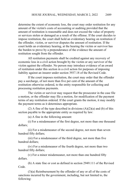determine the extent of economic loss, the court may order restitution for any amount of the victim's costs of accounting or auditing provided that the amount of restitution is reasonable and does not exceed the value of property or services stolen or damaged as a result of the offense. If the court decides to impose restitution, the court shall hold an evidentiary hearing on restitution if the offender, victim, or survivor disputes the amount of restitution. If the court holds an evidentiary hearing, at the hearing the victim or survivor has the burden to prove by a preponderance of the evidence the amount of restitution sought from the offender.

All restitution payments shall be credited against any recovery of economic loss in a civil action brought by the victim or any survivor of the victim against the offender. No person may introduce evidence of an award of restitution under this section in a civil action for purposes of imposing liability against an insurer under section 3937.18 of the Revised Code.

If the court imposes restitution, the court may order that the offender pay a surcharge, of not more than five per cent of the amount of the restitution otherwise ordered, to the entity responsible for collecting and processing restitution payments.

The victim or survivor may request that the prosecutor in the case file a motion, or the offender may file a motion, for modification of the payment terms of any restitution ordered. If the court grants the motion, it may modify the payment terms as it determines appropriate.

(2) A fine of the type described in divisions  $(A)(2)(a)$  and (b) of this section payable to the appropriate entity as required by law:

(a) A fine in the following amount:

(i) For a misdemeanor of the first degree, not more than one thousand dollars;

(ii) For a misdemeanor of the second degree, not more than seven hundred fifty dollars;

(iii) For a misdemeanor of the third degree, not more than five hundred dollars;

(iv) For a misdemeanor of the fourth degree, not more than two hundred fifty dollars;

(v) For a minor misdemeanor, not more than one hundred fifty dollars.

(b) A state fine or cost as defined in section 2949.111 of the Revised Code.

(3)(a) Reimbursement by the offender of any or all of the costs of sanctions incurred by the government, including, but not limited to, the following: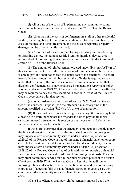(i) All or part of the costs of implementing any community control sanction, including a supervision fee under section 2951.021 of the Revised Code;

(ii) All or part of the costs of confinement in a jail or other residential facility, including, but not limited to, a per diem fee for room and board, the costs of medical and dental treatment, and the costs of repairing property damaged by the offender while confined;

(iii) All or part of the cost of purchasing and using an immobilizing or disabling device, including a certified ignition interlock device, or a remote alcohol monitoring device that a court orders an offender to use under section 4510.13 of the Revised Code.

(b) The amount of reimbursement ordered under division  $(A)(3)(a)$  of this section shall not exceed the total amount of reimbursement the offender is able to pay and shall not exceed the actual cost of the sanctions. The court may collect any amount of reimbursement the offender is required to pay under that division. If the court does not order reimbursement under that division, confinement costs may be assessed pursuant to a repayment policy adopted under section 2929.37 of the Revised Code. In addition, the offender may be required to pay the fees specified in section 2929.38 of the Revised Code in accordance with that section.

(4) For a misdemeanor violation of section 2923.26 of the Revised Code, the court shall impose upon the offender a mandatory fine in the amount specified in division  $(J)(2)(a)$ ,  $(b)$ , or  $(c)$  of that section.

(B) If the court determines a hearing is necessary, the court may hold a hearing to determine whether the offender is able to pay the financial sanction imposed pursuant to this section or court costs or is likely in the future to be able to pay the sanction or costs.

If the court determines that the offender is indigent and unable to pay the financial sanction or court costs, the court shall consider imposing and may impose a term of community service under division (A) of section 2929.27 of the Revised Code in lieu of imposing a financial sanction or court costs. If the court does not determine that the offender is indigent, the court may impose a term of community service under division (A) of section 2929.27 of the Revised Code in lieu of or in addition to imposing a financial sanction under this section and in addition to imposing court costs. The court may order community service for a minor misdemeanor pursuant to division (D) of section 2929.27 of the Revised Code in lieu of or in addition to imposing a financial sanction under this section and in addition to imposing court costs. If a person fails to pay a financial sanction or court costs, the court may order community service in lieu of the financial sanction or court costs.

 $(C)(1)$  The offender shall pay reimbursements imposed upon the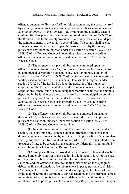offender pursuant to division  $(A)(3)$  of this section to pay the costs incurred by a county pursuant to any sanction imposed under this section or section 2929.26 or 2929.27 of the Revised Code or in operating a facility used to confine offenders pursuant to a sanction imposed under section 2929.26 of the Revised Code to the county treasurer. The county treasurer shall deposit the reimbursements in the county's general fund. The county shall use the amounts deposited in the fund to pay the costs incurred by the county pursuant to any sanction imposed under this section or section 2929.26 or 2929.27 of the Revised Code or in operating a facility used to confine offenders pursuant to a sanction imposed under section 2929.26 of the Revised Code.

(2) The offender shall pay reimbursements imposed upon the offender pursuant to division (A)(3) of this section to pay the costs incurred by a municipal corporation pursuant to any sanction imposed under this section or section 2929.26 or 2929.27 of the Revised Code or in operating a facility used to confine offenders pursuant to a sanction imposed under section 2929.26 of the Revised Code to the treasurer of the municipal corporation. The treasurer shall deposit the reimbursements in the municipal corporation's general fund. The municipal corporation shall use the amounts deposited in the fund to pay the costs incurred by the municipal corporation pursuant to any sanction imposed under this section or section 2929.26 or 2929.27 of the Revised Code or in operating a facility used to confine offenders pursuant to a sanction imposed under section 2929.26 of the Revised Code.

(3) The offender shall pay reimbursements imposed pursuant to division (A)(3) of this section for the costs incurred by a private provider pursuant to a sanction imposed under this section or section 2929.26 or 2929.27 of the Revised Code to the provider.

(D) In addition to any other fine that is or may be imposed under this section, the court imposing sentence upon an offender for misdemeanor domestic violence or menacing by stalking may impose a fine of not less than seventy nor more than five hundred dollars, which shall be transmitted to the treasurer of state to be credited to the address confidentiality program fund created by section 111.48 of the Revised Code.

(E) Except as otherwise provided in this division, a financial sanction imposed under division (A) of this section is a judgment in favor of the state or the political subdivision that operates the court that imposed the financial sanction, and the offender subject to the financial sanction is the judgment debtor. A financial sanction of reimbursement imposed pursuant to division  $(A)(3)(a)(i)$  of this section upon an offender is a judgment in favor of the entity administering the community control sanction, and the offender subject to the financial sanction is the judgment debtor. A financial sanction of reimbursement imposed pursuant to division (A)(3)(a)(ii) of this section upon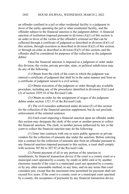an offender confined in a jail or other residential facility is a judgment in favor of the entity operating the jail or other residential facility, and the offender subject to the financial sanction is the judgment debtor. A financial sanction of restitution imposed pursuant to division (A)(1) of this section is an order in favor of the victim of the offender's criminal act that can be collected through a certificate of judgment as described in division  $(E)(1)$  of this section, through execution as described in division  $(E)(2)$  of this section, or through an order as described in division (E)(3) of this section, and the offender shall be considered for purposes of the collection as the judgment debtor.

Once the financial sanction is imposed as a judgment or order under this division, the victim, private provider, state, or political subdivision may do any of the following:

(1) Obtain from the clerk of the court in which the judgment was entered a certificate of judgment that shall be in the same manner and form as a certificate of judgment issued in a civil action;

(2) Obtain execution of the judgment or order through any available procedure, including any of the procedures identified in divisions (E)(1) and (2) of section 2929.18 of the Revised Code.

(3) Obtain an order for the assignment of wages of the judgment debtor under section 1321.33 of the Revised Code.

(F) The civil remedies authorized under division (E) of this section for the collection of the financial sanction supplement, but do not preclude, enforcement of the criminal sentence.

(G) Each court imposing a financial sanction upon an offender under this section may designate the clerk of the court or another person to collect the financial sanction. The clerk, or another person authorized by law or the court to collect the financial sanction may do the following:

(1) Enter into contracts with one or more public agencies or private vendors for the collection of amounts due under the sanction. Before entering into a contract for the collection of amounts due from an offender pursuant to any financial sanction imposed pursuant to this section, a court shall comply with sections 307.86 to 307.92 of the Revised Code.

(2) Permit payment of all or any portion of the sanction in installments, by financial transaction device if the court is a county court or a municipal court operated by a county, by credit or debit card or by another electronic transfer if the court is a municipal court not operated by a county, or by any other reasonable method, in any time, and on any terms that court considers just, except that the maximum time permitted for payment shall not exceed five years. If the court is a county court or a municipal court operated by a county, the acceptance of payments by any financial transaction device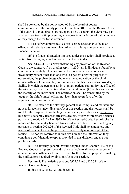shall be governed by the policy adopted by the board of county commissioners of the county pursuant to section 301.28 of the Revised Code. If the court is a municipal court not operated by a county, the clerk may pay any fee associated with processing an electronic transfer out of public money or may charge the fee to the offender.

(3) To defray administrative costs, charge a reasonable fee to an offender who elects a payment plan rather than a lump sum payment of any financial sanction.

(H) No financial sanction imposed under this section shall preclude a victim from bringing a civil action against the offender.

**Sec. 5122.311.** (A) Notwithstanding any provision of the Revised Code to the contrary, if, on or after April 8, 2004, an individual is found by a court to be a mentally ill person subject to court order or becomes an involuntary patient other than one who is a patient only for purposes of observation, the probate judge who made the adjudication or the chief clinical officer of the hospital, community mental health services provider, or facility in which the person is an involuntary patient shall notify the office of the attorney general, on the form described in division (C) of this section, of the identity of the individual. The notification shall be transmitted by the judge or the chief clinical officer not later than seven days after the adjudication or commitment.

(B) The office of the attorney general shall compile and maintain the notices it receives under division (A) of this section and the notices shall be used for the purpose of conducting incompetency records checks requested by sheriffs, federally licensed firearms dealers, or law enforcement agencies pursuant to section 311.41 or 2923.26 of the Revised Code. Records checks requested by a federally licensed firearms dealer or law enforcement agency pursuant to section 2923.26 of the Revised Code shall be conducted, and results of the checks shall be provided, immediately upon receipt of the request. The notices referred to in this division and the information they contain are confidential, except as provided in this division, and are not public records.

(C) The attorney general, by rule adopted under Chapter 119. of the Revised Code, shall prescribe and make available to all probate judges and all chief clinical officers a form to be used by them for the purpose of making the notifications required by division (A) of this section.

**Section 4.** That existing sections 2929.28 and 5122.311 of the Revised Code are hereby repealed."

In line 1969, delete "**3**" and insert "**5**"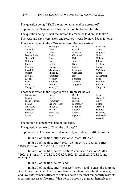#### HOUSE JOURNAL, WEDNESDAY, MARCH 2, 2022 2494

The question being, "Shall the motion to amend be agreed to?" Representative Seitz moved that the motion be laid on the table. The question being, "Shall the motion to amend be laid on the table?" The yeas and nays were taken and resulted – yeas 59, nays 33, as follows: Those who voted in the affirmative were: Representatives

|               | Those who voice in the annihilative were, respresentatives |           |                 |
|---------------|------------------------------------------------------------|-----------|-----------------|
| Abrams        | Baldridge                                                  | Bird      | <b>Brinkman</b> |
| Callender     | Click                                                      | Creech    | Cross           |
| Cutrona       | Dean                                                       | Edwards   | Ferguson        |
| Fowler Arthur | Fraizer                                                    | Ghanbari  | Ginter          |
| Grendell      | Gross                                                      | Hall      | Hillyer         |
| Holmes        | Hoops                                                      | John      | Johnson         |
| Jones         | Jordan                                                     | Kick      | Koehler         |
| Lampton       | Lanese                                                     | LaRe      | Lipps           |
| Loychik       | Manchester                                                 | Manning   | McClain         |
| Merrin        | Miller, K.                                                 | Oelslager | Patton          |
| Pavliga       | Plummer                                                    | Ray       | Richardson      |
| Riedel        | Roemer                                                     | Schmidt   | Seitz           |
| Stein         | <b>Stephens</b>                                            | Stewart   | Stoltzfus       |
| Vitale        | White                                                      | Wiggam    | Wilkin          |
| Young, B.     | Young, T.                                                  |           | $Cupp-59$       |
|               | Those who voted in the negative were: Representatives      |           |                 |
| Blackshear    | <b>Boggs</b>                                               | Boyd      | <b>Brent</b>    |
| <b>Brown</b>  | Davis                                                      | Denson    | Galonski        |
| Hicks-Hudson  | Humphrey                                                   | Ingram    | Kelly           |
| Leland        | Lepore-Hagan                                               | Lightbody | Liston          |
| Miller, A.    | Miller, J.                                                 | Miranda   | O'Brien         |
| Robinson      | Russo                                                      | Sheehy    | Skindell        |
| Smith, K.     | Smith, M.                                                  | Sobecki   | Sweeney         |
| Sykes         | Troy                                                       | Upchurch  | Weinstein       |
|               |                                                            |           | West-33         |

The motion to amend was laid on the table.

The question recurring, "Shall the bill pass?"

Representative Galonski moved to amend, amendment 2704, as follows:

In line 1 of the title, after "sections" insert "109.57,"

In line 2 of the title, after "2923.123" insert ", 2923.125"; after "2923.128" insert ", 2923.1213, 2923.13"

In line 3 of the title, delete "section" and insert "sections"; after "2923.111" insert ", 2923.26, 2923.27, 2923.28, 2923.29, 2923.30, and 2923.99"

In line 7 of the title, delete "and"

In line 9 of the title, after "licensee" insert ", and to enact the Extreme Risk Protection Order Act to allow family members, household members, and law enforcement officers to obtain a court order that temporarily restricts a person's access to firearms if that person poses a danger to themselves or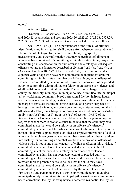others"

After line 1968, insert:

"**Section 3.** That sections 109.57, 2923.125, 2923.128, 2923.1213, and 2923.13 be amended and sections 2923.26, 2923.27, 2923.28, 2923.29, 2923.30, and 2923.99 of the Revised Code be enacted to read as follows:

**Sec. 109.57.** (A)(1) The superintendent of the bureau of criminal identification and investigation shall procure from wherever procurable and file for record photographs, pictures, descriptions, fingerprints, measurements, and other information that may be pertinent of all persons who have been convicted of committing within this state a felony, any crime constituting a misdemeanor on the first offense and a felony on subsequent offenses, or any misdemeanor described in division  $(A)(1)(a)$ ,  $(A)(5)(a)$ , or (A)(7)(a) of section 109.572 of the Revised Code, of all children under eighteen years of age who have been adjudicated delinquent children for committing within this state an act that would be a felony or an offense of violence if committed by an adult or who have been convicted of or pleaded guilty to committing within this state a felony or an offense of violence, and of all well-known and habitual criminals. The person in charge of any county, multicounty, municipal, municipal-county, or multicounty-municipal jail or workhouse, community-based correctional facility, halfway house, alternative residential facility, or state correctional institution and the person in charge of any state institution having custody of a person suspected of having committed a felony, any crime constituting a misdemeanor on the first offense and a felony on subsequent offenses, or any misdemeanor described in division  $(A)(1)(a)$ ,  $(A)(5)(a)$ , or  $(A)(7)(a)$  of section 109.572 of the Revised Code or having custody of a child under eighteen years of age with respect to whom there is probable cause to believe that the child may have committed an act that would be a felony or an offense of violence if committed by an adult shall furnish such material to the superintendent of the bureau. Fingerprints, photographs, or other descriptive information of a child who is under eighteen years of age, has not been arrested or otherwise taken into custody for committing an act that would be a felony or an offense of violence who is not in any other category of child specified in this division, if committed by an adult, has not been adjudicated a delinquent child for committing an act that would be a felony or an offense of violence if committed by an adult, has not been convicted of or pleaded guilty to committing a felony or an offense of violence, and is not a child with respect to whom there is probable cause to believe that the child may have committed an act that would be a felony or an offense of violence if committed by an adult shall not be procured by the superintendent or furnished by any person in charge of any county, multicounty, municipal, municipal-county, or multicounty-municipal jail or workhouse, communitybased correctional facility, halfway house, alternative residential facility, or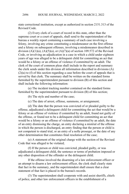state correctional institution, except as authorized in section 2151.313 of the Revised Code.

(2) Every clerk of a court of record in this state, other than the supreme court or a court of appeals, shall send to the superintendent of the bureau a weekly report containing a summary of each case involving a felony, involving any crime constituting a misdemeanor on the first offense and a felony on subsequent offenses, involving a misdemeanor described in division  $(A)(1)(a)$ ,  $(A)(5)(a)$ , or  $(A)(7)(a)$  of section 109.572 of the Revised Code, or involving an adjudication in a case in which a child under eighteen years of age was alleged to be a delinquent child for committing an act that would be a felony or an offense of violence if committed by an adult. The clerk of the court of common pleas shall include in the report and summary the clerk sends under this division all information described in divisions (A) (2)(a) to (f) of this section regarding a case before the court of appeals that is served by that clerk. The summary shall be written on the standard forms furnished by the superintendent pursuant to division (B) of this section and shall include the following information:

(a) The incident tracking number contained on the standard forms furnished by the superintendent pursuant to division (B) of this section;

(b) The style and number of the case;

(c) The date of arrest, offense, summons, or arraignment;

(d) The date that the person was convicted of or pleaded guilty to the offense, adjudicated a delinquent child for committing the act that would be a felony or an offense of violence if committed by an adult, found not guilty of the offense, or found not to be a delinquent child for committing an act that would be a felony or an offense of violence if committed by an adult, the date of an entry dismissing the charge, an entry declaring a mistrial of the offense in which the person is discharged, an entry finding that the person or child is not competent to stand trial, or an entry of a nolle prosequi, or the date of any other determination that constitutes final resolution of the case;

(e) A statement of the original charge with the section of the Revised Code that was alleged to be violated;

(f) If the person or child was convicted, pleaded guilty, or was adjudicated a delinquent child, the sentence or terms of probation imposed or any other disposition of the offender or the delinquent child.

If the offense involved the disarming of a law enforcement officer or an attempt to disarm a law enforcement officer, the clerk shall clearly state that fact in the summary, and the superintendent shall ensure that a clear statement of that fact is placed in the bureau's records.

(3) The superintendent shall cooperate with and assist sheriffs, chiefs of police, and other law enforcement officers in the establishment of a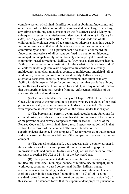complete system of criminal identification and in obtaining fingerprints and other means of identification of all persons arrested on a charge of a felony, any crime constituting a misdemeanor on the first offense and a felony on subsequent offenses, or a misdemeanor described in division  $(A)(1)(a)$ ,  $(A)$  $(5)(a)$ , or  $(A)(7)(a)$  of section 109.572 of the Revised Code and of all children under eighteen years of age arrested or otherwise taken into custody for committing an act that would be a felony or an offense of violence if committed by an adult. The superintendent also shall file for record the fingerprint impressions of all persons confined in a county, multicounty, municipal, municipal-county, or multicounty-municipal jail or workhouse, community-based correctional facility, halfway house, alternative residential facility, or state correctional institution for the violation of state laws and of all children under eighteen years of age who are confined in a county, multicounty, municipal, municipal-county, or multicounty-municipal jail or workhouse, community-based correctional facility, halfway house, alternative residential facility, or state correctional institution or in any facility for delinquent children for committing an act that would be a felony or an offense of violence if committed by an adult, and any other information that the superintendent may receive from law enforcement officials of the state and its political subdivisions.

(4) The superintendent shall carry out Chapter 2950. of the Revised Code with respect to the registration of persons who are convicted of or plead guilty to a sexually oriented offense or a child-victim oriented offense and with respect to all other duties imposed on the bureau under that chapter.

(5) The bureau shall perform centralized recordkeeping functions for criminal history records and services in this state for purposes of the national crime prevention and privacy compact set forth in section 109.571 of the Revised Code and is the criminal history record repository as defined in that section for purposes of that compact. The superintendent or the superintendent's designee is the compact officer for purposes of that compact and shall carry out the responsibilities of the compact officer specified in that compact.

(6) The superintendent shall, upon request, assist a county coroner in the identification of a deceased person through the use of fingerprint impressions obtained pursuant to division (A)(1) of this section or collected pursuant to section 109.572 or 311.41 of the Revised Code.

(B) The superintendent shall prepare and furnish to every county, multicounty, municipal, municipal-county, or multicounty-municipal jail or workhouse, community-based correctional facility, halfway house, alternative residential facility, or state correctional institution and to every clerk of a court in this state specified in division (A)(2) of this section standard forms for reporting the information required under division (A) of this section. The standard forms that the superintendent prepares pursuant to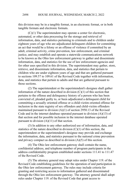this division may be in a tangible format, in an electronic format, or in both tangible formats and electronic formats.

(C)(1) The superintendent may operate a center for electronic, automated, or other data processing for the storage and retrieval of information, data, and statistics pertaining to criminals and to children under eighteen years of age who are adjudicated delinquent children for committing an act that would be a felony or an offense of violence if committed by an adult, criminal activity, crime prevention, law enforcement, and criminal justice, and may establish and operate a statewide communications network to be known as the Ohio law enforcement gateway to gather and disseminate information, data, and statistics for the use of law enforcement agencies and for other uses specified in this division. The superintendent may gather, store, retrieve, and disseminate information, data, and statistics that pertain to children who are under eighteen years of age and that are gathered pursuant to sections 109.57 to 109.61 of the Revised Code together with information, data, and statistics that pertain to adults and that are gathered pursuant to those sections.

(2) The superintendent or the superintendent's designee shall gather information of the nature described in division  $(C)(1)$  of this section that pertains to the offense and delinquency history of a person who has been convicted of, pleaded guilty to, or been adjudicated a delinquent child for committing a sexually oriented offense or a child-victim oriented offense for inclusion in the state registry of sex offenders and child-victim offenders maintained pursuant to division (A)(1) of section 2950.13 of the Revised Code and in the internet database operated pursuant to division (A)(13) of that section and for possible inclusion in the internet database operated pursuant to division (A)(11) of that section.

(3) In addition to any other authorized use of information, data, and statistics of the nature described in division  $(C)(1)$  of this section, the superintendent or the superintendent's designee may provide and exchange the information, data, and statistics pursuant to the national crime prevention and privacy compact as described in division (A)(5) of this section.

(4) The Ohio law enforcement gateway shall contain the name, confidential address, and telephone number of program participants in the address confidentiality program established under sections 111.41 to 111.47 of the Revised Code.

(5) The attorney general may adopt rules under Chapter 119. of the Revised Code establishing guidelines for the operation of and participation in the Ohio law enforcement gateway. The rules may include criteria for granting and restricting access to information gathered and disseminated through the Ohio law enforcement gateway. The attorney general shall adopt rules under Chapter 119. of the Revised Code that grant access to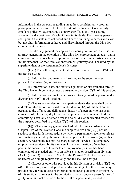information in the gateway regarding an address confidentiality program participant under sections 111.41 to 111.47 of the Revised Code to only chiefs of police, village marshals, county sheriffs, county prosecuting attorneys, and a designee of each of these individuals. The attorney general shall permit the state medical board and board of nursing to access and view, but not alter, information gathered and disseminated through the Ohio law enforcement gateway.

The attorney general may appoint a steering committee to advise the attorney general in the operation of the Ohio law enforcement gateway that is comprised of persons who are representatives of the criminal justice agencies in this state that use the Ohio law enforcement gateway and is chaired by the superintendent or the superintendent's designee.

(D)(1) The following are not public records under section 149.43 of the Revised Code:

(a) Information and materials furnished to the superintendent pursuant to division (A) of this section;

(b) Information, data, and statistics gathered or disseminated through the Ohio law enforcement gateway pursuant to division  $(C)(1)$  of this section;

(c) Information and materials furnished to any board or person under division (F) or (G) of this section.

(2) The superintendent or the superintendent's designee shall gather and retain information so furnished under division (A) of this section that pertains to the offense and delinquency history of a person who has been convicted of, pleaded guilty to, or been adjudicated a delinquent child for committing a sexually oriented offense or a child-victim oriented offense for the purposes described in division  $(C)(2)$  of this section.

(E)(1) The attorney general shall adopt rules, in accordance with Chapter 119. of the Revised Code and subject to division (E)(2) of this section, setting forth the procedure by which a person may receive or release information gathered by the superintendent pursuant to division (A) of this section. A reasonable fee may be charged for this service. If a temporary employment service submits a request for a determination of whether a person the service plans to refer to an employment position has been convicted of or pleaded guilty to an offense listed or described in division  $(A)(1)$ ,  $(2)$ , or  $(3)$  of section 109.572 of the Revised Code, the request shall be treated as a single request and only one fee shall be charged.

(2) Except as otherwise provided in this division or division (E)(3) or (4) of this section, a rule adopted under division  $(E)(1)$  of this section may provide only for the release of information gathered pursuant to division (A) of this section that relates to the conviction of a person, or a person's plea of guilty to, a criminal offense or to the arrest of a person as provided in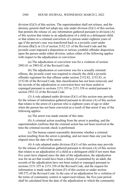division (E)(3) of this section. The superintendent shall not release, and the attorney general shall not adopt any rule under division (E)(1) of this section that permits the release of, any information gathered pursuant to division (A) of this section that relates to an adjudication of a child as a delinquent child, or that relates to a criminal conviction of a person under eighteen years of age if the person's case was transferred back to a juvenile court under division (B)(2) or (3) of section 2152.121 of the Revised Code and the juvenile court imposed a disposition or serious youthful offender disposition upon the person under either division, unless either of the following applies with respect to the adjudication or conviction:

(a) The adjudication or conviction was for a violation of section 2903.01 or 2903.02 of the Revised Code.

(b) The adjudication or conviction was for a sexually oriented offense, the juvenile court was required to classify the child a juvenile offender registrant for that offense under section 2152.82, 2152.83, or 2152.86 of the Revised Code, that classification has not been removed, and the records of the adjudication or conviction have not been sealed or expunged pursuant to sections 2151.355 to 2151.358 or sealed pursuant to section 2952.32 of the Revised Code.

(3) A rule adopted under division (E)(1) of this section may provide for the release of information gathered pursuant to division (A) of this section that relates to the arrest of a person who is eighteen years of age or older when the person has not been convicted as a result of that arrest if any of the following applies:

(a) The arrest was made outside of this state.

(b) A criminal action resulting from the arrest is pending, and the superintendent confirms that the criminal action has not been resolved at the time the criminal records check is performed.

(c) The bureau cannot reasonably determine whether a criminal action resulting from the arrest is pending, and not more than one year has elapsed since the date of the arrest.

(4) A rule adopted under division  $(E)(1)$  of this section may provide for the release of information gathered pursuant to division (A) of this section that relates to an adjudication of a child as a delinquent child if not more than five years have elapsed since the date of the adjudication, the adjudication was for an act that would have been a felony if committed by an adult, the records of the adjudication have not been sealed or expunged pursuant to sections 2151.355 to 2151.358 of the Revised Code, and the request for information is made under division (F) of this section or under section 109.572 of the Revised Code. In the case of an adjudication for a violation of the terms of community control or supervised release, the five-year period shall be calculated from the date of the adjudication to which the community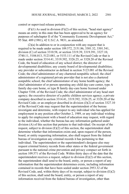control or supervised release pertains.

 $(F)(1)$  As used in division  $(F)(2)$  of this section, "head start agency" means an entity in this state that has been approved to be an agency for purposes of subchapter II of the "Community Economic Development Act," 95 Stat. 489 (1981), 42 U.S.C.A. 9831, as amended.

(2)(a) In addition to or in conjunction with any request that is required to be made under section 109.572, 2151.86, 3301.32, 3301.541, division (C) of section 3310.58, or section 3319.39, 3319.391, 3327.10, 3740.11, 5104.013, 5123.081, or 5153.111 of the Revised Code or that is made under section 3314.41, 3319.392, 3326.25, or 3328.20 of the Revised Code, the board of education of any school district; the director of developmental disabilities; any county board of developmental disabilities; any provider or subcontractor as defined in section 5123.081 of the Revised Code; the chief administrator of any chartered nonpublic school; the chief administrator of a registered private provider that is not also a chartered nonpublic school; the chief administrator of any home health agency; the chief administrator of or person operating any child day-care center, type A family day-care home, or type B family day-care home licensed under Chapter 5104. of the Revised Code; the chief administrator of any head start agency; the executive director of a public children services agency; a private company described in section 3314.41, 3319.392, 3326.25, or 3328.20 of the Revised Code; or an employer described in division (J)(2) of section 3327.10 of the Revised Code may request that the superintendent of the bureau investigate and determine, with respect to any individual who has applied for employment in any position after October 2, 1989, or any individual wishing to apply for employment with a board of education may request, with regard to the individual, whether the bureau has any information gathered under division (A) of this section that pertains to that individual. On receipt of the request, subject to division  $(E)(2)$  of this section, the superintendent shall determine whether that information exists and, upon request of the person, board, or entity requesting information, also shall request from the federal bureau of investigation any criminal records it has pertaining to that individual. The superintendent or the superintendent's designee also may request criminal history records from other states or the federal government pursuant to the national crime prevention and privacy compact set forth in section 109.571 of the Revised Code. Within thirty days of the date that the superintendent receives a request, subject to division (E)(2) of this section, the superintendent shall send to the board, entity, or person a report of any information that the superintendent determines exists, including information contained in records that have been sealed under section 2953.32 of the Revised Code, and, within thirty days of its receipt, subject to division (E)(2) of this section, shall send the board, entity, or person a report of any information received from the federal bureau of investigation, other than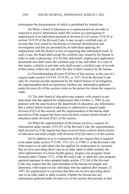information the dissemination of which is prohibited by federal law.

(b) When a board of education or a registered private provider is required to receive information under this section as a prerequisite to employment of an individual pursuant to division (C) of section 3310.58 or section 3319.39 of the Revised Code, it may accept a certified copy of records that were issued by the bureau of criminal identification and investigation and that are presented by an individual applying for employment with the district in lieu of requesting that information itself. In such a case, the board shall accept the certified copy issued by the bureau in order to make a photocopy of it for that individual's employment application documents and shall return the certified copy to the individual. In a case of that nature, a district or provider only shall accept a certified copy of records of that nature within one year after the date of their issuance by the bureau.

(c) Notwithstanding division (F)(2)(a) of this section, in the case of a request under section 3319.39, 3319.391, or 3327.10 of the Revised Code only for criminal records maintained by the federal bureau of investigation, the superintendent shall not determine whether any information gathered under division  $(A)$  of this section exists on the person for whom the request is made.

(3) The state board of education may request, with respect to any individual who has applied for employment after October 2, 1989, in any position with the state board or the department of education, any information that a school district board of education is authorized to request under division (F)(2) of this section, and the superintendent of the bureau shall proceed as if the request has been received from a school district board of education under division (F)(2) of this section.

(4) When the superintendent of the bureau receives a request for information under section 3319.291 of the Revised Code, the superintendent shall proceed as if the request has been received from a school district board of education and shall comply with divisions  $(F)(2)(a)$  and  $(c)$  of this section.

(G) In addition to or in conjunction with any request that is required to be made under section 3712.09, 3721.121, or 3740.11 of the Revised Code with respect to an individual who has applied for employment in a position that involves providing direct care to an older adult or adult resident, the chief administrator of a home health agency, hospice care program, home licensed under Chapter 3721. of the Revised Code, or adult day-care program operated pursuant to rules adopted under section 3721.04 of the Revised Code may request that the superintendent of the bureau investigate and determine, with respect to any individual who has applied after January 27, 1997, for employment in a position that does not involve providing direct care to an older adult or adult resident, whether the bureau has any information gathered under division (A) of this section that pertains to that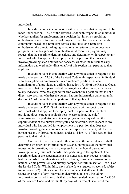## individual.

In addition to or in conjunction with any request that is required to be made under section 173.27 of the Revised Code with respect to an individual who has applied for employment in a position that involves providing ombudsman services to residents of long-term care facilities or recipients of community-based long-term care services, the state long-term care ombudsman, the director of aging, a regional long-term care ombudsman program, or the designee of the ombudsman, director, or program may request that the superintendent investigate and determine, with respect to any individual who has applied for employment in a position that does not involve providing such ombudsman services, whether the bureau has any information gathered under division (A) of this section that pertains to that applicant.

In addition to or in conjunction with any request that is required to be made under section 173.38 of the Revised Code with respect to an individual who has applied for employment in a direct-care position, the chief administrator of a provider, as defined in section 173.39 of the Revised Code, may request that the superintendent investigate and determine, with respect to any individual who has applied for employment in a position that is not a direct-care position, whether the bureau has any information gathered under division (A) of this section that pertains to that applicant.

In addition to or in conjunction with any request that is required to be made under section 3712.09 of the Revised Code with respect to an individual who has applied for employment in a position that involves providing direct care to a pediatric respite care patient, the chief administrator of a pediatric respite care program may request that the superintendent of the bureau investigate and determine, with respect to any individual who has applied for employment in a position that does not involve providing direct care to a pediatric respite care patient, whether the bureau has any information gathered under division (A) of this section that pertains to that individual.

On receipt of a request under this division, the superintendent shall determine whether that information exists and, on request of the individual requesting information, shall also request from the federal bureau of investigation any criminal records it has pertaining to the applicant. The superintendent or the superintendent's designee also may request criminal history records from other states or the federal government pursuant to the national crime prevention and privacy compact set forth in section 109.571 of the Revised Code. Within thirty days of the date a request is received, subject to division (E)(2) of this section, the superintendent shall send to the requester a report of any information determined to exist, including information contained in records that have been sealed under section 2953.32 of the Revised Code, and, within thirty days of its receipt, shall send the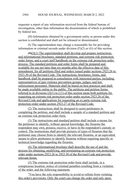requester a report of any information received from the federal bureau of investigation, other than information the dissemination of which is prohibited by federal law.

(H) Information obtained by a government entity or person under this section is confidential and shall not be released or disseminated.

(I) The superintendent may charge a reasonable fee for providing information or criminal records under division (F)(2) or (G) of this section.

 $(+)(J)(1)$  The superintendent shall develop and prepare instructions and informational brochures, standard petitions, and extreme risk protection order forms, and a court staff handbook on the extreme risk protection order process. The standard petitions and order forms shall be prepared and available for use not later than six months after the effective date of this amendment, for all petitions filed and orders issued under sections 2923.26 to 2923.30 of the Revised Code. The instructions, brochures, forms, and handbook shall be prepared in consultation with interested parties, including representatives of gun violence prevention groups, judges, and law enforcement personnel. Materials shall be based on best practices and shall be made available online to the public. The petitions and petition forms referred to in divisions  $(J)(1)$  to  $(11)$  of this section mean both petitions for requesting an extreme risk protection order under section 2923.26 of the Revised Code and applications for requesting an ex parte extreme risk protection order under section 2923.27 of the Revised Code.

(2) The instructions shall be designed to assist petitioners in completing the petition, and shall include a sample of a standard petition and an extreme risk protection order form.

(3) The instructions and standard petition shall include a means for the petitioner to identify, without special knowledge, the firearms the respondent may own, possess, receive, or have in the respondent's custody or control. The instructions shall provide pictures of types of firearms that the petitioner may choose from to identify the relevant firearms, or an equivalent means to allow petitioners to identify firearms without requiring specific or technical knowledge regarding the firearms.

(4) The informational brochure shall describe the use of and the process for obtaining, modifying, and terminating an extreme risk protection order under sections 2923.26 to 2923.30 of the Revised Code and provide relevant forms.

(5) The extreme risk protection order form shall include, in a conspicuous location, notice of criminal penalties resulting from a violation of the order, and the following statement:

"You have the sole responsibility to avoid or refrain from violating this order's provisions. Only the court can change the order and only upon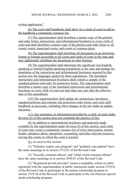written application."

(6) The court staff handbook shall allow for a clerk of court to add to the handbook a community resource list.

(7) The superintendent shall distribute a master copy of the petition and order forms, instructions, and informational brochures to every clerk of court and shall distribute a master copy of the petition and order forms to all county courts, municipal courts, and courts of common pleas.

(8) The superintendent shall distribute all documents in an electronic format or formats accessible to all courts and clerks of court in the state and may additionally distribute the documents in other formats.

(9) The superintendent shall determine the significant non-Englishspeaking or limited English-speaking populations in the state and arrange for translation of the instructions and informational brochures required by this section into the languages spoken by those populations. The translated instructions and informational brochures shall contain a sample of the standard petition and order for protection forms. The superintendent shall distribute a master copy of the translated instructions and informational brochures to every clerk of court not later than one year after the effective date of this amendment.

(10) The superintendent shall update the instructions, brochures, standard petitions and extreme risk protection order forms, and court staff handbook as necessary, including when changes in the law make an update necessary.

(11) Any assistance or information provided by a clerk of court under division (J) of this section does not constitute the practice of law.

(K) In addition to informational brochures and materials made available by the superintendent under division (J) of this section, each clerk of court may create a community resource list of crisis intervention, mental health, substance abuse, interpreter, counseling, and other relevant resources serving the county in which the court is located.

(L) As used in this section:

(1) "Pediatric respite care program" and "pediatric care patient" have the same meanings as in section 3712.01 of the Revised Code.

(2) "Sexually oriented offense" and "child-victim oriented offense" have the same meanings as in section 2950.01 of the Revised Code.

(3) "Registered private provider" means a nonpublic school or entity registered with the superintendent of public instruction under section 3310.41 of the Revised Code to participate in the autism scholarship program or section 3310.58 of the Revised Code to participate in the Jon Peterson special needs scholarship program.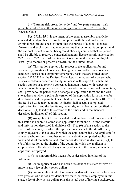## (4) "Extreme risk protection order" and "ex parte extreme risk protection order" have the same meanings as in section 2923.26 of the Revised Code.

**Sec. 2923.125.** It is the intent of the general assembly that Ohio concealed handgun license law be compliant with the national instant criminal background check system, that the bureau of alcohol, tobacco, firearms, and explosives is able to determine that Ohio law is compliant with the national instant criminal background check system, and that no person shall be eligible to receive a concealed handgun license permit under section 2923.125 or 2923.1213 of the Revised Code unless the person is eligible lawfully to receive or possess a firearm in the United States.

(A) This section applies with respect to the application for and issuance by this state of concealed handgun licenses other than concealed handgun licenses on a temporary emergency basis that are issued under section 2923.1213 of the Revised Code. Upon the request of a person who wishes to obtain a concealed handgun license with respect to which this section applies or to renew a concealed handgun license with respect to which this section applies, a sheriff, as provided in division (I) of this section, shall provide to the person free of charge an application form and the web site address at which a printable version of the application form that can be downloaded and the pamphlet described in division (B) of section 109.731 of the Revised Code may be found. A sheriff shall accept a completed application form and the fee, items, materials, and information specified in divisions  $(B)(1)$  to  $(5)$  of this section at the times and in the manners described in division (I) of this section.

(B) An applicant for a concealed handgun license who is a resident of this state shall submit a completed application form and all of the material and information described in divisions  $(B)(1)$  to  $(6)$  of this section to the sheriff of the county in which the applicant resides or to the sheriff of any county adjacent to the county in which the applicant resides. An applicant for a license who resides in another state shall submit a completed application form and all of the material and information described in divisions (B)(1) to (7) of this section to the sheriff of the county in which the applicant is employed or to the sheriff of any county adjacent to the county in which the applicant is employed:

(1)(a) A nonrefundable license fee as described in either of the following:

(i) For an applicant who has been a resident of this state for five or more years, a fee of sixty-seven dollars;

(ii) For an applicant who has been a resident of this state for less than five years or who is not a resident of this state, but who is employed in this state, a fee of sixty-seven dollars plus the actual cost of having a background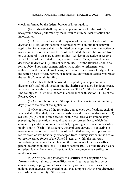check performed by the federal bureau of investigation.

(b) No sheriff shall require an applicant to pay for the cost of a background check performed by the bureau of criminal identification and investigation.

(c) A sheriff shall waive the payment of the license fee described in division (B)(1)(a) of this section in connection with an initial or renewal application for a license that is submitted by an applicant who is an active or reserve member of the armed forces of the United States or has retired from or was honorably discharged from military service in the active or reserve armed forces of the United States, a retired peace officer, a retired person described in division (B)(1)(b) of section 109.77 of the Revised Code, or a retired federal law enforcement officer who, prior to retirement, was authorized under federal law to carry a firearm in the course of duty, unless the retired peace officer, person, or federal law enforcement officer retired as the result of a mental disability.

(d) The sheriff shall deposit all fees paid by an applicant under division (B)(1)(a) of this section into the sheriff's concealed handgun license issuance fund established pursuant to section 311.42 of the Revised Code. The county shall distribute the fees in accordance with section 311.42 of the Revised Code.

(2) A color photograph of the applicant that was taken within thirty days prior to the date of the application;

(3) One or more of the following competency certifications, each of which shall reflect that, regarding a certification described in division (B)(3) (a), (b), (c), (e), or (f) of this section, within the three years immediately preceding the application the applicant has performed that to which the competency certification relates and that, regarding a certification described in division (B)(3)(d) of this section, the applicant currently is an active or reserve member of the armed forces of the United States, the applicant has retired from or was honorably discharged from military service in the active or reserve armed forces of the United States, or within the ten years immediately preceding the application the retirement of the peace officer, person described in division (B)(1)(b) of section 109.77 of the Revised Code, or federal law enforcement officer to which the competency certification relates occurred:

(a) An original or photocopy of a certificate of completion of a firearms safety, training, or requalification or firearms safety instructor course, class, or program that was offered by or under the auspices of a national gun advocacy organization and that complies with the requirements set forth in division (G) of this section;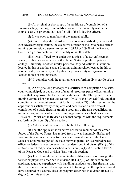(b) An original or photocopy of a certificate of completion of a firearms safety, training, or requalification or firearms safety instructor course, class, or program that satisfies all of the following criteria:

(i) It was open to members of the general public.

(ii) It utilized qualified instructors who were certified by a national gun advocacy organization, the executive director of the Ohio peace officer training commission pursuant to section 109.75 or 109.78 of the Revised Code, or a governmental official or entity of another state.

(iii) It was offered by or under the auspices of a law enforcement agency of this or another state or the United States, a public or private college, university, or other similar postsecondary educational institution located in this or another state, a firearms training school located in this or another state, or another type of public or private entity or organization located in this or another state.

(iv) It complies with the requirements set forth in division (G) of this section.

(c) An original or photocopy of a certificate of completion of a state, county, municipal, or department of natural resources peace officer training school that is approved by the executive director of the Ohio peace officer training commission pursuant to section 109.75 of the Revised Code and that complies with the requirements set forth in division (G) of this section, or the applicant has satisfactorily completed and been issued a certificate of completion of a basic firearms training program, a firearms requalification training program, or another basic training program described in section 109.78 or 109.801 of the Revised Code that complies with the requirements set forth in division (G) of this section;

(d) A document that evidences both of the following:

(i) That the applicant is an active or reserve member of the armed forces of the United States, has retired from or was honorably discharged from military service in the active or reserve armed forces of the United States, is a retired trooper of the state highway patrol, or is a retired peace officer or federal law enforcement officer described in division (B)(1) of this section or a retired person described in division (B)(1)(b) of section 109.77 of the Revised Code and division (B)(1) of this section;

(ii) That, through participation in the military service or through the former employment described in division  $(B)(3)(d)(i)$  of this section, the applicant acquired experience with handling handguns or other firearms, and the experience so acquired was equivalent to training that the applicant could have acquired in a course, class, or program described in division (B)(3)(a), (b), or (c) of this section.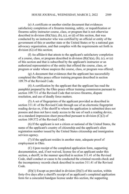(e) A certificate or another similar document that evidences satisfactory completion of a firearms training, safety, or requalification or firearms safety instructor course, class, or program that is not otherwise described in division  $(B)(3)(a)$ ,  $(b)$ ,  $(c)$ , or  $(d)$  of this section, that was conducted by an instructor who was certified by an official or entity of the government of this or another state or the United States or by a national gun advocacy organization, and that complies with the requirements set forth in division (G) of this section;

(f) An affidavit that attests to the applicant's satisfactory completion of a course, class, or program described in division  $(B)(3)(a)$ ,  $(b)$ ,  $(c)$ , or  $(e)$ of this section and that is subscribed by the applicant's instructor or an authorized representative of the entity that offered the course, class, or program or under whose auspices the course, class, or program was offered;

(g) A document that evidences that the applicant has successfully completed the Ohio peace officer training program described in section 109.79 of the Revised Code.

(4) A certification by the applicant that the applicant has read the pamphlet prepared by the Ohio peace officer training commission pursuant to section 109.731 of the Revised Code that reviews firearms, dispute resolution, and use of deadly force matters.

(5) A set of fingerprints of the applicant provided as described in section 311.41 of the Revised Code through use of an electronic fingerprint reading device or, if the sheriff to whom the application is submitted does not possess and does not have ready access to the use of such a reading device, on a standard impression sheet prescribed pursuant to division (C)(2) of section 109.572 of the Revised Code.

(6) If the applicant is not a citizen or national of the United States, the name of the applicant's country of citizenship and the applicant's alien registration number issued by the United States citizenship and immigration services agency.

(7) If the applicant resides in another state, adequate proof of employment in Ohio.

(C) Upon receipt of the completed application form, supporting documentation, and, if not waived, license fee of an applicant under this section, a sheriff, in the manner specified in section 311.41 of the Revised Code, shall conduct or cause to be conducted the criminal records check and the incompetency records check described in section 311.41 of the Revised Code.

(D)(1) Except as provided in division (D)(3) of this section, within forty-five days after a sheriff's receipt of an applicant's completed application form for a concealed handgun license under this section, the supporting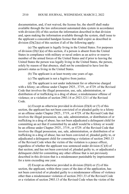documentation, and, if not waived, the license fee, the sheriff shall make available through the law enforcement automated data system in accordance with division (H) of this section the information described in that division and, upon making the information available through the system, shall issue to the applicant a concealed handgun license that shall expire as described in division  $(D)(2)(a)$  of this section if all of the following apply:

(a) The applicant is legally living in the United States. For purposes of division  $(D)(1)(a)$  of this section, if a person is absent from the United States in compliance with military or naval orders as an active or reserve member of the armed forces of the United States and if prior to leaving the United States the person was legally living in the United States, the person, solely by reason of that absence, shall not be considered to have lost the person's status as living in the United States.

(b) The applicant is at least twenty-one years of age.

(c) The applicant is not a fugitive from justice.

(d) The applicant is not under indictment for or otherwise charged with a felony; an offense under Chapter 2925., 3719., or 4729. of the Revised Code that involves the illegal possession, use, sale, administration, or distribution of or trafficking in a drug of abuse; a misdemeanor offense of violence; or a violation of section 2903.14 or 2923.1211 of the Revised Code.

(e) Except as otherwise provided in division  $(D)(4)$  or  $(5)$  of this section, the applicant has not been convicted of or pleaded guilty to a felony or an offense under Chapter 2925., 3719., or 4729. of the Revised Code that involves the illegal possession, use, sale, administration, or distribution of or trafficking in a drug of abuse; has not been adjudicated a delinquent child for committing an act that if committed by an adult would be a felony or would be an offense under Chapter 2925., 3719., or 4729. of the Revised Code that involves the illegal possession, use, sale, administration, or distribution of or trafficking in a drug of abuse; has not been convicted of, pleaded guilty to, or adjudicated a delinquent child for committing a violation of section 2903.13 of the Revised Code when the victim of the violation is a peace officer, regardless of whether the applicant was sentenced under division (C)(4) of that section; and has not been convicted of, pleaded guilty to, or adjudicated a delinquent child for committing any other offense that is not previously described in this division that is a misdemeanor punishable by imprisonment for a term exceeding one year.

(f) Except as otherwise provided in division  $(D)(4)$  or  $(5)$  of this section, the applicant, within three years of the date of the application, has not been convicted of or pleaded guilty to a misdemeanor offense of violence other than a misdemeanor violation of section 2921.33 of the Revised Code or a violation of section 2903.13 of the Revised Code when the victim of the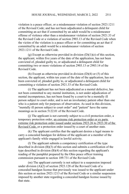violation is a peace officer, or a misdemeanor violation of section 2923.1211 of the Revised Code; and has not been adjudicated a delinquent child for committing an act that if committed by an adult would be a misdemeanor offense of violence other than a misdemeanor violation of section 2921.33 of the Revised Code or a violation of section 2903.13 of the Revised Code when the victim of the violation is a peace officer or for committing an act that if committed by an adult would be a misdemeanor violation of section 2923.1211 of the Revised Code.

(g) Except as otherwise provided in division  $(D)(1)(e)$  of this section, the applicant, within five years of the date of the application, has not been convicted of, pleaded guilty to, or adjudicated a delinquent child for committing two or more violations of section 2903.13 or 2903.14 of the Revised Code.

(h) Except as otherwise provided in division  $(D)(4)$  or  $(5)$  of this section, the applicant, within ten years of the date of the application, has not been convicted of, pleaded guilty to, or adjudicated a delinquent child for committing a violation of section 2921.33 of the Revised Code.

(i) The applicant has not been adjudicated as a mental defective, has not been committed to any mental institution, is not under adjudication of mental incompetence, has not been found by a court to be a mentally ill person subject to court order, and is not an involuntary patient other than one who is a patient only for purposes of observation. As used in this division, "mentally ill person subject to court order" and "patient" have the same meanings as in section 5122.01 of the Revised Code.

(j) The applicant is not currently subject to a civil protection order, a temporary protection order, an extreme risk protection order or ex parte extreme risk protection order issued under sections 2923.26 to 2923.30 of the Revised Code, or a protection order issued by a court of another state.

(k) The applicant certifies that the applicant desires a legal means to carry a concealed handgun for defense of the applicant or a member of the applicant's family while engaged in lawful activity.

(l) The applicant submits a competency certification of the type described in division (B)(3) of this section and submits a certification of the type described in division (B)(4) of this section regarding the applicant's reading of the pamphlet prepared by the Ohio peace officer training commission pursuant to section 109.731 of the Revised Code.

(m) The applicant currently is not subject to a suspension imposed under division (A)(2) of section 2923.128 of the Revised Code of a concealed handgun license that previously was issued to the applicant under this section or section 2923.1213 of the Revised Code or a similar suspension imposed by another state regarding a concealed handgun license issued by that state.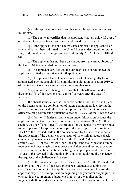(n) If the applicant resides in another state, the applicant is employed in this state.

(o) The applicant certifies that the applicant is not an unlawful user of or addicted to any controlled substance as defined in 21 U.S.C. 802.

(p) If the applicant is not a United States citizen, the applicant is an alien and has not been admitted to the United States under a nonimmigrant visa, as defined in the "Immigration and Nationality Act," 8 U.S.C. 1101(a)  $(26)$ .

(q) The applicant has not been discharged from the armed forces of the United States under dishonorable conditions.

(r) The applicant certifies that the applicant has not renounced the applicant's United States citizenship, if applicable.

(s) The applicant has not been convicted of, pleaded guilty to, or adjudicated a delinquent child for committing a violation of section 2919.25 of the Revised Code or a similar violation in another state.

(2)(a) A concealed handgun license that a sheriff issues under division (D)(1) of this section shall expire five years after the date of issuance.

If a sheriff issues a license under this section, the sheriff shall place on the license a unique combination of letters and numbers identifying the license in accordance with the procedure prescribed by the Ohio peace officer training commission pursuant to section 109.731 of the Revised Code.

(b) If a sheriff denies an application under this section because the applicant does not satisfy the criteria described in division  $(D)(1)$  of this section, the sheriff shall specify the grounds for the denial in a written notice to the applicant. The applicant may appeal the denial pursuant to section 119.12 of the Revised Code in the county served by the sheriff who denied the application. If the denial was as a result of the criminal records check conducted pursuant to section 311.41 of the Revised Code and if, pursuant to section 2923.127 of the Revised Code, the applicant challenges the criminal records check results using the appropriate challenge and review procedure specified in that section, the time for filing the appeal pursuant to section 119.12 of the Revised Code and this division is tolled during the pendency of the request or the challenge and review.

(c) If the court in an appeal under section 119.12 of the Revised Code and division  $(D)(2)(b)$  of this section enters a judgment sustaining the sheriff's refusal to grant to the applicant a concealed handgun license, the applicant may file a new application beginning one year after the judgment is entered. If the court enters a judgment in favor of the applicant, that judgment shall not restrict the authority of a sheriff to suspend or revoke the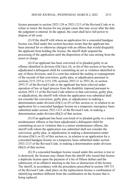license pursuant to section 2923.128 or 2923.1213 of the Revised Code or to refuse to renew the license for any proper cause that may occur after the date the judgment is entered. In the appeal, the court shall have full power to dispose of all costs.

(3) If the sheriff with whom an application for a concealed handgun license was filed under this section becomes aware that the applicant has been arrested for or otherwise charged with an offense that would disqualify the applicant from holding the license, the sheriff shall suspend the processing of the application until the disposition of the case arising from the arrest or charge.

(4) If an applicant has been convicted of or pleaded guilty to an offense identified in division  $(D)(1)(e)$ ,  $(f)$ , or  $(h)$  of this section or has been adjudicated a delinquent child for committing an act or violation identified in any of those divisions, and if a court has ordered the sealing or expungement of the records of that conviction, guilty plea, or adjudication pursuant to sections 2151.355 to 2151.358, sections 2953.31 to 2953.36, or section 2953.37 of the Revised Code or the applicant has been relieved under operation of law or legal process from the disability imposed pursuant to section 2923.13 of the Revised Code relative to that conviction, guilty plea, or adjudication, the sheriff with whom the application was submitted shall not consider the conviction, guilty plea, or adjudication in making a determination under division  $(D)(1)$  or  $(F)$  of this section or, in relation to an application for a concealed handgun license on a temporary emergency basis submitted under section 2923.1213 of the Revised Code, in making a determination under division (B)(2) of that section.

(5) If an applicant has been convicted of or pleaded guilty to a minor misdemeanor offense or has been adjudicated a delinquent child for committing an act or violation that is a minor misdemeanor offense, the sheriff with whom the application was submitted shall not consider the conviction, guilty plea, or adjudication in making a determination under division  $(D)(1)$  or  $(F)$  of this section or, in relation to an application for a concealed handgun license on a temporary basis submitted under section 2923.1213 of the Revised Code, in making a determination under division (B)(2) of that section.

(E) If a concealed handgun license issued under this section is lost or is destroyed, the licensee may obtain from the sheriff who issued that license a duplicate license upon the payment of a fee of fifteen dollars and the submission of an affidavit attesting to the loss or destruction of the license. The sheriff, in accordance with the procedures prescribed in section 109.731 of the Revised Code, shall place on the replacement license a combination of identifying numbers different from the combination on the license that is being replaced.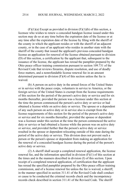$(F)(1)(a)$  Except as provided in division  $(F)(1)(b)$  of this section, a licensee who wishes to renew a concealed handgun license issued under this section may do so at any time before the expiration date of the license or at any time after the expiration date of the license by filing with the sheriff of the county in which the applicant resides or with the sheriff of an adjacent county, or in the case of an applicant who resides in another state with the sheriff of the county that issued the applicant's previous concealed handgun license an application for renewal of the license obtained pursuant to division (D) of this section, a certification by the applicant that, subsequent to the issuance of the license, the applicant has reread the pamphlet prepared by the Ohio peace officer training commission pursuant to section 109.731 of the Revised Code that reviews firearms, dispute resolution, and use of deadly force matters, and a nonrefundable license renewal fee in an amount determined pursuant to division  $(F)(4)$  of this section unless the fee is waived.

(b) A person on active duty in the armed forces of the United States or in service with the peace corps, volunteers in service to America, or the foreign service of the United States is exempt from the license requirements of this section for the period of the person's active duty or service and for six months thereafter, provided the person was a licensee under this section at the time the person commenced the person's active duty or service or had obtained a license while on active duty or service. The spouse or a dependent of any such person on active duty or in service also is exempt from the license requirements of this section for the period of the person's active duty or service and for six months thereafter, provided the spouse or dependent was a licensee under this section at the time the person commenced the active duty or service or had obtained a license while the person was on active duty or service, and provided further that the person's active duty or service resulted in the spouse or dependent relocating outside of this state during the period of the active duty or service. This division does not prevent such a person or the person's spouse or dependent from making an application for the renewal of a concealed handgun license during the period of the person's active duty or service.

(2) A sheriff shall accept a completed renewal application, the license renewal fee, and the information specified in division  $(F)(1)$  of this section at the times and in the manners described in division (I) of this section. Upon receipt of a completed renewal application, of certification that the applicant has reread the specified pamphlet prepared by the Ohio peace officer training commission, and of a license renewal fee unless the fee is waived, a sheriff, in the manner specified in section 311.41 of the Revised Code shall conduct or cause to be conducted the criminal records check and the incompetency records check described in section 311.41 of the Revised Code. The sheriff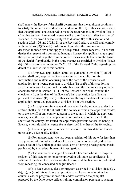shall renew the license if the sheriff determines that the applicant continues to satisfy the requirements described in division  $(D)(1)$  of this section, except that the applicant is not required to meet the requirements of division  $(D)(1)$ (l) of this section. A renewed license shall expire five years after the date of issuance. A renewed license is subject to division (E) of this section and sections 2923.126 and 2923.128 of the Revised Code. A sheriff shall comply with divisions  $(D)(2)$  and  $(3)$  of this section when the circumstances described in those divisions apply to a requested license renewal. If a sheriff denies the renewal of a concealed handgun license, the applicant may appeal the denial, or challenge the criminal record check results that were the basis of the denial if applicable, in the same manner as specified in division (D)(2) (b) of this section and in section 2923.127 of the Revised Code, regarding the denial of a license under this section.

(3) A renewal application submitted pursuant to division (F) of this section shall only require the licensee to list on the application form information and matters occurring since the date of the licensee's last application for a license pursuant to division (B) or (F) of this section. A sheriff conducting the criminal records check and the incompetency records check described in section 311.41 of the Revised Code shall conduct the check only from the date of the licensee's last application for a license pursuant to division (B) or (F) of this section through the date of the renewal application submitted pursuant to division (F) of this section.

(4) An applicant for a renewal concealed handgun license under this section shall submit to the sheriff of the county in which the applicant resides or to the sheriff of any county adjacent to the county in which the applicant resides, or in the case of an applicant who resides in another state to the sheriff of the county that issued the applicant's previous concealed handgun license, a nonrefundable license fee as described in either of the following:

(a) For an applicant who has been a resident of this state for five or more years, a fee of fifty dollars;

(b) For an applicant who has been a resident of this state for less than five years or who is not a resident of this state but who is employed in this state, a fee of fifty dollars plus the actual cost of having a background check performed by the federal bureau of investigation.

(5) The concealed handgun license of a licensee who is no longer a resident of this state or no longer employed in this state, as applicable, is valid until the date of expiration on the license, and the licensee is prohibited from renewing the concealed handgun license.

 $(G)(1)$  Each course, class, or program described in division  $(B)(3)(a)$ , (b), (c), or (e) of this section shall provide to each person who takes the course, class, or program the web site address at which the pamphlet prepared by the Ohio peace officer training commission pursuant to section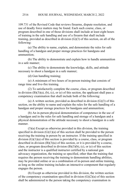109.731 of the Revised Code that reviews firearms, dispute resolution, and use of deadly force matters may be found. Each such course, class, or program described in one of those divisions shall include at least eight hours of training in the safe handling and use of a firearm that shall include training, provided as described in division (G)(3) of this section, on all of the following:

(a) The ability to name, explain, and demonstrate the rules for safe handling of a handgun and proper storage practices for handguns and ammunition;

(b) The ability to demonstrate and explain how to handle ammunition in a safe manner;

(c) The ability to demonstrate the knowledge, skills, and attitude necessary to shoot a handgun in a safe manner;

(d) Gun handling training;

(e) A minimum of two hours of in-person training that consists of range time and live-fire training.

(2) To satisfactorily complete the course, class, or program described in division  $(B)(3)(a)$ ,  $(b)$ ,  $(c)$ , or  $(e)$  of this section, the applicant shall pass a competency examination that shall include both of the following:

(a) A written section, provided as described in division  $(G)(3)$  of this section, on the ability to name and explain the rules for the safe handling of a handgun and proper storage practices for handguns and ammunition;

(b) An in-person physical demonstration of competence in the use of a handgun and in the rules for safe handling and storage of a handgun and a physical demonstration of the attitude necessary to shoot a handgun in a safe manner.

(3)(a) Except as otherwise provided in this division, the training specified in division  $(G)(1)(a)$  of this section shall be provided to the person receiving the training in person by an instructor. If the training specified in division  $(G)(1)(a)$  of this section is provided by a course, class, or program described in division  $(B)(3)(a)$  of this section, or it is provided by a course, class, or program described in division  $(B)(3)(b)$ , (c), or (e) of this section and the instructor is a qualified instructor certified by a national gun advocacy organization, the training so specified, other than the training that requires the person receiving the training to demonstrate handling abilities, may be provided online or as a combination of in-person and online training, as long as the online training includes an interactive component that regularly engages the person.

(b) Except as otherwise provided in this division, the written section of the competency examination specified in division  $(G)(2)(a)$  of this section shall be administered to the person taking the competency examination in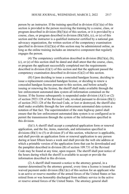person by an instructor. If the training specified in division  $(G)(1)(a)$  of this section is provided to the person receiving the training by a course, class, or program described in division (B)(3)(a) of this section, or it is provided by a course, class, or program described in division  $(B)(3)(b)$ , (c), or (e) of this section and the instructor is a qualified instructor certified by a national gun advocacy organization, the written section of the competency examination specified in division  $(G)(2)(a)$  of this section may be administered online, as long as the online training includes an interactive component that regularly engages the person.

(4) The competency certification described in division  $(B)(3)(a)$ ,  $(b)$ , (c), or (e) of this section shall be dated and shall attest that the course, class, or program the applicant successfully completed met the requirements described in division (G)(1) of this section and that the applicant passed the competency examination described in division (G)(2) of this section.

(H) Upon deciding to issue a concealed handgun license, deciding to issue a replacement concealed handgun license, or deciding to renew a concealed handgun license pursuant to this section, and before actually issuing or renewing the license, the sheriff shall make available through the law enforcement automated data system all information contained on the license. If the license subsequently is suspended under division (A)(1) or (2) of section 2923.128 of the Revised Code, revoked pursuant to division (B)(1) of section 2923.128 of the Revised Code, or lost or destroyed, the sheriff also shall make available through the law enforcement automated data system a notation of that fact. The superintendent of the state highway patrol shall ensure that the law enforcement automated data system is so configured as to permit the transmission through the system of the information specified in this division.

(I)(1) A sheriff shall accept a completed application form or renewal application, and the fee, items, materials, and information specified in divisions  $(B)(1)$  to  $(5)$  or division  $(F)$  of this section, whichever is applicable, and shall provide an application form or renewal application to any person during at least fifteen hours a week and shall provide the web site address at which a printable version of the application form that can be downloaded and the pamphlet described in division (B) of section 109.731 of the Revised Code may be found at any time, upon request. The sheriff shall post notice of the hours during which the sheriff is available to accept or provide the information described in this division.

(2) A sheriff shall transmit a notice to the attorney general, in a manner determined by the attorney general, every time a license is issued that waived payment under division  $(B)(1)(c)$  of this section for an applicant who is an active or reserve member of the armed forces of the United States or has retired from or was honorably discharged from military service in the active or reserve armed forces of the United States. The attorney general shall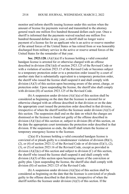monitor and inform sheriffs issuing licenses under this section when the amount of license fee payments waived and transmitted to the attorney general reach one million five hundred thousand dollars each year. Once a sheriff is informed that the payments waived reached one million five hundred thousand dollars in any year, a sheriff shall no longer waive payment of a license fee for an applicant who is an active or reserve member of the armed forces of the United States or has retired from or was honorably discharged from military service in the active or reserve armed forces of the United States for the remainder of that year.

**Sec. 2923.128.** (A)(1)(a) If a licensee holding a valid concealed handgun license is arrested for or otherwise charged with an offense described in division (D)(1)(d) of section 2923.125 of the Revised Code or with a violation of section 2923.15 of the Revised Code or becomes subject to a temporary protection order or to a protection order issued by a court of another state that is substantially equivalent to a temporary protection order, the sheriff who issued the license shall suspend it and shall comply with division (A)(3) of this section upon becoming aware of the arrest, charge, or protection order. Upon suspending the license, the sheriff also shall comply with division (H) of section 2923.125 of the Revised Code.

(b) A suspension under division  $(A)(1)(a)$  of this section shall be considered as beginning on the date that the licensee is arrested for or otherwise charged with an offense described in that division or on the date the appropriate court issued the protection order described in that division, irrespective of when the sheriff notifies the licensee under division  $(A)(3)$  of this section. The suspension shall end on the date on which the charges are dismissed or the licensee is found not guilty of the offense described in division  $(A)(1)(a)$  of this section or, subject to division  $(B)$  of this section, on the date the appropriate court terminates the protection order described in that division. If the suspension so ends, the sheriff shall return the license or temporary emergency license to the licensee.

(2)(a) If a licensee holding a valid concealed handgun license is convicted of or pleads guilty to a misdemeanor violation of division (B)(1), (2), or (4) of section 2923.12 of the Revised Code or of division  $(E)(1)$ ,  $(2)$ , (3), or (5) of section 2923.16 of the Revised Code, except as provided in division  $(A)(2)(c)$  of this section and subject to division  $(C)$  of this section, the sheriff who issued the license shall suspend it and shall comply with division (A)(3) of this section upon becoming aware of the conviction or guilty plea. Upon suspending the license, the sheriff also shall comply with division (H) of section 2923.125 of the Revised Code.

(b) A suspension under division  $(A)(2)(a)$  of this section shall be considered as beginning on the date that the licensee is convicted of or pleads guilty to the offense described in that division, irrespective of when the sheriff notifies the licensee under division  $(A)(3)$  of this section. If the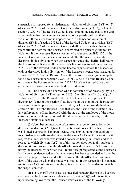suspension is imposed for a misdemeanor violation of division  $(B)(1)$  or  $(2)$ of section 2923.12 of the Revised Code or of division  $(E)(1)$ ,  $(2)$ , or  $(3)$  of section 2923.16 of the Revised Code, it shall end on the date that is one year after the date that the licensee is convicted of or pleads guilty to that violation. If the suspension is imposed for a misdemeanor violation of division (B)(4) of section 2923.12 of the Revised Code or of division  $(E)(5)$ of section 2923.16 of the Revised Code, it shall end on the date that is two years after the date that the licensee is convicted of or pleads guilty to that violation. If the licensee's license was issued under section 2923.125 of the Revised Code and the license remains valid after the suspension ends as described in this division, when the suspension ends, the sheriff shall return the license to the licensee. If the licensee's license was issued under section 2923.125 of the Revised Code and the license expires before the suspension ends as described in this division, or if the licensee's license was issued under section 2923.1213 of the Revised Code, the licensee is not eligible to apply for a new license under section 2923.125 or 2923.1213 of the Revised Code or to renew the license under section 2923.125 of the Revised Code until after the suspension ends as described in this division.

(c) The license of a licensee who is convicted of or pleads guilty to a violation of division  $(B)(1)$  of section 2923.12 or division  $(E)(1)$  or  $(2)$  of section 2923.16 of the Revised Code shall not be suspended pursuant to division (A)(2)(a) of this section if, at the time of the stop of the licensee for a law enforcement purpose, for a traffic stop, or for a purpose defined in section 5503.34 of the Revised Code that was the basis of the violation, any law enforcement officer involved with the stop or the employee of the motor carrier enforcement unit who made the stop had actual knowledge of the licensee's status as a licensee.

(3) Upon becoming aware of an arrest, charge, or protection order described in division  $(A)(1)(a)$  of this section with respect to a licensee who was issued a concealed handgun license, or a conviction of or plea of guilty to a misdemeanor offense described in division (A)(2)(a) of this section with respect to a licensee who was issued a concealed handgun license and with respect to which division  $(A)(2)(c)$  of this section does not apply, subject to division (C) of this section, the sheriff who issued the licensee's license shall notify the licensee, by certified mail, return receipt requested, at the licensee's last known residence address that the license has been suspended and that the licensee is required to surrender the license at the sheriff's office within ten days of the date on which the notice was mailed. If the suspension is pursuant to division (A)(2) of this section, the notice shall identify the date on which the suspension ends.

 $(B)(1)$  A sheriff who issues a concealed handgun license to a licensee shall revoke the license in accordance with division (B)(2) of this section upon becoming aware that the licensee satisfies any of the following: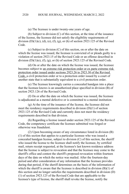(a) The licensee is under twenty-one years of age.

(b) Subject to division (C) of this section, at the time of the issuance of the license, the licensee did not satisfy the eligibility requirements of division  $(D)(1)(c)$ ,  $(d)$ ,  $(e)$ ,  $(f)$ ,  $(g)$ , or  $(h)$  of section 2923.125 of the Revised Code.

(c) Subject to division (C) of this section, on or after the date on which the license was issued, the licensee is convicted of or pleads guilty to a violation of section 2923.15 of the Revised Code or an offense described in division  $(D)(1)(e)$ ,  $(f)$ ,  $(g)$ , or  $(h)$  of section 2923.125 of the Revised Code.

(d) On or after the date on which the license was issued, the licensee becomes subject to an extreme risk protection order or ex parte extreme risk protection order issued under sections 2923.26 to 2923.30 of the Revised Code, a civil protection order or to a protection order issued by a court of another state that is substantially equivalent to a civil protection order.

(e) The licensee knowingly carries a concealed handgun into a place that the licensee knows is an unauthorized place specified in division (B) of section 2923.126 of the Revised Code.

(f) On or after the date on which the license was issued, the licensee is adjudicated as a mental defective or is committed to a mental institution.

(g) At the time of the issuance of the license, the licensee did not meet the residency requirements described in division (D)(1) of section 2923.125 of the Revised Code and currently does not meet the residency requirements described in that division.

(h) Regarding a license issued under section 2923.125 of the Revised Code, the competency certificate the licensee submitted was forged or otherwise was fraudulent.

(2) Upon becoming aware of any circumstance listed in division (B) (1) of this section that applies to a particular licensee who was issued a concealed handgun license, subject to division (C) of this section, the sheriff who issued the license to the licensee shall notify the licensee, by certified mail, return receipt requested, at the licensee's last known residence address that the license is subject to revocation and that the licensee may come to the sheriff's office and contest the sheriff's proposed revocation within fourteen days of the date on which the notice was mailed. After the fourteen-day period and after consideration of any information that the licensee provides during that period, if the sheriff determines on the basis of the information of which the sheriff is aware that the licensee is described in division  $(B)(1)$  of this section and no longer satisfies the requirements described in division (D) (1) of section 2923.125 of the Revised Code that are applicable to the licensee's type of license, the sheriff shall revoke the license, notify the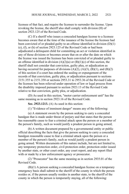licensee of that fact, and require the licensee to surrender the license. Upon revoking the license, the sheriff also shall comply with division (H) of section 2923.125 of the Revised Code.

(C) If a sheriff who issues a concealed handgun license to a licensee becomes aware that at the time of the issuance of the license the licensee had been convicted of or pleaded guilty to an offense identified in division (D)(1) (e), (f), or (h) of section 2923.125 of the Revised Code or had been adjudicated a delinquent child for committing an act or violation identified in any of those divisions or becomes aware that on or after the date on which the license was issued the licensee has been convicted of or pleaded guilty to an offense identified in division  $(A)(2)(a)$  or  $(B)(1)(c)$  of this section, the sheriff shall not consider that conviction, guilty plea, or adjudication as having occurred for purposes of divisions  $(A)(2)$ ,  $(A)(3)$ ,  $(B)(1)$ , and  $(B)(2)$ of this section if a court has ordered the sealing or expungement of the records of that conviction, guilty plea, or adjudication pursuant to sections 2151.355 to 2151.358 or sections 2953.31 to 2953.36 of the Revised Code or the licensee has been relieved under operation of law or legal process from the disability imposed pursuant to section 2923.13 of the Revised Code relative to that conviction, guilty plea, or adjudication.

(D) As used in this section, "motor carrier enforcement unit" has the same meaning as in section 2923.16 of the Revised Code.

**Sec. 2923.1213.** (A) As used in this section:

(1) "Evidence of imminent danger" means any of the following:

(a) A statement sworn by the person seeking to carry a concealed handgun that is made under threat of perjury and that states that the person has reasonable cause to fear a criminal attack upon the person or a member of the person's family, such as would justify a prudent person in going armed;

(b) A written document prepared by a governmental entity or public official describing the facts that give the person seeking to carry a concealed handgun reasonable cause to fear a criminal attack upon the person or a member of the person's family, such as would justify a prudent person in going armed. Written documents of this nature include, but are not limited to, any temporary protection order, civil protection order, protection order issued by another state, or other court order, any court report, and any report filed with or made by a law enforcement agency or prosecutor.

(2) "Prosecutor" has the same meaning as in section 2935.01 of the Revised Code.

(B)(1) A person seeking a concealed handgun license on a temporary emergency basis shall submit to the sheriff of the county in which the person resides or, if the person usually resides in another state, to the sheriff of the county in which the person is temporarily staying, all of the following: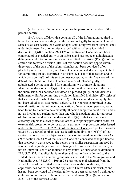(a) Evidence of imminent danger to the person or a member of the person's family;

(b) A sworn affidavit that contains all of the information required to be on the license and attesting that the person is legally living in the United States; is at least twenty-one years of age; is not a fugitive from justice; is not under indictment for or otherwise charged with an offense identified in division (D)(1)(d) of section 2923.125 of the Revised Code; has not been convicted of or pleaded guilty to an offense, and has not been adjudicated a delinquent child for committing an act, identified in division  $(D)(1)(e)$  of that section and to which division  $(B)(3)$  of this section does not apply; within three years of the date of the submission, has not been convicted of or pleaded guilty to an offense, and has not been adjudicated a delinquent child for committing an act, identified in division  $(D)(1)(f)$  of that section and to which division (B)(3) of this section does not apply; within five years of the date of the submission, has not been convicted of, pleaded guilty, or adjudicated a delinquent child for committing two or more violations identified in division  $(D)(1)(g)$  of that section; within ten years of the date of the submission, has not been convicted of, pleaded guilty, or adjudicated a delinquent child for committing a violation identified in division  $(D)(1)(h)$  of that section and to which division  $(B)(3)$  of this section does not apply; has not been adjudicated as a mental defective, has not been committed to any mental institution, is not under adjudication of mental incompetence, has not been found by a court to be a mentally ill person subject to court order, and is not an involuntary patient other than one who is a patient only for purposes of observation, as described in division  $(D)(1)(i)$  of that section; is not currently subject to a civil protection order, a temporary protection order, an extreme risk protection order or ex parte extreme risk protection order issued under sections 2923.26 to 2923.30 of the Revised Code, or a protection order issued by a court of another state, as described in division  $(D)(1)(i)$  of that section; is not currently subject to a suspension imposed under division (A) (2) of section 2923.128 of the Revised Code of a concealed handgun license that previously was issued to the person or a similar suspension imposed by another state regarding a concealed handgun license issued by that state; is not an unlawful user of or addicted to any controlled substance as defined in 21 U.S.C. 802; if applicable, is an alien and has not been admitted to the United States under a nonimmigrant visa, as defined in the "Immigration and Nationality Act," 8 U.S.C. 1101(a)(26); has not been discharged from the armed forces of the United States under dishonorable conditions; if applicable, has not renounced the applicant's United States citizenship; and has not been convicted of, pleaded guilty to, or been adjudicated a delinquent child for committing a violation identified in division  $(D)(1)(s)$  of section 2923.125 of the Revised Code;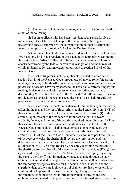(c) A nonrefundable temporary emergency license fee as described in either of the following:

(i) For an applicant who has been a resident of this state for five or more years, a fee of fifteen dollars plus the actual cost of having a background check performed by the bureau of criminal identification and investigation pursuant to section 311.41 of the Revised Code;

(ii) For an applicant who has been a resident of this state for less than five years or who is not a resident of this state, but is temporarily staying in this state, a fee of fifteen dollars plus the actual cost of having background checks performed by the federal bureau of investigation and the bureau of criminal identification and investigation pursuant to section 311.41 of the Revised Code.

(d) A set of fingerprints of the applicant provided as described in section 311.41 of the Revised Code through use of an electronic fingerprint reading device or, if the sheriff to whom the application is submitted does not possess and does not have ready access to the use of an electronic fingerprint reading device, on a standard impression sheet prescribed pursuant to division (C)(2) of section 109.572 of the Revised Code. If the fingerprints are provided on a standard impression sheet, the person also shall provide the person's social security number to the sheriff.

(2) A sheriff shall accept the evidence of imminent danger, the sworn affidavit, the fee, and the set of fingerprints required under division  $(B)(1)$  of this section at the times and in the manners described in division (I) of this section. Upon receipt of the evidence of imminent danger, the sworn affidavit, the fee, and the set of fingerprints required under division  $(B)(1)$  of this section, the sheriff, in the manner specified in section 311.41 of the Revised Code, immediately shall conduct or cause to be conducted the criminal records check and the incompetency records check described in section 311.41 of the Revised Code. Immediately upon receipt of the results of the records checks, the sheriff shall review the information and shall determine whether the criteria set forth in divisions  $(D)(1)(a)$  to  $(i)$  and  $(m)$  to (s) of section 2923.125 of the Revised Code apply regarding the person. If the sheriff determines that all of the criteria set forth in divisions  $(D)(1)(a)$  to (j) and (m) to (s) of section 2923.125 of the Revised Code apply regarding the person, the sheriff shall immediately make available through the law enforcement automated data system all information that will be contained on the temporary emergency license for the person if one is issued, and the superintendent of the state highway patrol shall ensure that the system is so configured as to permit the transmission through the system of that information. Upon making that information available through the law enforcement automated data system, the sheriff shall immediately issue to the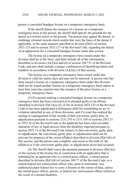person a concealed handgun license on a temporary emergency basis.

If the sheriff denies the issuance of a license on a temporary emergency basis to the person, the sheriff shall specify the grounds for the denial in a written notice to the person. The person may appeal the denial, or challenge criminal records check results that were the basis of the denial if applicable, in the same manners specified in division (D)(2) of section 2923.125 and in section 2923.127 of the Revised Code, regarding the denial of an application for a concealed handgun license under that section.

The license on a temporary emergency basis issued under this division shall be in the form, and shall include all of the information, described in divisions (A)(2)(a) and (d) of section 109.731 of the Revised Code, and also shall include a unique combination of identifying letters and numbers in accordance with division  $(A)(2)(c)$  of that section.

The license on a temporary emergency basis issued under this division is valid for ninety days and may not be renewed. A person who has been issued a license on a temporary emergency basis under this division shall not be issued another license on a temporary emergency basis unless at least four years has expired since the issuance of the prior license on a temporary emergency basis.

(3) If a person seeking a concealed handgun license on a temporary emergency basis has been convicted of or pleaded guilty to an offense identified in division  $(D)(1)(e)$ ,  $(f)$ , or  $(h)$  of section 2923.125 of the Revised Code or has been adjudicated a delinquent child for committing an act or violation identified in any of those divisions, and if a court has ordered the sealing or expungement of the records of that conviction, guilty plea, or adjudication pursuant to sections 2151.355 to 2151.358 or sections 2953.31 to 2953.36 of the Revised Code or the applicant has been relieved under operation of law or legal process from the disability imposed pursuant to section 2923.13 of the Revised Code relative to that conviction, guilty plea, or adjudication, the conviction, guilty plea, or adjudication shall not be relevant for purposes of the sworn affidavit described in division  $(B)(1)(b)$  of this section, and the person may complete, and swear to the truth of, the affidavit as if the conviction, guilty plea, or adjudication never had occurred.

(4) The sheriff shall waive the payment pursuant to division  $(B)(1)(c)$ of this section of the license fee in connection with an application that is submitted by an applicant who is a retired peace officer, a retired person described in division (B)(1)(b) of section 109.77 of the Revised Code, or a retired federal law enforcement officer who, prior to retirement, was authorized under federal law to carry a firearm in the course of duty, unless the retired peace officer, person, or federal law enforcement officer retired as the result of a mental disability.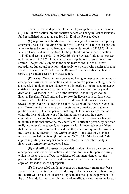The sheriff shall deposit all fees paid by an applicant under division (B)(1)(c) of this section into the sheriff's concealed handgun license issuance fund established pursuant to section 311.42 of the Revised Code.

(C) A person who holds a concealed handgun license on a temporary emergency basis has the same right to carry a concealed handgun as a person who was issued a concealed handgun license under section 2923.125 of the Revised Code, and any exceptions to the prohibitions contained in section 1547.69 and sections 2923.12 to 2923.16 of the Revised Code for a licensee under section 2923.125 of the Revised Code apply to a licensee under this section. The person is subject to the same restrictions, and to all other procedures, duties, and sanctions, that apply to a person who carries a license issued under section 2923.125 of the Revised Code, other than the license renewal procedures set forth in that section.

(D) A sheriff who issues a concealed handgun license on a temporary emergency basis under this section shall not require a person seeking to carry a concealed handgun in accordance with this section to submit a competency certificate as a prerequisite for issuing the license and shall comply with division (H) of section 2923.125 of the Revised Code in regards to the license. The sheriff shall suspend or revoke the license in accordance with section 2923.128 of the Revised Code. In addition to the suspension or revocation procedures set forth in section 2923.128 of the Revised Code, the sheriff may revoke the license upon receiving information, verifiable by public documents, that the person is not eligible to possess a firearm under either the laws of this state or of the United States or that the person committed perjury in obtaining the license; if the sheriff revokes a license under this additional authority, the sheriff shall notify the person, by certified mail, return receipt requested, at the person's last known residence address that the license has been revoked and that the person is required to surrender the license at the sheriff's office within ten days of the date on which the notice was mailed. Division (H) of section 2923.125 of the Revised Code applies regarding any suspension or revocation of a concealed handgun license on a temporary emergency basis.

(E) A sheriff who issues a concealed handgun license on a temporary emergency basis under this section shall retain, for the entire period during which the license is in effect, the evidence of imminent danger that the person submitted to the sheriff and that was the basis for the license, or a copy of that evidence, as appropriate.

(F) If a concealed handgun license on a temporary emergency basis issued under this section is lost or is destroyed, the licensee may obtain from the sheriff who issued that license a duplicate license upon the payment of a fee of fifteen dollars and the submission of an affidavit attesting to the loss or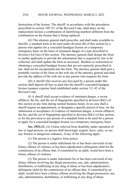destruction of the license. The sheriff, in accordance with the procedures prescribed in section 109.731 of the Revised Code, shall place on the replacement license a combination of identifying numbers different from the combination on the license that is being replaced.

(G) The attorney general shall prescribe, and shall make available to sheriffs, a standard form to be used under division (B) of this section by a person who applies for a concealed handgun license on a temporary emergency basis on the basis of imminent danger of a type described in division  $(A)(1)(a)$  of this section. The attorney general shall design the form to enable applicants to provide the information that is required by law to be collected, and shall update the form as necessary. Burdens or restrictions to obtaining a concealed handgun license that are not expressly prescribed in law shall not be incorporated into the form. The attorney general shall post a printable version of the form on the web site of the attorney general and shall provide the address of the web site to any person who requests the form.

(H) A sheriff who receives any fees paid by a person under this section shall deposit all fees so paid into the sheriff's concealed handgun license issuance expense fund established under section 311.42 of the Revised Code.

(I) A sheriff shall accept evidence of imminent danger, a sworn affidavit, the fee, and the set of fingerprints specified in division  $(B)(1)$  of this section at any time during normal business hours. In no case shall a sheriff require an appointment, or designate a specific period of time, for the submission or acceptance of evidence of imminent danger, a sworn affidavit, the fee, and the set of fingerprints specified in division (B)(1) of this section, or for the provision to any person of a standard form to be used for a person to apply for a concealed handgun license on a temporary emergency basis.

**Sec. 2923.13.** (A) Unless relieved from disability under operation of law or legal process, no person shall knowingly acquire, have, carry, or use any firearm or dangerous ordnance, if any of the following apply:

(1) The person is a fugitive from justice.

(2) The person is under indictment for or has been convicted of any felony offense of violence or has been adjudicated a delinquent child for the commission of an offense that, if committed by an adult, would have been a felony offense of violence.

(3) The person is under indictment for or has been convicted of any felony offense involving the illegal possession, use, sale, administration, distribution, or trafficking in any drug of abuse or has been adjudicated a delinquent child for the commission of an offense that, if committed by an adult, would have been a felony offense involving the illegal possession, use, sale, administration, distribution, or trafficking in any drug of abuse.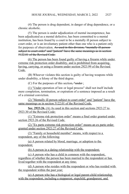(4) The person is drug dependent, in danger of drug dependence, or a chronic alcoholic.

(5) The person is under adjudication of mental incompetence, has been adjudicated as a mental defective, has been committed to a mental institution, has been found by a court to be a mentally ill person subject to court order, or is an involuntary patient other than one who is a patient only for purposes of observation. As used in this division, "mentally ill personsubject to court order" and "patient" have the same meanings as in section 5122.01 of the Revised Code.

(6) The person has been found guilty of having a firearm while under extreme risk protection order disability, and is prohibited from acquiring, having, carrying, or using a firearm under section 2923.99 of the Revised Code.

(B) Whoever violates this section is guilty of having weapons while under disability, a felony of the third degree.

 $(C)$  For the purposes of this section, "under-:

(1) "Under operation of law or legal process" shall not itself include mere completion, termination, or expiration of a sentence imposed as a result of a criminal conviction.

(2) "Mentally ill person subject to court order" and "patient" have the same meanings as in section 5122.01 of the Revised Code.

 **Sec. 2923.26.** (A) As used in this section and sections 2923.27 to 2923.30 of the Revised Code:

(1) "Extreme risk protection order" means a final order granted under section 2923.26 of the Revised Code.

(2) "Ex parte extreme risk protection order" means an ex parte order granted under section 2923.27 of the Revised Code.

(3) "Family or household member" means, with respect to a respondent, any of the following:

(a) A person related by blood, marriage, or adoption to the respondent;

(b) A person in a dating relationship with the respondent;

(c) A person who has a child in common with the respondent, regardless of whether the person has been married to the respondent or has lived together with the respondent at any time;

(d) A person who resides with the respondent or who has resided with the respondent within the past year;

(e) A person who has a biological or legal parent-child relationship with the respondent, including a stepparent, stepchild, grandparent, and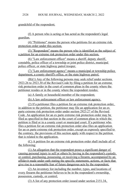grandchild of the respondent;

(f) A person who is acting or has acted as the respondent's legal guardian.

(4) "Petitioner" means the person who petitions for an extreme risk protection order under this section.

(5) "Respondent" means the person who is identified as the subject of a petition for an extreme risk protection order under this section.

(6) "Law enforcement officer" means a sheriff, deputy sheriff, constable, police officer of a township or joint police district, municipal police officer, or state highway patrol trooper.

(7) "Law enforcement agency" means a municipal or township police department, a county sheriff's office, or the state highway patrol.

(B)(1) Any of the following persons may seek relief under sections 2923.26 to 2923.30 of the Revised Code by filing a petition for an extreme risk protection order in the court of common pleas in the county where the petitioner resides or in the county where the respondent resides:

(a) A family or household member of the respondent;

(b) A law enforcement officer or law enforcement agency.

(2) If a petitioner files a petition for an extreme risk protection order, in addition to the petition, the petitioner may file an application for an ex parte extreme risk protection order under section 2923.27 of the Revised Code. An application for an ex parte extreme risk protection order may be filed as specified in that section in the court of common pleas in which the petition is filed or in a county court or municipal court. If a petitioner who files a petition for an extreme risk protection order also files an application for an ex parte extreme risk protection order, except as expressly specified to the contrary, the provisions of this section apply with respect to the petition that is related to the application.

(C) A petition for an extreme risk protection order shall include all of the following:

(1) An allegation that the respondent poses a significant danger of causing personal injury to self or others by having in the respondent's custody or control, purchasing, possessing, or receiving a firearm, accompanied by an affidavit made under oath stating the specific statements, actions, or facts that give rise to a reasonable fear of future dangerous acts by the respondent;

(2) An inventory list including the number, types, and locations of every firearm the petitioner believes to be in the respondent's ownership, possession, custody, or control;

(3) A list of any protection order issued under section 2151.34,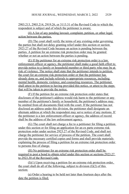2903.213, 2903.214, 2919.26, or 3113.31 of the Revised Code to which the respondent is subject and of which the petitioner is aware;

(4) A list of any pending lawsuit, complaint, petition, or other legal action between the parties.

(D) The court shall verify the terms of any existing order governing the parties but shall not delay granting relief under this section or section 2923.27 of the Revised Code because an action is pending between the parties. A petition for an extreme risk protection order may be granted whether or not an action between the parties is pending.

(E) If the petitioner for an extreme risk protection order is a law enforcement officer or agency, the petitioner shall make a good faith effort to provide notice to a family or household member or third party who may be at risk of violence. The notice shall state that the petitioner intends to petition the court for an extreme risk protection order or that the petitioner has already done so, and include referrals to appropriate resources, including mental health, domestic violence, and counseling resources. The petitioner shall attest in the petition to having provided this notice, or attest to the steps that will be taken to provide the notice.

(F) If the petition for an extreme risk protection order states that disclosure of the petitioner's address would risk harm to the petitioner or any member of the petitioner's family or household, the petitioner's address may be omitted from all documents filed with the court. If the petitioner has not disclosed an address under this division, the petitioner shall designate an alternate address at which the respondent may serve notice of any motions. If the petitioner is a law enforcement officer or agency, the address of record shall be the address of the law enforcement agency.

(G) The court shall not charge a fee to a petitioner for filing a petition under this section or for filing an application for an ex parte extreme risk protection order under section 2923.27 of the Revised Code, and shall not charge the petitioner for service of process of the petition. The court shall provide the necessary certified copies and forms and shall provide materials explaining the process of filing a petition for an extreme risk protection order to persons free of charge.

(H) No petitioner for an extreme risk protection order shall be required to post a bond to obtain relief under this section or sections 2923.27 to 2923.30 of the Revised Code.

(I)(1) Upon receiving a petition for an extreme risk protection order, the court shall do all of the following, subject to division  $(I)(2)$  of this section:

(a) Order a hearing to be held not later than fourteen days after the date the petition is filed;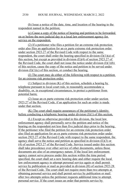(b) Issue a notice of the date, time, and location of the hearing to the respondent named in the petition;

(c) Cause a copy of the notice of hearing and petition to be forwarded on or before the next judicial day to a local law enforcement agency for service on the respondent.

(2) If a petitioner who files a petition for an extreme risk protection order also files an application for an ex parte extreme risk protection order under section 2923.27 of the Revised Code with respect to the same respondent, the court shall order the hearing specified in division  $(I)(1)(a)$  of this section, but except as provided in division (E)(4) of section 2923.27 of the Revised Code, the court shall not issue the notice under division  $(I)(1)(b)$ of this section, cause the copy of the notice and petition to be served under division  $(I)(1)(c)$  of this section, or conduct the hearing.

(J) The court may do either of the following with respect to a petition for an extreme risk protection order:

(1) Subject to division (K) of this section, schedule a hearing by telephone pursuant to local court rule, to reasonably accommodate a disability, or, in exceptional circumstances, to protect a petitioner from potential harm;

(2) Issue an ex parte extreme risk protection order under section 2923.27 of the Revised Code, if an application for such an order is made under that section.

(K) The court shall require assurances of the petitioner's identity before conducting a telephonic hearing under division  $(J)(1)$  of this section.

(L) Except as otherwise provided in this division, the local law enforcement agency shall personally serve the petition and notice of the hearing on the respondent not less than five judicial days prior to the hearing. If the petitioner who filed the petition for an extreme risk protection order also filed an application for an ex parte extreme risk protection order under section 2923.27 of the Revised Code with respect to the same respondent, the agency shall serve the notice and petition as specified in division (E)(3) or (4) of section 2923.27 of the Revised Code. Service issued under this section shall take precedence over other service of other documents, unless those documents are also of an emergency nature. If the local law enforcement agency cannot serve process under this section within the time period specified, the court shall set a new hearing date and either require the local law enforcement agency to attempt personal service again or shall permit service by publication or mail as provided in division (H) of section 2923.28 of the Revised Code. The court shall not require more than two attempts at obtaining personal service and shall permit service by publication or mail after two attempts unless the petitioner requests additional time to attempt personal service. If the court issues an order that permits service by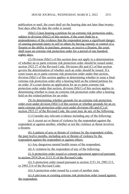publication or mail, the court shall set the hearing date not later than twentyfour days after the date the order is issued.

(M)(1) Upon hearing a petition for an extreme risk protection order, subject to division  $(M)(2)$  of this section, if the court finds by a preponderance of the evidence that the respondent poses a significant danger of causing personal injury to self or others by having custody or control of a firearm or the ability to purchase, possess, or receive a firearm, the court shall issue an extreme risk protection order for a period of one hundred eighty days.

 $(2)$  Division  $(M)(1)$  of this section does not apply to a determination of whether an ex parte extreme risk protection order should be issued under section 2923.27 of the Revised Code. Divisions (B) and (C) of that section govern the determination of whether such an order should be issued. If a court issues an ex parte extreme risk protection order under that section, division  $(M)(1)$  of this section applies in determining whether to issue a final extreme risk protection order after a hearing held on the related petition for an order. If a court denies an application for an ex parte extreme risk protection order under that section, division  $(M)(1)$  of this section applies in determining whether to issue an extreme risk protection order after a hearing held on the related petition for an order.

(N) In determining whether grounds for an extreme risk protection order exist under division  $(M)(1)$  of this section or whether grounds for an ex parte extreme risk protection order exist under divisions (B) and (C) of section 2923.27 of the Revised Code, the court may do any of the following:

(1) Consider any relevant evidence including any of the following:

(a) A recent act or threat of violence by the respondent against the respondent or against another, whether or not the violence or threat involves a firearm;

(b) A pattern of acts or threats of violence by the respondent within the past twelve months, including acts or threats of violence by the respondent against the respondent or against others;

(c) Any dangerous mental health issues of the respondent;

(d) A violation by the respondent of any of the following:

(i) A protection order issued or consent agreement approved pursuant to section 2919.26 or 3113.31 of the Revised Code;

(ii) A protection order issued pursuant to section 2151.34, 2903.213, or 2903.214 of the Revised Code;

(iii) A protection order issued by a court of another state.

(e) A previous or existing extreme risk protection order issued against the respondent;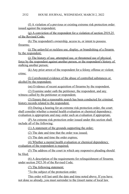(f) A violation of a previous or existing extreme risk protection order issued against the respondent;

(g) A conviction of the respondent for a violation of section 2919.25 of the Revised Code;

(h) The respondent's ownership, access to, or intent to possess firearms;

(i) The unlawful or reckless use, display, or brandishing of a firearm by the respondent;

(j) The history of use, attempted use, or threatened use of physical force by the respondent against another person, or the respondent's history of stalking another person;

(k) Any prior arrest of the respondent for a felony offense or violent crime;

(l) Corroborated evidence of the abuse of controlled substances or alcohol by the respondent;

(m) Evidence of recent acquisition of firearms by the respondent.

(2) Examine under oath the petitioner, the respondent, and any witness called by the petitioner or respondent;

(3) Ensure that a reasonable search has been conducted for criminal history records related to the respondent.

(O) During a hearing for an extreme risk protection order, the court shall consider whether a mental health evaluation or chemical dependency evaluation is appropriate and may order such an evaluation if appropriate.

(P) An extreme risk protection order issued under this section shall include all of the following:

(1) A statement of the grounds supporting the order;

(2) The date and time that the order was issued;

(3) The date and time the order expires;

(4) Whether a mental health evaluation or chemical dependency evaluation of the respondent is required;

(5) The address of the court in which any responsive pleading should be filed;

(6) A description of the requirements for relinquishment of firearms under section 2923.30 of the Revised Code;

(7) The following statement:

"To the subject of the protection order:

This order will last until the date and time noted above. If you have not done so already, you must surrender to the (insert name of local law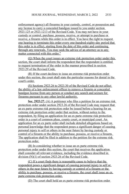enforcement agency) all firearms in your custody, control, or possession and any license to carry a concealed handgun issued to you under section 2923.125 or 2923.1213 of the Revised Code. You may not have in your custody or control, purchase, possess, receive, or attempt to purchase or receive, a firearm while this order is in effect. You have the right to request one hearing to terminate this order every one-hundred-eighty-day period that this order is in effect, starting from the date of this order and continuing through any renewals. You may seek the advice of an attorney as to any matter connected with this order."

(Q) When the court issues an extreme risk protection order under this section, the court shall inform the respondent that the respondent is entitled to request termination of the order in the manner prescribed in section 2923.29 of the Revised Code.

(R) If the court declines to issue an extreme risk protection order under this section, the court shall state the particular reasons for denial in the court's order.

(S) Sections 2923.26 to 2923.30 of the Revised Code do not affect the ability of a law enforcement officer to remove a firearm or concealed handgun license from any person or conduct any search and seizure for firearms pursuant to any other lawful authority.

 **Sec. 2923.27.** (A) A petitioner who files a petition for an extreme risk protection order under section 2923.26 of the Revised Code may request that an ex parte extreme risk protection order be issued before a hearing for an extreme risk protection order under that section, without notice to the respondent, by filing an application for an ex parte extreme risk protection order in a court of common pleas, county court, or municipal court. An application for an ex parte order shall include detailed allegations based on personal knowledge that the respondent poses a significant danger of causing personal injury to self or others in the near future by having custody or control of a firearm or the ability to purchase, possess, or receive a firearm. The application shall be filed in addition to the petition for the extreme risk protection order.

(B) In considering whether to issue an ex parte extreme risk protection order under this section, the court that receives the application shall consider all relevant evidence, including the evidence described in division (N)(1) of section 2923.26 of the Revised Code.

(C) If a court finds there is reasonable cause to believe that the respondent poses a significant danger of causing personal injury to self or others in the near future by having custody or control of a firearm or the ability to purchase, possess, or receive a firearm, the court shall issue an ex parte extreme risk protection order.

(D) The court shall hold an ex parte extreme risk protection order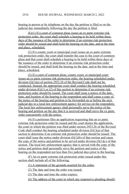hearing in person or by telephone on the day the petition is filed or on the judicial day immediately following the day the petition is filed.

(E)(1) If a court of common pleas issues an ex parte extreme risk protection order, the court shall schedule a hearing to be held within three days of the issuance of the order to determine if an extreme risk protection order should be issued and shall hold the hearing on the date, and at the time and place, scheduled.

(2) If a county court or municipal court issues an ex parte extreme risk protection order, the court shall transfer the case to the court of common pleas and that court shall schedule a hearing to be held within three days of the issuance of the order to determine if an extreme risk protection order should be issued, and shall hold the hearing on the date, and at the time and place, scheduled.

(3) If a court of common pleas, county court, or municipal court issues an ex parte extreme risk protection order, the hearing scheduled under division (I)(1)(a) of section 2923.26 of the Revised Code shall not be conducted. Instead, the appropriate court shall conduct the hearing scheduled under division  $(E)(1)$  or  $(2)$  of this section to determine if an extreme risk protection order should be issued. The court shall issue a notice of the date, time, and location of the hearing to the respondent and shall cause a copy of the notice of the hearing and petition to be forwarded on or before the next judicial day to a local law enforcement agency for service on the respondent. The local law enforcement agency shall personally serve the notice of the hearing and petition on the day that it is received and shall serve the ex parte order concurrently with the notice.

(4) If a petitioner files an application requesting that an ex parte extreme risk protection order be issued and the court denies the application, the court in which the petition was filed under section 2923.26 of the Revised Code shall conduct the hearing scheduled under division  $(I)(1)(a)$  of that section to determine if an extreme risk protection order should be issued. The court shall issue the notice under division  $(I)(1)(b)$  of that section and cause the copy of the notice and petition to be served under division  $(I)(1)(c)$  of that section. The local law enforcement agency that is served with the copy of the notice and petition shall personally serve the petition and notice of the hearing on the respondent not less than five judicial days prior to the hearing.

(F) An ex parte extreme risk protection order issued under this section shall include all of the following:

(1) A statement of the grounds asserted for the order;

(2) The date and time the order was issued;

(3) The date and time the order expires;

(4) The address of the court in which any responsive pleading should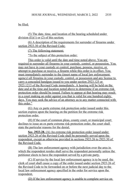# be filed;

(5) The date, time, and location of the hearing scheduled under division  $(E)(1)$  or  $(2)$  of this section:

(6) A description of the requirements for surrender of firearms under section 2923.30 of the Revised Code;

(7) The following statement:

"To the subject of this protection order:

This order is valid until the date and time noted above. You are required to surrender all firearms in your custody, control, or possession. You may not have in your custody or control, purchase, possess, receive, or attempt to purchase or receive, a firearm while this order is in effect. You must immediately surrender to the (insert name of local law enforcement agency) all firearms in your custody, control, or possession and any license to carry a concealed handgun issued to you under section 2923.125 or 2923.1213 of the Revised Code immediately. A hearing will be held on the date and at the time and location noted above to determine if an extreme risk protection order should be issued. Failure to appear at that hearing may result in a court making an order against you that is valid for one hundred eighty days. You may seek the advice of an attorney as to any matter connected with this order."

(G) Any ex parte extreme risk protection order issued under this section expires upon the hearing on the petition for the extreme risk protection order.

(H) If the court of common pleas, county court, or municipal court declines to issue an ex parte extreme risk protection order, the court shall state the particular reasons for the denial.

**Sec. 2923.28.** (A) An extreme risk protection order issued under section 2923.26 of the Revised Code shall be personally served upon the respondent, except as otherwise provided in sections 2923.26 to 2923.30 of the Revised Code.

(B) The law enforcement agency with jurisdiction over the area in which the respondent resides shall serve the respondent personally unless the petitioner elects to have the respondent served by a private party.

(C) If service by the local law enforcement agency is to be used, the clerk of court shall cause a copy of the order issued under section 2923.26 of the Revised Code to be forwarded on or before the next judicial day to the local law enforcement agency specified in the order for service upon the respondent.

(D) If the law enforcement agency is unable to complete service on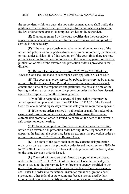the respondent within ten days, the law enforcement agency shall notify the petitioner. The petitioner shall provide any information necessary to allow the law enforcement agency to complete service on the respondent.

(E) If an order entered by the court specifies that the respondent appeared in person before the court, further service is waived and proof of service is not necessary.

(F) If the court previously entered an order allowing service of the notice and petition or an ex parte extreme risk protection order by publication or mail under division (H) of this section, or if the court finds there are now grounds to allow for that method of service, the court may permit service by publication or mail of the extreme risk protection order as provided in that division.

(G) Return of service under sections 2923.26 to 2923.30 of the Revised Code shall be made in accordance with applicable rules of court.

(H) The court may order service by publication or service by mail as provided by the Rules of Civil Procedure except that any summons shall contain the name of the respondent and petitioner, the date and time of the hearing, and any ex parte extreme risk protection order that has been issued against the respondent, and the following notice:

"If you fail to respond, an extreme risk protection order may be issued against you pursuant to sections 2923.26 to 2923.30 of the Revised Code for one hundred eighty days from the date you are required to appear."

(I) If the court orders service by publication or mail for notice of an extreme risk protection order hearing, it shall also reissue the ex parte extreme risk protection order, if issued, to expire on the date of the extreme risk protection order hearing.

(J) Following completion of service by publication or by mail for notice of an extreme risk protection order hearing, if the respondent fails to appear at the hearing, the court may issue an extreme risk protection order as provided in section 2923.26 of the Revised Code.

(K) The clerk of the court shall enter any extreme risk protection order or ex parte extreme risk protection order issued under sections 2923.26 to 2923.30 of the Revised Code into a statewide judicial information system on the same day such order is issued.

(L) The clerk of the court shall forward a copy of an order issued under sections 2923.26 to 2923.30 of the Revised Code the same day the order is issued to the appropriate law enforcement agency specified in the order. Upon receipt of the copy of the order, the law enforcement agency shall enter the order into the national instant criminal background check system, any other federal or state computer-based systems used by law enforcement or others to identify prohibited purchasers of firearms, and any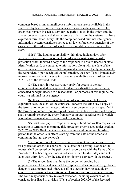computer-based criminal intelligence information system available in this state used by law enforcement agencies to list outstanding warrants. The order shall remain in each system for the period stated in the order, and the law enforcement agency shall only remove orders from the systems that have expired or terminated. Entry into the computer-based criminal intelligence information system constitutes notice to all law enforcement agencies of the existence of the order. The order is fully enforceable in any county in the state.

 $(M)(1)$  The issuing court shall, within three judicial days after issuance of an extreme risk protection order or ex parte extreme risk protection order, forward a copy of the respondent's driver's license or state identification card, or comparable information, along with the date of the order's issuance, to the sheriff that has issued a concealed handgun license to the respondent. Upon receipt of the information, the sheriff shall immediately revoke the respondent's license in accordance with division (B) of section 2923.128 of the Revised Code.

(2) The court, if necessary, may apply for access to the law enforcement automated data system to identify a sheriff that has issued a concealed handgun license to a respondent. For purposes of this inquiry, the court is a criminal justice agency.

(N) If an extreme risk protection order is terminated before its expiration date, the clerk of the court shall forward the same day a copy of the termination order to the appropriate law enforcement agency specified in the termination order. Upon receipt of the order, the law enforcement agency shall promptly remove the order from any computer-based system in which it was entered pursuant to division (L) of this section.

**Sec. 2923.29.** (A) The respondent may submit one written request for a hearing to terminate an extreme risk protection order issued under sections 2923.26 to 2923.30 of the Revised Code every one-hundred-eighty-day period that the order is in effect, starting from the date of the order and continuing through any renewals.

(1) Upon receipt of the request for a hearing to terminate an extreme risk protection order, the court shall set a date for a hearing. Notice of the request shall be served on the petitioner in accordance with the Rules of Civil Procedure. The hearing shall occur not sooner than fourteen days and not later than thirty days after the date the petitioner is served with the request.

(2) The respondent shall have the burden of proving by a preponderance of the evidence that the respondent does not pose a significant danger of causing personal injury to self or others by having custody or control of a firearm or the ability to purchase, possess, or receive a firearm. The court may consider any relevant evidence, including evidence of the considerations listed in division (N)(1) of section 2923.26 of the Revised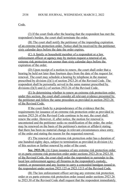Code.

(3) If the court finds after the hearing that the respondent has met the respondent's burden, the court shall terminate the order.

(B) The court shall notify the petitioner of the impending expiration of an extreme risk protection order. Notice shall be received by the petitioner sixty calendar days before the date the order expires.

(C) A family or household member of a respondent or a law enforcement officer or agency may by motion request a renewal of an extreme risk protection not sooner than sixty calendar days before the expiration of the order.

(D) Upon receipt of a motion to renew, the court shall order that a hearing be held not later than fourteen days from the date of the request for renewal. The court may schedule a hearing by telephone in the manner prescribed by division (J)(1) of section 2923.26 of the Revised Code. The respondent shall be personally served in the same manner prescribed by divisions (I)(3) and (L) of section 2923.26 of the Revised Code.

(E) In determining whether to renew an extreme risk protection order under this section, the court shall consider all relevant evidence presented by the petitioner and follow the same procedure as provided in section 2923.26 of the Revised Code.

If the court finds by a preponderance of the evidence that the requirements for issuance of an extreme risk protection order as provided in section 2923.26 of the Revised Code continue to be met, the court shall renew the order. However, if, after notice, the motion for renewal is uncontested and the petitioner seeks no modification of the order, the order may be renewed on the basis of the petitioner's motion or affidavit stating that there has been no material change in relevant circumstances since entry of the order and stating the reason for the requested renewal.

(F) The renewal of an extreme risk protection order has a duration of one hundred eighty days, subject to termination as provided in division (A) of this section or further renewal by order of the court.

**Sec. 2923.30.** (A) Upon issuance of any extreme risk protection order or ex parte extreme risk protection order under sections 2923.26 to 2923.30 of the Revised Code, the court shall order the respondent to surrender to the local law enforcement agency all firearms in the respondent's custody, control, or possession and any license to carry a concealed handgun issued to the respondent under section 2923.125 or 2923.1213 of the Revised Code.

(B) The law enforcement officer serving any extreme risk protection order or ex parte extreme risk protection order issued under sections 2923.26 to 2923.30 of the Revised Code shall request that the respondent immediately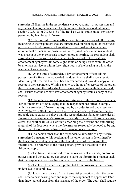surrender all firearms in the respondent's custody, control, or possession and any license to carry a concealed handgun issued to the respondent under section 2923.125 or 2923.1213 of the Revised Code, and conduct any search permitted by law for such firearms.

(C) The law enforcement officer shall take possession of all firearms belonging to the respondent that are surrendered, in plain sight, or discovered pursuant to a lawful search. Alternatively, if personal service by a law enforcement officer is not possible, or not required because the respondent was present at the extreme risk protection order hearing, the respondent shall surrender the firearms in a safe manner to the control of the local law enforcement agency within forty-eight hours of being served with the order by alternate service or within forty-eight hours of the hearing at which the respondent was present.

(D) At the time of surrender, a law enforcement officer taking possession of a firearm or concealed handgun license shall issue a receipt identifying all firearms that have been surrendered and provide a copy of the receipt to the respondent. Within seventy-two hours after service of the order, the officer serving the order shall file the original receipt with the court and shall ensure that the officer's law enforcement agency retains a copy of the receipt.

(E) Upon the sworn statement or testimony of the petitioner or of any law enforcement officer alleging that the respondent has failed to comply with the surrender of firearms as required by an order issued under sections 2923.26 to 2923.30 of the Revised Code, the court shall determine whether probable cause exists to believe that the respondent has failed to surrender all firearms in the respondent's possession, custody, or control. If probable cause exists, the court shall issue a warrant describing the firearms and authorizing a search of the locations where the firearms are reasonably believed to be and the seizure of any firearms discovered pursuant to such search.

(F) If a person other than the respondent claims title to any firearm surrendered pursuant to this section, and the other person is determined by the law enforcement agency to be the lawful owner of the firearm, the firearm shall be returned to the other person, provided that both of the following apply:

(1) The firearm is removed from the respondent's custody, control, or possession and the lawful owner agrees to store the firearm in a manner such that the respondent does not have access to or control of the firearm.

(2) The lawful owner is not prohibited from possessing the firearm under state or federal law.

(G) Upon the issuance of an extreme risk protection order, the court shall order a new hearing date and require the respondent to appear not later than three judicial days from the issuance of the order. The court shall require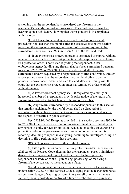a showing that the respondent has surrendered any firearms in the respondent's custody, control, or possession. The court may dismiss the hearing upon a satisfactory showing that the respondent is in compliance with the order.

(H) All law enforcement agencies shall develop policies and procedures not later than six months after the effective date of this section regarding the acceptance, storage, and return of firearms required to be surrendered under sections 2923.26 to 2923.30 of the Revised Code.

(I) If an extreme risk protection order is terminated or expires without renewal or an ex parte extreme risk protection order expires and an extreme risk protection order is not issued regarding the respondent, a law enforcement agency holding any firearm that has been surrendered pursuant to sections 2923.26 to 2923.30 of the Revised Code shall return any surrendered firearm requested by a respondent only after confirming, through a background check, that the respondent is currently eligible to own or possess firearms under federal and state law and after confirming with the court that the extreme risk protection order has terminated or has expired without renewal.

(J) A law enforcement agency shall, if requested by a family or household member of a respondent, provide prior notice of the return of a firearm to a respondent to that family or household member.

(K) Any firearm surrendered by a respondent pursuant to this section that remains unclaimed by the lawful owner shall be disposed of in accordance with the law enforcement agency's policies and procedures for the disposal of firearms in police custody.

 **Sec. 2923.99.** (A) Except as provided in this section, sections 2923.26 to 2923.30 of the Revised Code do not impose criminal or civil liability on any person or entity for acts or omissions related to obtaining an extreme risk protection order or ex parte extreme risk protection order including for reporting, declining to report, investigating, declining to investigate, filing, or declining to file a petition under those sections.

(B)(1) No person shall do either of the following:

(a) File a petition for an extreme risk protection order under section 2923.26 of the Revised Code alleging that the respondent poses a significant danger of causing personal injury to self or others by having in the respondent's custody or control, purchasing, possessing, or receiving a firearm if the person knows the allegation is false;

(b) File an application for an ex parte extreme risk protection order under section 2923.27 of the Revised Code alleging that the respondent poses a significant danger of causing personal injury to self or others in the near future by having custody or control of a firearm or the ability to purchase,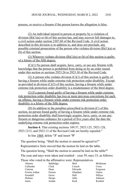# possess, or receive a firearm if the person knows the allegation is false.

(2) An individual injured in person or property by a violation of division  $(B)(1)(a)$  or (b) of this section has, and may recover full damages in, a civil action under section 2307.60 of the Revised Code. A civil action described in this division is in addition to, and does not preclude, any possible criminal prosecution of the person who violates division (B)(1)(a) or (b) of this section.

(3) Whoever violates division  $(B)(1)(a)$  or (b) of this section is guilty of a felony of the fifth degree.

(C)(1) No person shall acquire, have, carry, or use any firearm with knowledge that the person is prohibited from doing so by an order issued under this section or sections 2923.26 to 2923.30 of the Revised Code.

(2) A person who violates division  $(C)(1)$  of this section is guilty of having a firearm while under extreme risk protection order disability. Except as provided in division  $(C)(3)$  of this section, having a firearm while under extreme risk protection order disability is a misdemeanor of the third degree.

(3) If a person found guilty of having a firearm while under extreme risk protection order disability has two or more previous convictions for such an offense, having a firearm while under extreme risk protection order disability is a felony of the fifth degree.

(D) In addition to the penalties prescribed in division (C) of this section, no person found guilty of having a firearm while under extreme risk protection order disability shall knowingly acquire, have, carry, or use any firearm or dangerous ordnance for a period of five years after the date the underlying extreme risk protection order expires.

**Section 4.** That existing sections 109.57, 2923.125, 2923.128, 2923.1213, and 2923.13 of the Revised Code are hereby repealed."

In line 1969, delete "**3**" and insert "**5**"

The question being, "Shall the motion to amend be agreed to?"

Representative Seitz moved that the motion be laid on the table.

The question being, "Shall the motion to amend be laid on the table?"

The yeas and nays were taken and resulted – yeas 59, nays 33, as follows:

Those who voted in the affirmative were: Representatives

| Abrams        | Baldridge | Bird     | <b>Brinkman</b> |
|---------------|-----------|----------|-----------------|
| Callender     | Click     | Creech   | Cross           |
| Cutrona       | Dean      | Edwards  | Ferguson        |
| Fowler Arthur | Fraizer   | Ghanbari | Ginter          |
| Grendell      | Gross     | Hall     | Hillyer         |
| Holmes        | Hoops     | John     | Johnson         |
| Jones         | Jordan    | Kick     | Koehler         |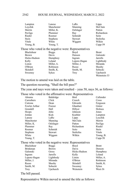#### HOUSE JOURNAL, WEDNESDAY, MARCH 2, 2022 2542

| Lampton                                               | Lanese          | LaRe         | Lipps        |
|-------------------------------------------------------|-----------------|--------------|--------------|
| Loychik                                               | Manchester      | Manning      | McClain      |
| Merrin                                                | Miller, K.      | Oelslager    | Patton       |
| Pavliga                                               | Plummer         | Ray          | Richardson   |
| Riedel                                                | Roemer          | Schmidt      | Seitz        |
| Stein                                                 | <b>Stephens</b> | Stewart      | Stoltzfus    |
| Vitale                                                | White           | Wiggam       | Wilkin       |
| Young, B.                                             | Young, T.       |              | $Cupp-59$    |
| Those who voted in the negative were: Representatives |                 |              |              |
| <b>Blackshear</b>                                     | <b>Boggs</b>    | Boyd         | <b>Brent</b> |
| <b>Brown</b>                                          | Davis           | Denson       | Galonski     |
| Hicks-Hudson                                          | Humphrey        | Ingram       | Jarrells     |
| Kelly                                                 | Leland          | Lepore-Hagan | Lightbody    |
| Liston                                                | Miller, A.      | Miller, J.   | Miranda      |
| O'Brien                                               | Robinson        | Russo        | Sheehy       |
| Skindell                                              | Smith, K.       | Smith, M.    | Sobecki      |
| Sweeney                                               | Sykes           | Troy         | Upchurch     |
|                                                       |                 |              | Weinstein-33 |

The motion to amend was laid on the table.

The question recurring, "Shall the bill pass?"

The yeas and nays were taken and resulted – yeas 58, nays 36, as follows:

Those who voted in the affirmative were: Representatives

| THOSE WHO VOICE IN the annihilative were. INepresentatives |              |              |               |
|------------------------------------------------------------|--------------|--------------|---------------|
| Abrams                                                     | Baldridge    | <b>Bird</b>  | Callender     |
| Carruthers                                                 | Click        | Creech       | Cross         |
| Cutrona                                                    | Dean         | Edwards      | Ferguson      |
| Fowler Arthur                                              | Fraizer      | Ghanbari     | Ginter        |
| Grendell                                                   | Hall         | Hillyer      | <b>Holmes</b> |
| Hoops                                                      | John         | Johnson      | Jones         |
| Jordan                                                     | Kick         | Koehler      | Lampton       |
| Lanese                                                     | LaRe         | Lipps        | Loychik       |
| Manchester                                                 | Manning      | McClain      | Merrin        |
| Miller, K.                                                 | Oelslager    | Patton       | Pavliga       |
| Plummer                                                    | Ray          | Richardson   | Riedel        |
| Roemer                                                     | Schmidt      | <b>Seitz</b> | Stein         |
| <b>Stephens</b>                                            | Stewart      | Stoltzfus    | Vitale        |
| White                                                      | Wiggam       | Wilkin       | Young, B.     |
| Young, T.                                                  |              |              | $Cupp-58$     |
| Those who voted in the negative were: Representatives      |              |              |               |
| <b>Blackshear</b>                                          | <b>Boggs</b> | Boyd         | <b>Brent</b>  |
| <b>Brinkman</b>                                            | <b>Brown</b> | Davis        | Denson        |
| Galonski                                                   | Gross        | Hicks-Hudson | Humphrey      |
| Ingram                                                     | Jarrells     | Kelly        | Leland        |
| Lepore-Hagan                                               | Lightbody    | Liston       | Miller, A.    |
| Miller, J.                                                 | Miranda      | O'Brien      | Robinson      |
| Russo                                                      | Sheehy       | Skindell     | Smith, K.     |
| Smith, M.                                                  | Sobecki      | Sweeney      | Sykes         |
| Troy                                                       | Upchurch     | Weinstein    | West-36       |
|                                                            |              |              |               |

The bill passed.

Representative Wilkin moved to amend the title as follows: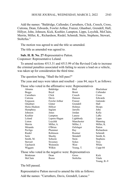Add the names: "Baldridge, Callender, Carruthers, Click, Creech, Cross, Cutrona, Dean, Edwards, Fowler Arthur, Fraizer, Ghanbari, Grendell, Hall, Hillyer, John, Johnson, Kick, Koehler, Lampton, Lipps, Loychik, McClain, Merrin, Miller, K., Richardson, Riedel, Schmidt, Stein, Stephens, Stewart, Stoltzfus."

The motion was agreed to and the title so amended.

The title as amended was agreed to.

**Sub. H. B. No. 27**-Representative Patton. Cosponsor: Representative Leland.

To amend sections 4513.31 and 4513.99 of the Revised Code to increase the criminal penalties associated with failing to secure a load on a vehicle, was taken up for consideration the third time.

The question being, "Shall the bill pass?"

The yeas and nays were taken and resulted – yeas 84, nays 9, as follows:

|         | Those who voted in the affirmative were: Representatives |  |
|---------|----------------------------------------------------------|--|
| A brame | <b>Baldridge</b><br><b>Rird</b>                          |  |

| Abrams                                                | Baldridge     | Bird         | <b>Blackshear</b> |
|-------------------------------------------------------|---------------|--------------|-------------------|
| Boggs                                                 | Boyd          | <b>Brent</b> | Callender         |
| Carruthers                                            | Click         | Creech       | Cross             |
| Cutrona                                               | Davis         | Denson       | Edwards           |
| Ferguson                                              | Fowler Arthur | Fraizer      | Galonski          |
| Ghanbari                                              | Ginter        | Grendell     | Hall              |
| Hicks-Hudson                                          | Hillyer       | Holmes       | Hoops             |
| Humphrey                                              | Ingram        | Jarrells     | John              |
| Johnson                                               | Jones         | Jordan       | Kelly             |
| Koehler                                               | Lampton       | Lanese       | LaRe              |
| Leland                                                | Lepore-Hagan  | Lightbody    | Lipps             |
| Liston                                                | Loychik       | Manchester   | Manning           |
| Merrin                                                | Miller, A.    | Miller, J.   | Miller, K.        |
| Miranda                                               | O'Brien       | Oelslager    | Patton            |
| Pavliga                                               | Plummer       | Ray          | Richardson        |
| Riedel                                                | Robinson      | Roemer       | Schmidt           |
| Seitz                                                 | Sheehy        | Skindell     | Smith, K.         |
| Smith, M.                                             | Sobecki       | Stein        | Stephens          |
| Stewart                                               | Sweeney       | Sykes        | Troy              |
| Upchurch                                              | Weinstein     | West         | White             |
| Wiggam                                                | Wilkin        | Young, T.    | $Cupp-84$         |
| Those who voted in the negative were: Representatives |               |              |                   |
| <b>Brinkman</b>                                       | Dean          | Gross        | Kick              |
| McClain                                               | Russo         | Stoltzfus    | Vitale            |

Young, B.-9

The bill passed.

Representative Patton moved to amend the title as follows:

Add the names: "Carruthers, Davis, Grendell, Lanese."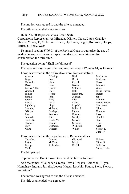The motion was agreed to and the title so amended.

The title as amended was agreed to.

**H. B. No. 60**-Representatives Brent, Seitz.

Cosponsors: Representatives Miranda, O'Brien, Cross, Lipps, Crawley, Sheehy, Young, T., Miller, A., Howse, Upchurch, Boggs, Robinson, Hoops, Miller, J., Kelly, West.

To amend section 3796.01 of the Revised Code to authorize the use of medical marijuana for autism spectrum disorder, was taken up for consideration the third time.

The question being, "Shall the bill pass?"

The yeas and nays were taken and resulted – yeas 77, nays 14, as follows:

Those who voted in the affirmative were: Representatives

| Abrams          | Baldridge                                             | Bird         | <b>Blackshear</b> |
|-----------------|-------------------------------------------------------|--------------|-------------------|
| <b>Boggs</b>    | Boyd                                                  | <b>Brent</b> | <b>Brinkman</b>   |
| Callender       | Click                                                 | Creech       | Cross             |
| Davis           | Dean                                                  | Denson       | Ferguson          |
| Fowler Arthur   | Fraizer                                               | Galonski     | Ginter            |
| Grendell        | Gross                                                 | Hall         | Hicks-Hudson      |
| Hillyer         | Hoops                                                 | Humphrey     | Ingram            |
| Jarrells        | John                                                  | Johnson      | Jones             |
| Jordan          | Kelly                                                 | Kick         | Lampton           |
| Lanese          | LaRe                                                  | Leland       | Lepore-Hagan      |
| Lightbody       | Lipps                                                 | Loychik      | Manchester        |
| Manning         | Miller, A.                                            | Miller, J.   | Miranda           |
| O'Brien         | Oelslager                                             | Patton       | Plummer           |
| Ray             | Robinson                                              | Roemer       | Russo             |
| Schmidt         | Seitz                                                 | Sheehy       | Skindell          |
| Smith, K.       | Smith, M.                                             | Sobecki      | Stein             |
| <b>Stephens</b> | <b>Stewart</b>                                        | Sweeney      | Sykes             |
| Troy            | Upchurch                                              | Weinstein    | West              |
| White           | Wiggam                                                | Wilkin       | Young, T.         |
|                 |                                                       |              | $Cupp-77$         |
|                 | Those who voted in the negative were: Representatives |              |                   |
| Carruthers      | Edwards                                               | Ghanbari     | <b>Holmes</b>     |
| Liston          | McClain                                               | Merrin       | Miller, K.        |
| Pavliga         | Richardson                                            | Riedel       | <b>Stoltzfus</b>  |
| Vitale          |                                                       |              | Young, $B.-14$    |
|                 |                                                       |              |                   |

The bill passed.

Representative Brent moved to amend the title as follows:

Add the names: "Callender, Creech, Davis, Denson, Galonski, Hillyer, Humphrey, Ingram, Jarrells, Lepore-Hagan, Loychik, Patton, Stein, Stewart, Weinstein<sup>"</sup>

The motion was agreed to and the title so amended.

The title as amended was agreed to.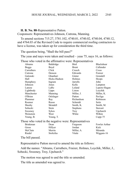## **H. B. No. 88**-Representative Patton.

Cosponsors: Representatives Johnson, Cutrona, Manning.

To amend sections 715.27, 3781.102, 4740.01, 4740.02, 4740.04, 4740.12, and 4764.03 of the Revised Code to require commercial roofing contractors to have a license, was taken up for consideration the third time.

The question being, "Shall the bill pass?"

The yeas and nays were taken and resulted – yeas 75, nays 16, as follows: Those who voted in the affirmative were: Representatives

| Abrams          | Baldridge                                             | Bird            | <b>Blackshear</b> |
|-----------------|-------------------------------------------------------|-----------------|-------------------|
| <b>Boggs</b>    | Boyd                                                  | <b>Brent</b>    | Callender         |
| Carruthers      | Click                                                 | Creech          | Cross             |
| Cutrona         | Denson                                                | Edwards         | Fraizer           |
| Galonski        | Ghanbari                                              | Ginter          | Grendell          |
| Hall            | Hicks-Hudson                                          | Holmes          | Hoops             |
| Humphrey        | Ingram                                                | Jarrells        | John              |
| Johnson         | Jones                                                 | Kelly           | Lampton           |
| Lanese          | LaRe                                                  | Leland          | Lepore-Hagan      |
| Lightbody       | Lipps                                                 | Liston          | Loychik           |
| Manchester      | Manning                                               | Miller, J.      | Miller, K.        |
| O'Brien         | Oelslager                                             | Patton          | Pavliga           |
| Plummer         | Ray                                                   | Richardson      | Robinson          |
| Roemer          | Russo                                                 | Schmidt         | Seitz             |
| Sheehy          | Skindell                                              | Smith, K.       | Smith, M.         |
| Sobecki         | Stein                                                 | <b>Stephens</b> | Stewart           |
| Sweeney         | Sykes                                                 | Troy            | Upchurch          |
| Weinstein       | West                                                  | White           | Wilkin            |
| Young, B.       | Young, T.                                             |                 | $Cupp-75$         |
|                 | Those who voted in the negative were: Representatives |                 |                   |
| <b>Brinkman</b> | Dean                                                  | Ferguson        | Fowler Arthur     |
| Gross           | Hillyer                                               | Jordan          | Kick              |
| McClain         | Merrin                                                | Miller, A.      | Miranda           |
| Riedel          | <b>Stoltzfus</b>                                      | Vitale          | Wiggam-16         |
|                 |                                                       |                 |                   |

The bill passed.

Representative Patton moved to amend the title as follows:

Add the names: "Abrams, Carruthers, Fraizer, Holmes, Loychik, Miller, J., Sobecki, Sweeney, Troy, Upchurch."

The motion was agreed to and the title so amended.

The title as amended was agreed to.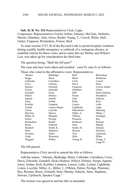**Sub. H. B. No. 324**-Representatives Click, Lipps.

Cosponsors: Representatives Fowler Arthur, Johnson, McClain, Stoltzfus, Merrin, Ghanbari, John, Gross, Riedel, Young, T., Creech, White, Hall, Ginter, Ferguson, Richardson, Fraizer, Bird.

To enact section 3727.30 of the Revised Code to permit hospital visitation during a public health emergency or outbreak of a contagious disease, to establish criteria for those visits, and to name this act Shirley and Wilma's Law, was taken up for consideration the third time.

The question being, "Shall the bill pass?"

The yeas and nays were taken and resulted – yeas 93, nays 0, as follows:

Those who voted in the affirmative were: Representatives

| Abrams       | Baldridge    | Bird           | Blackshear      |
|--------------|--------------|----------------|-----------------|
| <b>Boggs</b> | Boyd         | <b>Brent</b>   | <b>Brinkman</b> |
| Callender    | Carruthers   | Click          | Creech          |
| Cross        | Cutrona      | Davis          | Dean            |
| Denson       | Edwards      | Ferguson       | Fowler Arthur   |
| Fraizer      | Galonski     | Ghanbari       | Ginter          |
| Grendell     | Gross        | Hall           | Hicks-Hudson    |
| Hillyer      | Holmes       | Hoops          | Humphrey        |
| Ingram       | Jarrells     | John           | Johnson         |
| Jones        | Jordan       | Kelly          | Kick            |
| Koehler      | Lampton      | Lanese         | LaRe            |
| Leland       | Lepore-Hagan | Lightbody      | Lipps           |
| Liston       | Loychik      | Manchester     | Manning         |
| McClain      | Merrin       | Miller, A.     | Miller, J.      |
| Miller, K.   | Miranda      | O'Brien        | Oelslager       |
| Patton       | Pavliga      | Plummer        | Ray             |
| Richardson   | Riedel       | Robinson       | Roemer          |
| Russo        | Schmidt      | Seitz          | Sheehy          |
| Skindell     | Smith, K.    | Smith, M.      | Sobecki         |
| Stein        | Stephens     | <b>Stewart</b> | Stoltzfus       |
| Sweeney      | Sykes        | Troy           | Upchurch        |
| Vitale       | Weinstein    | West           | White           |
| Wiggam       | Wilkin       | Young, B.      | Young, T.       |
|              |              |                | $Cupp-93$       |

The bill passed.

Representative Click moved to amend the title as follows:

Add the names: "Abrams, Baldridge, Brent, Callender, Carruthers, Cross, Davis, Edwards, Grendell, Hicks-Hudson, Hillyer, Holmes, Hoops, Ingram, Jones, Jordan, Kick, Koehler, Lampton, Lanese, LaRe, Leland, Lightbody, Liston, Loychik, Miller, A., Miller, J., O'Brien, Patton, Pavliga, Plummer, Ray, Roemer, Russo, Schmidt, Seitz, Sheehy, Sobecki, Stein, Stephens, Stewart, Upchurch, Speaker Cupp."

The motion was agreed to and the title so amended.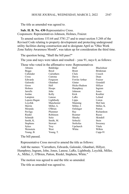The title as amended was agreed to.

**Sub. H. B. No. 430**-Representative Cross. Cosponsors: Representatives Johnson, Holmes, Fraizer.

To amend sections 153.64 and 3781.27 and to enact section 5.248 of the Revised Code relating to property development and protecting underground utility facilities during construction and to designate April as "Ohio Work Zone Safety Awareness Month", was taken up for consideration the third time.

The question being, "Shall the bill pass?"

The yeas and nays were taken and resulted – yeas 91, nays 0, as follows:

|                  |              | The yeas and nays were taken and resulted $-$ yeas 91, nays 0, as follo |                   |
|------------------|--------------|-------------------------------------------------------------------------|-------------------|
|                  |              | Those who voted in the affirmative were: Representatives                |                   |
| Abrams           | Baldridge    | Bird                                                                    | <b>Blackshear</b> |
| <b>Boggs</b>     | Boyd         | <b>Brent</b>                                                            | <b>Brinkman</b>   |
| Callender        | Carruthers   | Click                                                                   | Creech            |
| Cross            | Cutrona      | Davis                                                                   | Dean              |
| Edwards          | Ferguson     | Fowler Arthur                                                           | Fraizer           |
| Galonski         | Ghanbari     | Ginter                                                                  | Grendell          |
| Gross            | Hall         | Hicks-Hudson                                                            | Hillyer           |
| Holmes           | Hoops        | Humphrey                                                                | Ingram            |
| Jarrells         | John         | Johnson                                                                 | Jones             |
| Jordan           | Kelly        | Kick                                                                    | Koehler           |
| Lampton          | Lanese       | LaRe                                                                    | Leland            |
| Lepore-Hagan     | Lightbody    | Lipps                                                                   | Liston            |
| Loychik          | Manchester   | Manning                                                                 | McClain           |
| Merrin           | Miller, A.   | Miller, J.                                                              | Miller, K.        |
| Miranda          | O'Brien      | Oelslager                                                               | Patton            |
| Pavliga          | Plummer      | Ray                                                                     | Richardson        |
| Riedel           | Robinson     | Roemer                                                                  | Russo             |
| Schmidt          | <b>Seitz</b> | Sheehy                                                                  | <b>Skindell</b>   |
| Smith, K.        | Smith, M.    | Sobecki                                                                 | Stein             |
| Stephens         | Stewart      | <b>Stoltzfus</b>                                                        | Sweeney           |
| <b>Sykes</b>     | Troy         | Upchurch                                                                | Vitale            |
| Weinstein        | West         | White                                                                   | Wilkin            |
| Young, B.        | Young, T.    |                                                                         | $Cupp-91$         |
| The bill passed. |              |                                                                         |                   |

Representative Cross moved to amend the title as follows:

Add the names: "Carruthers, Edwards, Galonski, Ghanbari, Hillyer, Humphrey, Ingram, John, Jones, Lanese, LaRe, Lightbody, Loychik, Miller, A., Miller, J., O'Brien, Patton, Riedel, Stephens, White."

The motion was agreed to and the title so amended.

The title as amended was agreed to.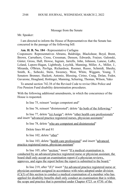### Message from the Senate

Mr. Speaker:

I am directed to inform the House of Representatives that the Senate has concurred in the passage of the following bill:

**Am. H. B. No. 184** - Representative Carfagna

Cosponsors: Representatives Abrams, Baldridge, Blackshear, Boyd, Brent, Brown, Carruthers, Cross, Crossman, Denson, Edwards, Fraizer, Galonski, Ginter, Gross, Hall, Howse, Ingram, Jarrells, John, Johnson, Lanese, LaRe, Leland, Lepore-Hagan, Lightbody, Loychik, Manning, Miller, A., Miller, J., Miranda, O'Brien, Pavliga, Richardson, Roemer, Russo, Schmidt, Sheehy, Smith, K., Sobecki, Stein, Sweeney, West, White, Wiggam, Young, T. Senators Brenner, Hackett, Antonio, Blessing, Cirino, Craig, Dolan, Fedor, Gavarone, Hoagland, Hottinger, Manning, Schuring, Thomas, Wilson, Yuko

To amend section 742.38 of the Revised Code to revise Ohio Police and Fire Pension Fund disability determination procedures.

With the following additional amendments, in which the concurrence of the House is requested.

In line 75, reinsert "assign competent and"

In line 76, reinsert "disinterested"; delete "do both of the following:"

In line 77, delete "(a) Assign"; delete "other health care professionals" and insert "advanced practice registered nurses, physician assistants"

In line 78, delete "who are competent and disinterested"

Delete lines 80 and 81

In line 102, delete "other"

In line 103, delete "health care professional" and insert "advanced practice registered nurse, physician assistant"

In line 105, after "section." insert "If a medical examination is conducted by an advanced practice registered nurse or physician assistant, the board shall only accept an examination report if a physician reviews, approves, and signs the report before the report is submitted to the board."

In line 219, after "(E)" insert "An advanced practice registered nurse or physician assistant assigned in accordance with rules adopted under division (C)(3) of this section to conduct a medical examination of a member who has applied for disability benefits shall only conduct an examination that is within the scope and practice that is permitted under Chapter 4723. or 4730. of the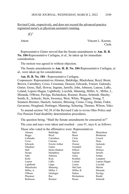Revised Code, respectively, and does not exceed the advanced practice registered nurse's or physician assistant's training.

(F)"

Attest: Vincent L. Keeran, Clerk.

Representative Ginter moved that the Senate amendments to **Am. H. B. No. 184-**Representative Carfagna, et al., be taken up for immediate consideration.

The motion was agreed to without objection.

The Senate amendments to **Am. H. B. No. 184**-Representative Carfagna, et al., were taken up for consideration.

**Am. H. B. No. 184 -** Representative Carfagna.

Cosponsors: Representatives Abrams, Baldridge, Blackshear, Boyd, Brent, Brown, Carruthers, Cross, Crossman, Denson, Edwards, Fraizer, Galonski, Ginter, Gross, Hall, Howse, Ingram, Jarrells, John, Johnson, Lanese, LaRe, Leland, Lepore-Hagan, Lightbody, Loychik, Manning, Miller, A., Miller, J., Miranda, O'Brien, Pavliga, Richardson, Roemer, Russo, Schmidt, Sheehy, Smith, K., Sobecki, Stein, Sweeney, West, White, Wiggam, Young, T. Senators Brenner, Hackett, Antonio, Blessing, Cirino, Craig, Dolan, Fedor, Gavarone, Hoagland, Hottinger, Manning, Schuring, Thomas, Wilson, Yuko.

To amend section 742.38 of the Revised Code to revise Ohio Police and Fire Pension Fund disability determination procedures.

The question being, "Shall the Senate amendments be concurred in?"

The yeas and nays were taken and resulted – yeas 91, nays 0, as follows:

|              | $\cos$ who voted in the annihilative were. Representatives |            |                   |
|--------------|------------------------------------------------------------|------------|-------------------|
| Abrams       | Baldridge                                                  | Bird       | <b>Blackshear</b> |
| <b>Boggs</b> | Boyd                                                       | Brent      | <b>Brinkman</b>   |
| Callender    | Carruthers                                                 | Click      | Creech            |
| <b>Cross</b> | Cutrona                                                    | Davis      | Dean              |
| Edwards      | Fowler Arthur                                              | Fraizer    | Galonski          |
| Ghanbari     | Ginter                                                     | Grendell   | Gross             |
| Hall         | Hicks-Hudson                                               | Hillyer    | Holmes            |
| Hoops        | Humphrey                                                   | Ingram     | Jarrells          |
| John         | Johnson                                                    | Jones      | Jordan            |
| Kelly        | Kick                                                       | Koehler    | Lampton           |
| Lanese       | LaRe                                                       | Leland     | Lepore-Hagan      |
| Lightbody    | Lipps                                                      | Liston     | Loychik           |
| Manchester   | Manning                                                    | McClain    | Merrin            |
| Miller, A.   | Miller, J.                                                 | Miller, K. | Miranda           |
| O'Brien      | Oelslager                                                  | Patton     | Pavliga           |
| Plummer      | Ray                                                        | Richardson | Riedel            |
| Robinson     | Roemer                                                     | Russo      | Schmidt           |
|              |                                                            |            |                   |

Those who voted in the affirmative were: Representatives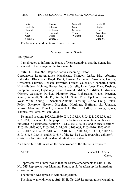| Seitz       | Sheehy    | Skindell | Smith, K.       |
|-------------|-----------|----------|-----------------|
| Smith, M.   | Sobecki   | Stein    | <b>Stephens</b> |
| Stewart     | Stoltzfus | Sweeney  | <b>Sykes</b>    |
| <b>Troy</b> | Upchurch  | Vitale   | Weinstein       |
| West        | White     | Wiggam   | Wilkin          |
| Young, B.   | Young, T. |          | $Cupp-91$       |

The Senate amendments were concurred in.

Message from the Senate

Mr. Speaker:

I am directed to inform the House of Representatives that the Senate has concurred in the passage of the following bill:

## **Sub. H. B. No. 265** - Representatives Manning, Patton

Cosponsors: Representatives Manchester, Skindell, LaRe, Bird, Abrams, Baldridge, Blackshear, Boyd, Brent, Brown, Carfagna, Carruthers, Creech, Crossman, Cutrona, Denson, Edwards, Fraizer, Galonski, Ghanbari, Ginter, Hicks-Hudson, Holmes, Howse, Ingram, Jarrells, John, Jones, Kick, Koehler, Lampton, Lanese, Lightbody, Liston, Loychik, Miller, A., Miller, J., Miranda, O'Brien, Oelslager, Pavliga, Plummer, Ray, Richardson, Riedel, Roemer, Russo, Schmidt, Smith, K., Smith, M., Stein, Troy, Upchurch, Weinstein, West, White, Young, T. Senators Antonio, Blessing, Cirino, Craig, Dolan, Fedor, Gavarone, Hackett, Hoagland, Hottinger, Huffman, S., Johnson, Kunze, Manning, Reineke, Romanchuk, Rulli, Schaffer, Schuring, Sykes, Thomas, Williams, Wilson, Yuko

To amend sections 1923.02, 2950.034, 5103.13, 5103.131, 5321.03, and 5321.051; to amend, for the purpose of adopting a new section number as indicated in parentheses, section 5103.132 (5103.6016); and to enact sections 5103.60, 5103.602, 5103.603, 5103.608, 5103.609, 5103.6010, 5103.6011, 5103.6012, 5103.6015, 5103.6017, 5103.6018, 5103.61, 5103.611, 5103.612, 5103.614, 5103.615, and 5103.617 of the Revised Code regarding children's crisis care facilities and residential infant care centers.

As a substitute bill, in which the concurrence of the House is requested.

Attest: Vincent L. Keeran, Clerk.

Representative Ginter moved that the Senate amendments to **Sub. H. B. No. 265-**Representatives Manning, Patton, et al., be taken up for immediate consideration.

The motion was agreed to without objection.

The Senate amendments to **Sub. H. B. No. 265**-Representatives Manning,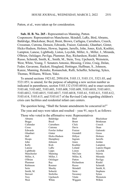Patton, et al., were taken up for consideration.

## **Sub. H. B. No. 265 -** Representatives Manning, Patton.

Cosponsors: Representatives Manchester, Skindell, LaRe, Bird, Abrams, Baldridge, Blackshear, Boyd, Brent, Brown, Carfagna, Carruthers, Creech, Crossman, Cutrona, Denson, Edwards, Fraizer, Galonski, Ghanbari, Ginter, Hicks-Hudson, Holmes, Howse, Ingram, Jarrells, John, Jones, Kick, Koehler, Lampton, Lanese, Lightbody, Liston, Loychik, Miller, A., Miller, J., Miranda, O'Brien, Oelslager, Pavliga, Plummer, Ray, Richardson, Riedel, Roemer, Russo, Schmidt, Smith, K., Smith, M., Stein, Troy, Upchurch, Weinstein, West, White, Young, T. Senators Antonio, Blessing, Cirino, Craig, Dolan, Fedor, Gavarone, Hackett, Hoagland, Hottinger, Huffman, S., Johnson, Kunze, Manning, Reineke, Romanchuk, Rulli, Schaffer, Schuring, Sykes, Thomas, Williams, Wilson, Yuko.

To amend sections 1923.02, 2950.034, 5103.13, 5103.131, 5321.03, and 5321.051; to amend, for the purpose of adopting a new section number as indicated in parentheses, section 5103.132 (5103.6016); and to enact sections 5103.60, 5103.602, 5103.603, 5103.608, 5103.609, 5103.6010, 5103.6011, 5103.6012, 5103.6015, 5103.6017, 5103.6018, 5103.61, 5103.611, 5103.612, 5103.614, 5103.615, and 5103.617 of the Revised Code regarding children's crisis care facilities and residential infant care centers.

The question being, "Shall the Senate amendments be concurred in?"

The yeas and nays were taken and resulted – yeas 91, nays 0, as follows:

Those who voted in the affirmative were: Representatives

| Abrams       | Baldridge     | Bird         | Blackshear      |
|--------------|---------------|--------------|-----------------|
| <b>Boggs</b> | Boyd          | <b>Brent</b> | <b>Brinkman</b> |
| Callender    | Carruthers    | Click        | Creech          |
| Cross        | Cutrona       | Davis        | Dean            |
| Edwards      | Fowler Arthur | Fraizer      | Galonski        |
| Ghanbari     | Ginter        | Grendell     | Gross           |
| Hall         | Hicks-Hudson  | Hillyer      | Holmes          |
| Hoops        | Humphrey      | Ingram       | Jarrells        |
| John         | Johnson       | Jones        | Jordan          |
| Kelly        | Kick          | Koehler      | Lampton         |
| Lanese       | LaRe          | Leland       | Lepore-Hagan    |
| Lightbody    | Lipps         | Liston       | Loychik         |
| Manchester   | Manning       | McClain      | Merrin          |
| Miller, A.   | Miller, J.    | Miller, K.   | Miranda         |
| O'Brien      | Oelslager     | Patton       | Pavliga         |
| Plummer      | Ray           | Richardson   | Riedel          |
| Robinson     | Roemer        | Russo        | Schmidt         |
| Seitz        | Sheehy        | Skindell     | Smith, K.       |
| Smith, M.    | Sobecki       | Stein        | Stephens        |
| Stewart      | Stoltzfus     | Sweeney      | Sykes           |
| <b>Troy</b>  | Upchurch      | Vitale       | Weinstein       |
| West         | White         | Wiggam       | Wilkin          |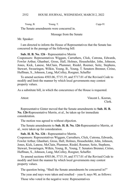Young, B. Young, T. Cupp-91

The Senate amendments were concurred in.

Message from the Senate

Mr. Speaker:

I am directed to inform the House of Representatives that the Senate has concurred in the passage of the following bill:

**Sub. H. B. No. 126** - Representative Merrin

Cosponsors: Representatives Wiggam, Carruthers, Click, Cutrona, Edwards, Fowler Arthur, Ghanbari, Gross, Hall, Holmes, Householder, John, Johnson, Jones, Kick, Lanese, McClain, Plummer, Riedel, Roemer, Seitz, Stephens, Stewart, Swearingen, Wilkin, Young, B., Young, T. Senators Brenner, Cirino, Huffman, S., Johnson, Lang, McColley, Roegner, Schaffer

To amend sections 4503.06, 5715.19, and 5717.01 of the Revised Code to modify and limit the manner by which local governments may contest property values.

As a substitute bill, in which the concurrence of the House is requested.

Attest: Vincent L. Keeran, Clerk.

Representative Ginter moved that the Senate amendments to **Sub. H. B. No. 126-**Representative Merrin, et al., be taken up for immediate consideration.

The motion was agreed to without objection.

The Senate amendments to **Sub. H. B. No. 126**-Representative Merrin, et al., were taken up for consideration.

**Sub. H. B. No. 126 -** Representative Merrin.

Cosponsors: Representatives Wiggam, Carruthers, Click, Cutrona, Edwards, Fowler Arthur, Ghanbari, Gross, Hall, Holmes, Householder, John, Johnson, Jones, Kick, Lanese, McClain, Plummer, Riedel, Roemer, Seitz, Stephens, Stewart, Swearingen, Wilkin, Young, B., Young, T. Senators Brenner, Cirino, Huffman, S., Johnson, Lang, McColley, Roegner, Schaffer.

To amend sections 4503.06, 5715.19, and 5717.01 of the Revised Code to modify and limit the manner by which local governments may contest property values.

The question being, "Shall the Senate amendments be concurred in?"

The yeas and nays were taken and resulted – yeas 0, nays 90, as follows:

Those who voted in the negative were: Representatives